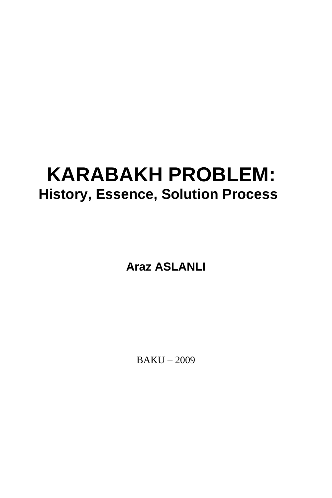# **KARABAKH PROBLEM: History, Essence, Solution Process**

**Araz ASLANLI** 

BAKU – 2009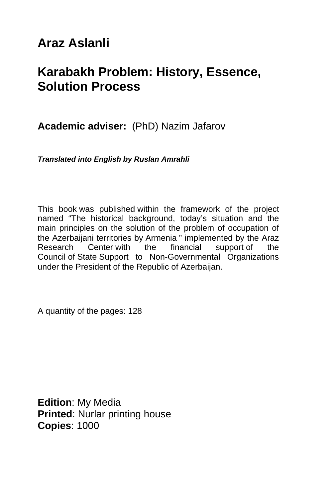# **Araz Aslanli**

# **Karabakh Problem: History, Essence, Solution Process**

**Academic adviser:** (PhD) Nazim Jafarov

*Translated into English by Ruslan Amrahli* 

This book was published within the framework of the project named "The historical background, today's situation and the main principles on the solution of the problem of occupation of the Azerbaijani territories by Armenia " implemented by the Araz Research Center with the financial support of the Council of State Support to Non-Governmental Organizations under the President of the Republic of Azerbaijan.

A quantity of the pages: 128

**Edition**: My Media **Printed**: Nurlar printing house **Copies**: 1000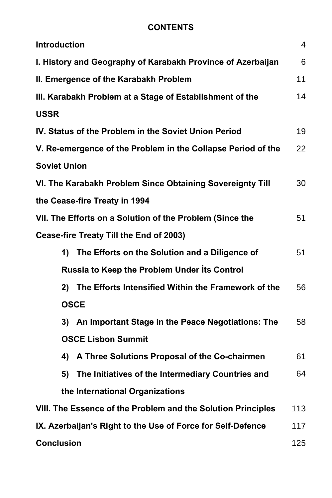#### **CONTENTS**

| <b>Introduction</b>                                          | 4   |
|--------------------------------------------------------------|-----|
| I. History and Geography of Karabakh Province of Azerbaijan  | 6   |
| II. Emergence of the Karabakh Problem                        | 11  |
| III. Karabakh Problem at a Stage of Establishment of the     | 14  |
| <b>USSR</b>                                                  |     |
| IV. Status of the Problem in the Soviet Union Period         | 19  |
| V. Re-emergence of the Problem in the Collapse Period of the | 22  |
| <b>Soviet Union</b>                                          |     |
| VI. The Karabakh Problem Since Obtaining Sovereignty Till    | 30  |
| the Cease-fire Treaty in 1994                                |     |
| VII. The Efforts on a Solution of the Problem (Since the     | 51  |
| Cease-fire Treaty Till the End of 2003)                      |     |
| 1) The Efforts on the Solution and a Diligence of            | 51  |
| Russia to Keep the Problem Under Its Control                 |     |
| 2) The Efforts Intensified Within the Framework of the       | 56  |
| <b>OSCE</b>                                                  |     |
| 3) An Important Stage in the Peace Negotiations: The         | 58  |
| <b>OSCE Lisbon Summit</b>                                    |     |
| 4) A Three Solutions Proposal of the Co-chairmen             | 61  |
| 5) The Initiatives of the Intermediary Countries and         | 64  |
| the International Organizations                              |     |
| VIII. The Essence of the Problem and the Solution Principles | 113 |
| IX. Azerbaijan's Right to the Use of Force for Self-Defence  | 117 |
| <b>Conclusion</b>                                            | 125 |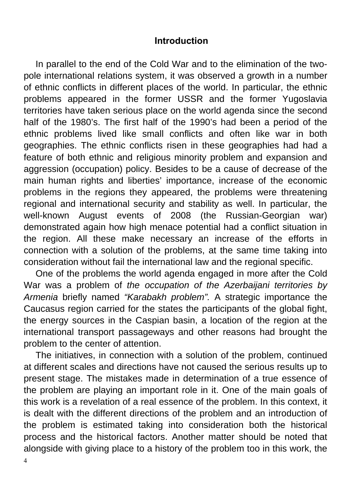#### **Introduction**

In parallel to the end of the Cold War and to the elimination of the twopole international relations system, it was observed a growth in a number of ethnic conflicts in different places of the world. In particular, the ethnic problems appeared in the former USSR and the former Yugoslavia territories have taken serious place on the world agenda since the second half of the 1980's. The first half of the 1990's had been a period of the ethnic problems lived like small conflicts and often like war in both geographies. The ethnic conflicts risen in these geographies had had a feature of both ethnic and religious minority problem and expansion and aggression (occupation) policy. Besides to be a cause of decrease of the main human rights and liberties' importance, increase of the economic problems in the regions they appeared, the problems were threatening regional and international security and stability as well. In particular, the well-known August events of 2008 (the Russian-Georgian war) demonstrated again how high menace potential had a conflict situation in the region. All these make necessary an increase of the efforts in connection with a solution of the problems, at the same time taking into consideration without fail the international law and the regional specific.

One of the problems the world agenda engaged in more after the Cold War was a problem of *the occupation of the Azerbaijani territories by Armenia* briefly named *"Karabakh problem".* A strategic importance the Caucasus region carried for the states the participants of the global fight, the energy sources in the Caspian basin, a location of the region at the international transport passageways and other reasons had brought the problem to the center of attention.

The initiatives, in connection with a solution of the problem, continued at different scales and directions have not caused the serious results up to present stage. The mistakes made in determination of a true essence of the problem are playing an important role in it. One of the main goals of this work is a revelation of a real essence of the problem. In this context, it is dealt with the different directions of the problem and an introduction of the problem is estimated taking into consideration both the historical process and the historical factors. Another matter should be noted that alongside with giving place to a history of the problem too in this work, the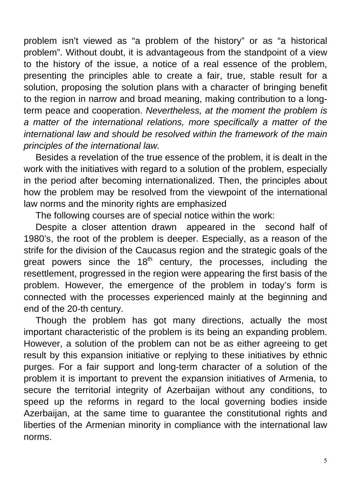problem isn't viewed as "a problem of the history" or as "a historical problem". Without doubt, it is advantageous from the standpoint of a view to the history of the issue, a notice of a real essence of the problem, presenting the principles able to create a fair, true, stable result for a solution, proposing the solution plans with a character of bringing benefit to the region in narrow and broad meaning, making contribution to a longterm peace and cooperation. *Nevertheless, at the moment the problem is a matter of the international relations, more specifically a matter of the international law and should be resolved within the framework of the main principles of the international law.*

Besides a revelation of the true essence of the problem, it is dealt in the work with the initiatives with regard to a solution of the problem, especially in the period after becoming internationalized. Then, the principles about how the problem may be resolved from the viewpoint of the international law norms and the minority rights are emphasized

The following courses are of special notice within the work:

Despite a closer attention drawn appeared in the second half of 1980's, the root of the problem is deeper. Especially, as a reason of the strife for the division of the Caucasus region and the strategic goals of the great powers since the  $18<sup>th</sup>$  century, the processes, including the resettlement, progressed in the region were appearing the first basis of the problem. However, the emergence of the problem in today's form is connected with the processes experienced mainly at the beginning and end of the 20-th century.

Though the problem has got many directions, actually the most important characteristic of the problem is its being an expanding problem. However, a solution of the problem can not be as either agreeing to get result by this expansion initiative or replying to these initiatives by ethnic purges. For a fair support and long-term character of a solution of the problem it is important to prevent the expansion initiatives of Armenia, to secure the territorial integrity of Azerbaijan without any conditions, to speed up the reforms in regard to the local governing bodies inside Azerbaijan, at the same time to guarantee the constitutional rights and liberties of the Armenian minority in compliance with the international law norms.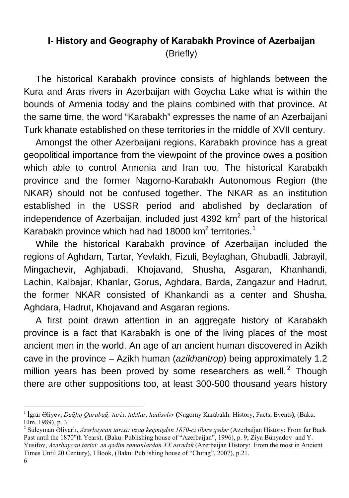## **I- History and Geography of Karabakh Province of Azerbaijan**  (Briefly)

The historical Karabakh province consists of highlands between the Kura and Aras rivers in Azerbaijan with Goycha Lake what is within the bounds of Armenia today and the plains combined with that province. At the same time, the word "Karabakh" expresses the name of an Azerbaijani Turk khanate established on these territories in the middle of XVII century.

Amongst the other Azerbaijani regions, Karabakh province has a great geopolitical importance from the viewpoint of the province owes a position which able to control Armenia and Iran too. The historical Karabakh province and the former Nagorno-Karabakh Autonomous Region (the NKAR) should not be confused together. The NKAR as an institution established in the USSR period and abolished by declaration of independence of Azerbaijan, included just 4392  $km^2$  part of the historical Karabakh province which had had [1](#page-5-0)8000 km<sup>2</sup> territories.<sup>1</sup>

While the historical Karabakh province of Azerbaijan included the regions of Aghdam, Tartar, Yevlakh, Fizuli, Beylaghan, Ghubadli, Jabrayil, Mingachevir, Aghjabadi, Khojavand, Shusha, Asgaran, Khanhandi, Lachin, Kalbajar, Khanlar, Gorus, Aghdara, Barda, Zangazur and Hadrut, the former NKAR consisted of Khankandi as a center and Shusha, Aghdara, Hadrut, Khojavand and Asgaran regions.

A first point drawn attention in an aggregate history of Karabakh province is a fact that Karabakh is one of the living places of the most ancient men in the world. An age of an ancient human discovered in Azikh cave in the province – Azikh human (*azikhantrop*) being approximately 1.2 million years has been proved by some researchers as well. $<sup>2</sup>$  $<sup>2</sup>$  $<sup>2</sup>$  Though</sup> there are other suppositions too, at least 300-500 thousand years history

<span id="page-5-0"></span><sup>1</sup> İgrar Əliyev, *Dağlıq Qarabağ: tarix, faktlar, hadisələr* **(**Nagorny Karabakh: History, Facts, Events**)**, (Baku: Elm, 1989), p. 3.

<span id="page-5-1"></span><sup>2</sup> Süleyman Əliyarlı, *Azərbaycan tarixi: uzaq keçmişdən 1870-ci illərə qədər* (Azerbaijan History: From far Back Past until the 1870"th Years), (Baku: Publishing house of "Azerbaijan", 1996), p. 9; Ziya Bünyadov and Y. Yusifov, *Azərbaycan tarixi: ən qədim zamanlardan XX əsrədək* (Azerbaijan History: From the most in Ancient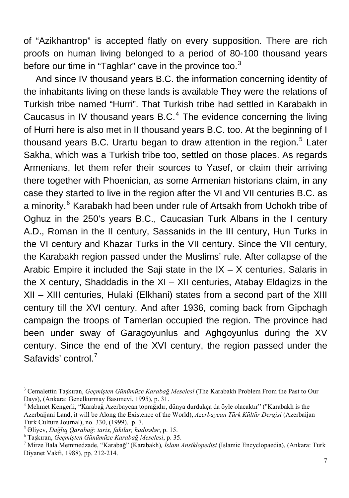of "Azikhantrop" is accepted flatly on every supposition. There are rich proofs on human living belonged to a period of 80-100 thousand years before our time in "Taghlar" cave in the province too. $3$ 

And since IV thousand years B.C. the information concerning identity of the inhabitants living on these lands is available They were the relations of Turkish tribe named "Hurri". That Turkish tribe had settled in Karabakh in Caucasus in IV thousand years  $B.C.<sup>4</sup>$  $B.C.<sup>4</sup>$  $B.C.<sup>4</sup>$  The evidence concerning the living of Hurri here is also met in II thousand years B.C. too. At the beginning of I thousand years B.C. Urartu began to draw attention in the region.<sup>[5](#page-6-2)</sup> Later Sakha, which was a Turkish tribe too, settled on those places. As regards Armenians, let them refer their sources to Yasef, or claim their arriving there together with Phoenician, as some Armenian historians claim, in any case they started to live in the region after the VI and VII centuries B.C. as a minority.<sup>[6](#page-6-3)</sup> Karabakh had been under rule of Artsakh from Uchokh tribe of Oghuz in the 250's years B.C., Caucasian Turk Albans in the I century A.D., Roman in the II century, Sassanids in the III century, Hun Turks in the VI century and Khazar Turks in the VII century. Since the VII century, the Karabakh region passed under the Muslims' rule. After collapse of the Arabic Empire it included the Saji state in the  $IX - X$  centuries, Salaris in the X century, Shaddadis in the XI – XII centuries, Atabay Eldagizs in the XII – XIII centuries, Hulaki (Elkhani) states from a second part of the XIII century till the XVI century. And after 1936, coming back from Gipchagh campaign the troops of Tamerlan occupied the region. The province had been under sway of Garagoyunlus and Aghgoyunlus during the XV century. Since the end of the XVI century, the region passed under the Safavids' control.<sup>[7](#page-6-4)</sup>

<span id="page-6-0"></span><sup>3</sup> Cemalettin Taşkıran, *Geçmişten Günümüze Karabağ Meselesi* (The Karabakh Problem From the Past to Our Days), (Ankara: Genelkurmay Basımevi, 1995), p. 31. 4

<span id="page-6-1"></span>Mehmet Kengerli, "Karabağ Azerbaycan toprağıdır, dünya durdukça da öyle olacaktır" ("Karabakh is the Azerbaijani Land, it will be Along the Existence of the World), *Azerbaycan Türk Kültür Dergisi* (Azerbaijan Turk Culture Journal), no. 330, (1999), p. 7.

<span id="page-6-2"></span><sup>5</sup> <sup>Ə</sup>liyev, *Dağlıq Qarabağ: tarix, faktlar, hadisələr*, p. 15. 6

<span id="page-6-3"></span>Taşkıran, *Geçmişten Günümüze Karabağ Meselesi*, p. 35. 7

<span id="page-6-4"></span>Mirze Bala Memmedzade, "Karabağ" (Karabakh)*, İslam Ansiklopedisi* (Islamic Encyclopaedia), (Ankara: Turk Diyanet Vakfı, 1988), pp. 212-214.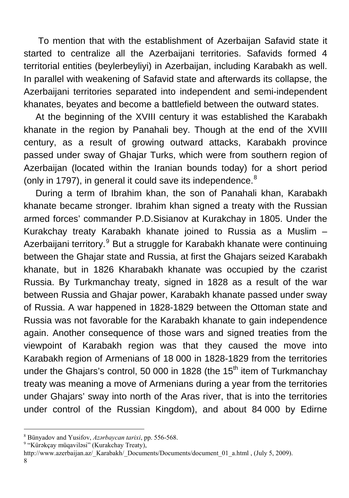To mention that with the establishment of Azerbaijan Safavid state it started to centralize all the Azerbaijani territories. Safavids formed 4 territorial entities (beylerbeyliyi) in Azerbaijan, including Karabakh as well. In parallel with weakening of Safavid state and afterwards its collapse, the Azerbaijani territories separated into independent and semi-independent khanates, beyates and become a battlefield between the outward states.

At the beginning of the XVIII century it was established the Karabakh khanate in the region by Panahali bey. Though at the end of the XVIII century, as a result of growing outward attacks, Karabakh province passed under sway of Ghajar Turks, which were from southern region of Azerbaijan (located within the Iranian bounds today) for a short period (only in 1797), in general it could save its independence. $8$ 

During a term of Ibrahim khan, the son of Panahali khan, Karabakh khanate became stronger. Ibrahim khan signed a treaty with the Russian armed forces' commander P.D.Sisianov at Kurakchay in 1805. Under the Kurakchay treaty Karabakh khanate joined to Russia as a Muslim – Azerbaijani territory.<sup>[9](#page-7-1)</sup> But a struggle for Karabakh khanate were continuing between the Ghajar state and Russia, at first the Ghajars seized Karabakh khanate, but in 1826 Kharabakh khanate was occupied by the czarist Russia. By Turkmanchay treaty, signed in 1828 as a result of the war between Russia and Ghajar power, Karabakh khanate passed under sway of Russia. A war happened in 1828-1829 between the Ottoman state and Russia was not favorable for the Karabakh khanate to gain independence again. Another consequence of those wars and signed treaties from the viewpoint of Karabakh region was that they caused the move into Karabakh region of Armenians of 18 000 in 1828-1829 from the territories under the Ghajars's control, 50 000 in 1828 (the 15<sup>th</sup> item of Turkmanchay treaty was meaning a move of Armenians during a year from the territories under Ghajars' sway into north of the Aras river, that is into the territories under control of the Russian Kingdom), and about 84 000 by Edirne

 $\overline{a}$  $^8$  Bünyadov and Yusifov, *Azərbaycan tarixi*, pp. 556-568.

<span id="page-7-1"></span><span id="page-7-0"></span><sup>&</sup>lt;sup>9</sup> "Kürəkçay müqaviləsi" (Kurakchay Treaty),

http://www.azerbaijan.az/\_Karabakh/\_Documents/Documents/document\_01\_a.html , (July 5, 2009).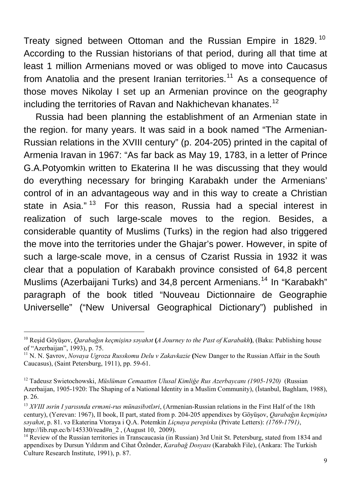Treaty signed between Ottoman and the Russian Empire in 1829.<sup>[10](#page-8-0)</sup> According to the Russian historians of that period, during all that time at least 1 million Armenians moved or was obliged to move into Caucasus from Anatolia and the present Iranian territories.<sup>[11](#page-8-1)</sup> As a consequence of those moves Nikolay I set up an Armenian province on the geography including the territories of Ravan and Nakhichevan khanates.<sup>[12](#page-8-2)</sup>

Russia had been planning the establishment of an Armenian state in the region. for many years. It was said in a book named "The Armenian-Russian relations in the XVIII century" (p. 204-205) printed in the capital of Armenia Iravan in 1967: "As far back as May 19, 1783, in a letter of Prince G.A.Potyomkin written to Ekaterina II he was discussing that they would do everything necessary for bringing Karabakh under the Armenians' control of in an advantageous way and in this way to create a Christian state in Asia."<sup>[13](#page-8-3)</sup> For this reason, Russia had a special interest in realization of such large-scale moves to the region. Besides, a considerable quantity of Muslims (Turks) in the region had also triggered the move into the territories under the Ghajar's power. However, in spite of such a large-scale move, in a census of Czarist Russia in 1932 it was clear that a population of Karabakh province consisted of 64,8 percent Muslims (Azerbaijani Turks) and 34.8 percent Armenians.<sup>[14](#page-8-4)</sup> In "Karabakh" paragraph of the book titled "Nouveau Dictionnaire de Geographie Universelle" ("New Universal Geographical Dictionary") published in

<span id="page-8-0"></span><sup>10</sup> Reşid Göyüşov, *Qarabağın keçmişinə səyahət* **(***A Journey to the Past of Karabakh***)**, (Baku: Publishing house of "Azerbaijan", 1993), p. 75.

<span id="page-8-1"></span><sup>11</sup> N. N. Şavrov, *Novaya Ugroza Russkomu Delu v Zakavkazie* **(**New Danger to the Russian Affair in the South Caucasus), (Saint Petersburg, 1911), pp. 59-61.

<span id="page-8-2"></span><sup>12</sup> Tadeusz Swietochowski, *Müslüman Cemaatten Ulusal Kimliğe Rus Azerbaycanı (1905-1920)* (Russian Azerbaijan, 1905-1920: The Shaping of a National Identity in a Muslim Community), (İstanbul, Baghlam, 1988), p. 26.

<span id="page-8-3"></span><sup>13</sup> *XVIII əsrin I yarısında erməni-rus münasibətləri*, (Armenian-Russian relations in the First Half of the 18th century), (Yerevan: 1967), II book, II part, stated from p. 204-205 appendixes by Göyüşov, *Qarabağın keçmişinə səyahət*, p. 81. və Ekaterina Vtoraya i Q.A. Potemkin *Liçnaya perepiska* (Private Letters): *(1769-1791)*, [http://lib.rup.ec/b/145330/read#n\\_2](http://lib.rus.ec/b/145330/read#n_2), (August 10, 2009).<br><sup>[14](http://lib.rus.ec/b/145330/read#n_2)</sup> Review of the Russian territories in Transcaucasia (in Russian) 3rd Unit St. Petersburg, stated from 1834 and

<span id="page-8-4"></span>appendixes by Dursun Yıldırım and Cihat Özönder, *Karabağ Dosyası* (Karabakh File), (Ankara: The Turkish Culture Research Institute, 1991), p. 87.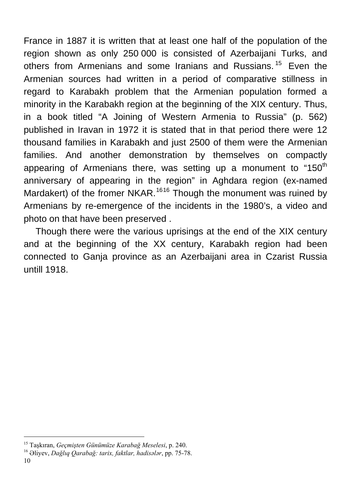France in 1887 it is written that at least one half of the population of the region shown as only 250 000 is consisted of Azerbaijani Turks, and others from Armenians and some Iranians and Russians.<sup>[15](#page-9-0)</sup> Even the Armenian sources had written in a period of comparative stillness in regard to Karabakh problem that the Armenian population formed a minority in the Karabakh region at the beginning of the XIX century. Thus, in a book titled "A Joining of Western Armenia to Russia" (p. 562) published in Iravan in 1972 it is stated that in that period there were 12 thousand families in Karabakh and just 2500 of them were the Armenian families. And another demonstration by themselves on compactly appearing of Armenians there, was setting up a monument to "150 $<sup>th</sup>$ </sup> anniversary of appearing in the region" in Aghdara region (ex-named Mardakert) of the fromer NKAR.<sup>[16](#page-9-1)16</sup> Though the monument was ruined by Armenians by re-emergence of the incidents in the 1980's, a video and photo on that have been preserved .

Though there were the various uprisings at the end of the XIX century and at the beginning of the XX century, Karabakh region had been connected to Ganja province as an Azerbaijani area in Czarist Russia untill 1918.

<span id="page-9-0"></span><sup>15</sup> Taşkıran, *Geçmişten Günümüze Karabağ Meselesi*, p. 240. 16 <sup>Ə</sup>liyev, *Dağlıq Qarabağ: tarix, faktlar, hadisələr*, pp. 75-78.

<span id="page-9-1"></span>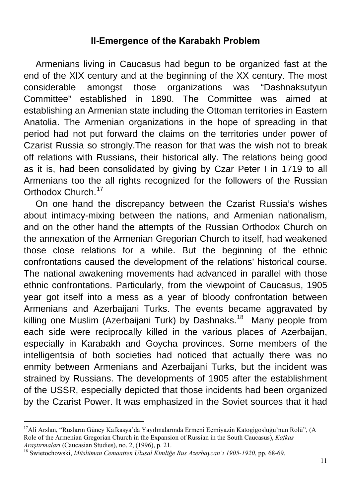#### **II-Emergence of the Karabakh Problem**

Armenians living in Caucasus had begun to be organized fast at the end of the XIX century and at the beginning of the XX century. The most considerable amongst those organizations was "Dashnaksutyun Committee" established in 1890. The Committee was aimed at establishing an Armenian state including the Ottoman territories in Eastern Anatolia. The Armenian organizations in the hope of spreading in that period had not put forward the claims on the territories under power of Czarist Russia so strongly.The reason for that was the wish not to break off relations with Russians, their historical ally. The relations being good as it is, had been consolidated by giving by Czar Peter I in 1719 to all Armenians too the all rights recognized for the followers of the Russian Orthodox Church.[17](#page-10-0)

On one hand the discrepancy between the Czarist Russia's wishes about intimacy-mixing between the nations, and Armenian nationalism, and on the other hand the attempts of the Russian Orthodox Church on the annexation of the Armenian Gregorian Church to itself, had weakened those close relations for a while. But the beginning of the ethnic confrontations caused the development of the relations' historical course. The national awakening movements had advanced in parallel with those ethnic confrontations. Particularly, from the viewpoint of Caucasus, 1905 year got itself into a mess as a year of bloody confrontation between Armenians and Azerbaijani Turks. The events became aggravated by killing one Muslim (Azerbaijani Turk) by Dashnaks.<sup>[18](#page-10-1)</sup> Many people from each side were reciprocally killed in the various places of Azerbaijan, especially in Karabakh and Goycha provinces. Some members of the intelligentsia of both societies had noticed that actually there was no enmity between Armenians and Azerbaijani Turks, but the incident was strained by Russians. The developments of 1905 after the establishment of the USSR, especially depicted that those incidents had been organized by the Czarist Power. It was emphasized in the Soviet sources that it had

<span id="page-10-0"></span><sup>17</sup>Ali Arslan, "Rusların Güney Kafkasya'da Yayılmalarında Ermeni Eçmiyazin Katogigosluğu'nun Rolü", (A Role of the Armenian Gregorian Church in the Expansion of Russian in the South Caucasus), *Kafkas* 

<span id="page-10-1"></span>*Araştırmaları* (Caucasian Studies), no. 2, (1996), p. 21. 18 Swietochowski, *Müslüman Cemaatten Ulusal Kimliğe Rus Azerbaycan'ı 1905-1920*, pp. 68-69.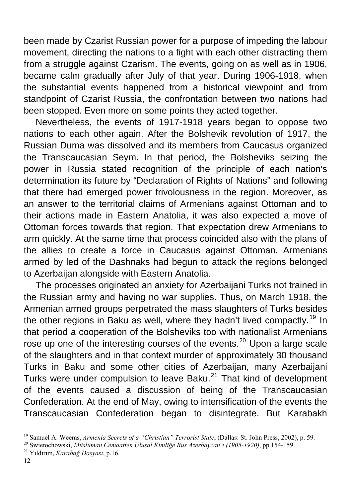been made by Czarist Russian power for a purpose of impeding the labour movement, directing the nations to a fight with each other distracting them from a struggle against Czarism. The events, going on as well as in 1906, became calm gradually after July of that year. During 1906-1918, when the substantial events happened from a historical viewpoint and from standpoint of Czarist Russia, the confrontation between two nations had been stopped. Even more on some points they acted together.

Nevertheless, the events of 1917-1918 years began to oppose two nations to each other again. After the Bolshevik revolution of 1917, the Russian Duma was dissolved and its members from Caucasus organized the Transcaucasian Seym. In that period, the Bolsheviks seizing the power in Russia stated recognition of the principle of each nation's determination its future by "Declaration of Rights of Nations" and following that there had emerged power frivolousness in the region. Moreover, as an answer to the territorial claims of Armenians against Ottoman and to their actions made in Eastern Anatolia, it was also expected a move of Ottoman forces towards that region. That expectation drew Armenians to arm quickly. At the same time that process coincided also with the plans of the allies to create a force in Caucasus against Ottoman. Armenians armed by led of the Dashnaks had begun to attack the regions belonged to Azerbaijan alongside with Eastern Anatolia.

The processes originated an anxiety for Azerbaijani Turks not trained in the Russian army and having no war supplies. Thus, on March 1918, the Armenian armed groups perpetrated the mass slaughters of Turks besides the other regions in Baku as well, where they hadn't lived compactly.<sup>[19](#page-11-0)</sup> In that period a cooperation of the Bolsheviks too with nationalist Armenians rose up one of the interesting courses of the events.<sup>[20](#page-11-1)</sup> Upon a large scale of the slaughters and in that context murder of approximately 30 thousand Turks in Baku and some other cities of Azerbaijan, many Azerbaijani Turks were under compulsion to leave Baku.<sup>[21](#page-11-2)</sup> That kind of development of the events caused a discussion of being of the Transcaucasian Confederation. At the end of May, owing to intensification of the events the Transcaucasian Confederation began to disintegrate. But Karabakh

<span id="page-11-0"></span><sup>&</sup>lt;sup>19</sup> Samuel A. Weems, *Armenia Secrets of a "Christian" Terrorist State*, (Dallas: St. John Press, 2002), p. 59.<br><sup>20</sup> Swietochowski, *Müslüman Cemaatten Ulusal Kimliğe Rus Azerbaycan't (1905-1920)*, pp.154-159.<br><sup>21</sup> Yıldı

<span id="page-11-1"></span>

<span id="page-11-2"></span>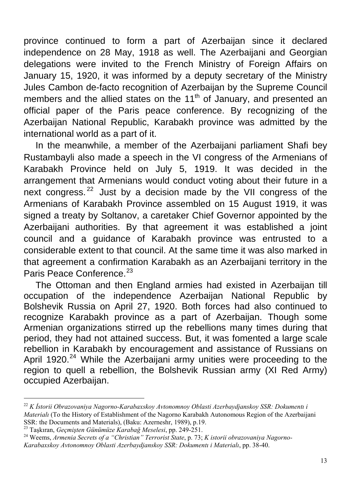province continued to form a part of Azerbaijan since it declared independence on 28 May, 1918 as well. The Azerbaijani and Georgian delegations were invited to the French Ministry of Foreign Affairs on January 15, 1920, it was informed by a deputy secretary of the Ministry Jules Cambon de-facto recognition of Azerbaijan by the Supreme Council members and the allied states on the  $11<sup>th</sup>$  of January, and presented an official paper of the Paris peace conference. By recognizing of the Azerbaijan National Republic, Karabakh province was admitted by the international world as a part of it.

In the meanwhile, a member of the Azerbaijani parliament Shafi bey Rustambayli also made a speech in the VI congress of the Armenians of Karabakh Province held on July 5, 1919. It was decided in the arrangement that Armenians would conduct voting about their future in a next congress.  $22$  Just by a decision made by the VII congress of the Armenians of Karabakh Province assembled on 15 August 1919, it was signed a treaty by Soltanov, a caretaker Chief Governor appointed by the Azerbaijani authorities. By that agreement it was established a joint council and a guidance of Karabakh province was entrusted to a considerable extent to that council. At the same time it was also marked in that agreement a confirmation Karabakh as an Azerbaijani territory in the Paris Peace Conference.<sup>[23](#page-12-1)</sup>

The Ottoman and then England armies had existed in Azerbaijan till occupation of the independence Azerbaijan National Republic by Bolshevik Russia on April 27, 1920. Both forces had also continued to recognize Karabakh province as a part of Azerbaijan. Though some Armenian organizations stirred up the rebellions many times during that period, they had not attained success. But, it was fomented a large scale rebellion in Karabakh by encouragement and assistance of Russians on April 1920. $^{24}$  $^{24}$  $^{24}$  While the Azerbaijani army unities were proceeding to the region to quell a rebellion, the Bolshevik Russian army (XI Red Army) occupied Azerbaijan.

<span id="page-12-0"></span><sup>22</sup> *K İstorii Obrazovaniya Nagorno-Karabaxskoy Avtonomnoy Oblasti Azerbaydjanskoy SSR: Dokumentı i Materialı* (To the History of Establishment of the Nagorno Karabakh Autonomous Region of the Azerbaijani SSR: the Documents and Materials), (Baku: Azerneshr, 1989), p.19.

<span id="page-12-2"></span><span id="page-12-1"></span><sup>23</sup> Taşkıran, *Geçmişten Günümüze Karabağ Meselesi*, pp. 249-251. 24 Weems, *Armenia Secrets of a "Christian" Terrorist State*, p. 73; *K istorii obrazovaniya Nagorno-Karabaxskoy Avtonomnoy Oblasti Azerbaydjanskoy SSR: Dokumentı i Materialı*, pp. 38-40.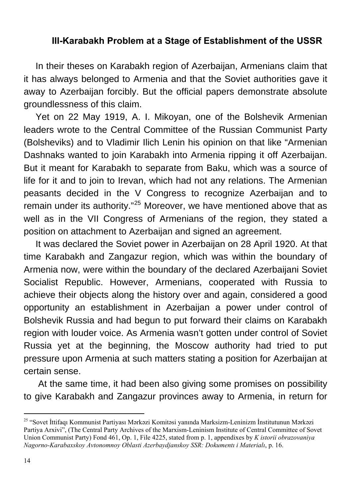#### **III-Karabakh Problem at a Stage of Establishment of the USSR**

In their theses on Karabakh region of Azerbaijan, Armenians claim that it has always belonged to Armenia and that the Soviet authorities gave it away to Azerbaijan forcibly. But the official papers demonstrate absolute groundlessness of this claim.

Yet on 22 May 1919, A. I. Mikoyan, one of the Bolshevik Armenian leaders wrote to the Central Committee of the Russian Communist Party (Bolsheviks) and to Vladimir Ilich Lenin his opinion on that like "Armenian Dashnaks wanted to join Karabakh into Armenia ripping it off Azerbaijan. But it meant for Karabakh to separate from Baku, which was a source of life for it and to join to Irevan, which had not any relations. The Armenian peasants decided in the V Congress to recognize Azerbaijan and to remain under its authority."<sup>[25](#page-13-0)</sup> Moreover, we have mentioned above that as well as in the VII Congress of Armenians of the region, they stated a position on attachment to Azerbaijan and signed an agreement.

It was declared the Soviet power in Azerbaijan on 28 April 1920. At that time Karabakh and Zangazur region, which was within the boundary of Armenia now, were within the boundary of the declared Azerbaijani Soviet Socialist Republic. However, Armenians, cooperated with Russia to achieve their objects along the history over and again, considered a good opportunity an establishment in Azerbaijan a power under control of Bolshevik Russia and had begun to put forward their claims on Karabakh region with louder voice. As Armenia wasn't gotten under control of Soviet Russia yet at the beginning, the Moscow authority had tried to put pressure upon Armenia at such matters stating a position for Azerbaijan at certain sense.

 At the same time, it had been also giving some promises on possibility to give Karabakh and Zangazur provinces away to Armenia, in return for

<span id="page-13-0"></span><sup>25 &</sup>quot;Sovet İttifaqı Kommunist Partiyası Mərkəzi Komitəsi yanında Marksizm-Leninizm İnstitutunun Mərkəzi Partiya Arxivi", (The Central Party Archives of the Marxism-Leninism Institute of Central Committee of Sovet Union Communist Party) Fond 461, Op. 1, File 4225, stated from p. 1, appendixes by *K istorii obrazovaniya Nagorno-Karabaxskoy Avtonomnoy Oblasti Azerbaydjanskoy SSR: Dokumentı i Materialı*, p. 16.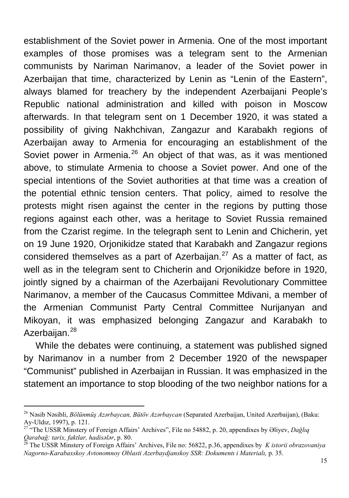establishment of the Soviet power in Armenia. One of the most important examples of those promises was a telegram sent to the Armenian communists by Nariman Narimanov, a leader of the Soviet power in Azerbaijan that time, characterized by Lenin as "Lenin of the Eastern", always blamed for treachery by the independent Azerbaijani People's Republic national administration and killed with poison in Moscow afterwards. In that telegram sent on 1 December 1920, it was stated a possibility of giving Nakhchivan, Zangazur and Karabakh regions of Azerbaijan away to Armenia for encouraging an establishment of the Soviet power in Armenia. $^{26}$  $^{26}$  $^{26}$  An object of that was, as it was mentioned above, to stimulate Armenia to choose a Soviet power. And one of the special intentions of the Soviet authorities at that time was a creation of the potential ethnic tension centers. That policy, aimed to resolve the protests might risen against the center in the regions by putting those regions against each other, was a heritage to Soviet Russia remained from the Czarist regime. In the telegraph sent to Lenin and Chicherin, yet on 19 June 1920, Orjonikidze stated that Karabakh and Zangazur regions considered themselves as a part of Azerbaijan. $27$  As a matter of fact, as well as in the telegram sent to Chicherin and Orjonikidze before in 1920, jointly signed by a chairman of the Azerbaijani Revolutionary Committee Narimanov, a member of the Caucasus Committee Mdivani, a member of the Armenian Communist Party Central Committee Nurijanyan and Mikoyan, it was emphasized belonging Zangazur and Karabakh to Azerbaijan.<sup>[28](#page-14-2)</sup>

While the debates were continuing, a statement was published signed by Narimanov in a number from 2 December 1920 of the newspaper "Communist" published in Azerbaijan in Russian. It was emphasized in the statement an importance to stop blooding of the two neighbor nations for a

<span id="page-14-0"></span><sup>26</sup> Nəsib Nəsibli, *Bölünmüş Azərbaycan, Bütöv Azərbaycan* (Separated Azerbaijan, United Azerbaijan), (Baku:

<span id="page-14-1"></span><sup>&</sup>lt;sup>27</sup> "The USSR Minstery of Foreign Affairs' Archives", File no 54882, p. 20, appendixes by Əliyev, *Dağlıq* Oarabağ: tarix, faktlar, hadisələr, p. 80.

<span id="page-14-2"></span>*Qarabağ: tarix, faktlar, hadisələr*, p. 80. 28 The USSR Minstery of Foreign Affairs' Archives, File no: 56822, p.36, appendixes by *K istorii obrazovaniya Nagorno-Karabaxskoy Avtonomnoy Oblasti Azerbaydjanskoy SSR: Dokumentı i Materialı,* p. 35.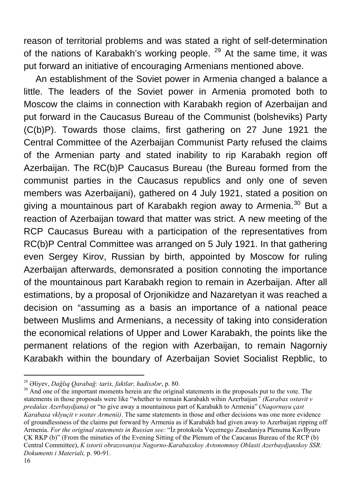reason of territorial problems and was stated a right of self-determination of the nations of Karabakh's working people.  $29$  At the same time, it was put forward an initiative of encouraging Armenians mentioned above.

An establishment of the Soviet power in Armenia changed a balance a little. The leaders of the Soviet power in Armenia promoted both to Moscow the claims in connection with Karabakh region of Azerbaijan and put forward in the Caucasus Bureau of the Communist (bolsheviks) Party (C(b)P). Towards those claims, first gathering on 27 June 1921 the Central Committee of the Azerbaijan Communist Party refused the claims of the Armenian party and stated inability to rip Karabakh region off Azerbaijan. The RC(b)P Caucasus Bureau (the Bureau formed from the communist parties in the Caucasus republics and only one of seven members was Azerbaijani), gathered on 4 July 1921, stated a position on giving a mountainous part of Karabakh region away to Armenia.<sup>[30](#page-15-1)</sup> But a reaction of Azerbaijan toward that matter was strict. A new meeting of the RCP Caucasus Bureau with a participation of the representatives from RC(b)P Central Committee was arranged on 5 July 1921. In that gathering even Sergey Kirov, Russian by birth, appointed by Moscow for ruling Azerbaijan afterwards, demonsrated a position connoting the importance of the mountainous part Karabakh region to remain in Azerbaijan. After all estimations, by a proposal of Orjonikidze and Nazaretyan it was reached a decision on "assuming as a basis an importance of a national peace between Muslims and Armenians, a necessity of taking into consideration the economical relations of Upper and Lower Karabakh, the points like the permanent relations of the region with Azerbaijan, to remain Nagorniy Karabakh within the boundary of Azerbaijan Soviet Socialist Repblic, to

 $\overline{a}$ 

<span id="page-15-1"></span><span id="page-15-0"></span><sup>&</sup>lt;sup>29</sup> Əliyev, *Dağlıq Qarabağ: tarix, faktlar, hadisələr*, p. 80.<br><sup>30</sup> And one of the important moments herein are the original statements in the proposals put to the vote. The statements in those proposals were like "whether to remain Karabakh wihin Azerbaijan*" (Karabax ostavit v predalax Azerbaydjana)* or "to give away a mountainous part of Karabakh to Armenia" (*Naqornuyu çast Karabaxa vklyuçit v sostav Armenii)*. The same statements in those and other decisions was one more evidence of groundlessness of the claims put forward by Armenia as if Karabakh had given away to Azerbaijan ripping off Armenia. *For the original statements in Russian see:* "İz protokola Veçernego Zasedaniya Plenuma KavByuro ÇK RKP (b)" (From the minuties of the Evening Sitting of the Plenum of the Caucasus Bureau of the RCP (b) Central Committee), *K istorii obrazovaniya Nagorno-Karabaxskoy Avtonomnoy Oblasti Azerbaydjanskoy SSR: Dokumentı i Materialı,* p. 90-91.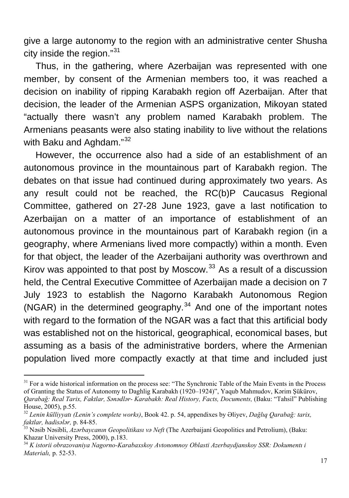give a large autonomy to the region with an administrative center Shusha city inside the region."[31](#page-16-0)

Thus, in the gathering, where Azerbaijan was represented with one member, by consent of the Armenian members too, it was reached a decision on inability of ripping Karabakh region off Azerbaijan. After that decision, the leader of the Armenian ASPS organization, Mikoyan stated "actually there wasn't any problem named Karabakh problem. The Armenians peasants were also stating inability to live without the relations with Baku and Aghdam."<sup>[32](#page-16-1)</sup>

However, the occurrence also had a side of an establishment of an autonomous province in the mountainous part of Karabakh region. The debates on that issue had continued during approximately two years. As any result could not be reached, the RC(b)P Caucasus Regional Committee, gathered on 27-28 June 1923, gave a last notification to Azerbaijan on a matter of an importance of establishment of an autonomous province in the mountainous part of Karabakh region (in a geography, where Armenians lived more compactly) within a month. Even for that object, the leader of the Azerbaijani authority was overthrown and Kirov was appointed to that post by Moscow. $33$  As a result of a discussion held, the Central Executive Committee of Azerbaijan made a decision on 7 July 1923 to establish the Nagorno Karabakh Autonomous Region (NGAR) in the determined geography.<sup>[34](#page-16-3)</sup> And one of the important notes with regard to the formation of the NGAR was a fact that this artificial body was established not on the historical, geographical, economical bases, but assuming as a basis of the administrative borders, where the Armenian population lived more compactly exactly at that time and included just

<span id="page-16-0"></span><sup>&</sup>lt;sup>31</sup> For a wide historical information on the process see: "The Synchronic Table of the Main Events in the Process of Granting the Status of Autonomy to Daghlig Karabakh (1920–1924)", Yaqub Mahmudov, Kərim Şükürov, *Qarabağ: Real Tarix, Faktlar, Sənədlər- Karabakh: Real History, Facts, Documents,* (Baku: "Tahsil" Publishing

House, 2005), p.55.

<span id="page-16-1"></span><sup>32</sup> *Lenin külliyyatı (Lenin's complete works)*, Book 42. p. 54, appendixes by Əliyev, *Dağlıq Qarabağ: tarix,* 

<span id="page-16-2"></span>*faktlar, hadisələr,* p. 84-85. 33 Nəsib Nəsibli, *Azərbaycanın Geopolitikası və Neft* (The Azerbaijani Geopolitics and Petrolium), (Baku:

<span id="page-16-3"></span><sup>&</sup>lt;sup>34</sup> K istorii obrazovaniya Nagorno-Karabaxskoy Avtonomnoy Oblasti Azerbaydjanskoy SSR: Dokumentı i *Materialı,* p. 52-53.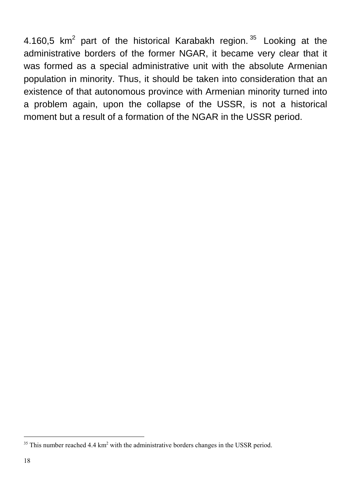4.160,5  $km^2$  part of the historical Karabakh region.  $35$  Looking at the administrative borders of the former NGAR, it became very clear that it was formed as a special administrative unit with the absolute Armenian population in minority. Thus, it should be taken into consideration that an existence of that autonomous province with Armenian minority turned into a problem again, upon the collapse of the USSR, is not a historical moment but a result of a formation of the NGAR in the USSR period.

<span id="page-17-0"></span> $35$  This number reached 4.4 km<sup>2</sup> with the administrative borders changes in the USSR period.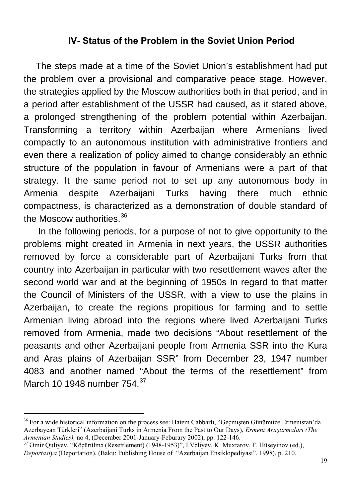#### **IV- Status of the Problem in the Soviet Union Period**

The steps made at a time of the Soviet Union's establishment had put the problem over a provisional and comparative peace stage. However, the strategies applied by the Moscow authorities both in that period, and in a period after establishment of the USSR had caused, as it stated above, a prolonged strengthening of the problem potential within Azerbaijan. Transforming a territory within Azerbaijan where Armenians lived compactly to an autonomous institution with administrative frontiers and even there a realization of policy aimed to change considerably an ethnic structure of the population in favour of Armenians were a part of that strategy. It the same period not to set up any autonomous body in Armenia despite Azerbaijani Turks having there much ethnic compactness, is characterized as a demonstration of double standard of the Moscow authorities.<sup>[36](#page-18-0)</sup>

 In the following periods, for a purpose of not to give opportunity to the problems might created in Armenia in next years, the USSR authorities removed by force a considerable part of Azerbaijani Turks from that country into Azerbaijan in particular with two resettlement waves after the second world war and at the beginning of 1950s In regard to that matter the Council of Ministers of the USSR, with a view to use the plains in Azerbaijan, to create the regions propitious for farming and to settle Armenian living abroad into the regions where lived Azerbaijani Turks removed from Armenia, made two decisions "About resettlement of the peasants and other Azerbaijani people from Armenia SSR into the Kura and Aras plains of Azerbaijan SSR" from December 23, 1947 number 4083 and another named "About the terms of the resettlement" from March 10 1948 number 754.<sup>[37](#page-18-1)</sup>

<span id="page-18-0"></span><sup>&</sup>lt;sup>36</sup> For a wide historical information on the process see: Hatem Cabbarlı, "Geçmişten Günümüze Ermenistan'da Azerbaycan Türkleri" (Azerbaijani Turks in Armenia From the Past to Our Days), *Ermeni Araştırmaları (The* 

<span id="page-18-1"></span><sup>&</sup>lt;sup>37</sup> Əmir Quliyev, "Köçürülmə (Resettlement) (1948-1953)", İ.Vəliyev, K. Muxtarov, F. Hüseyinov (ed.), *Deportasiya* (Deportation), (Baku: Publishing House of "Azerbaijan Ensiklopediyası", 1998), p. 210.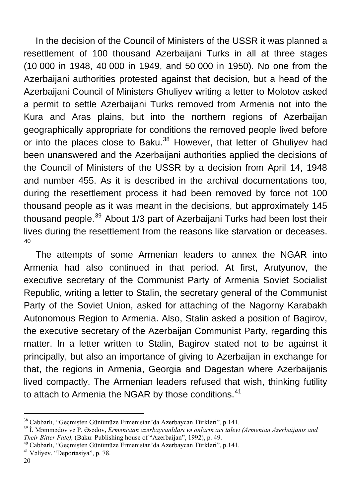In the decision of the Council of Ministers of the USSR it was planned a resettlement of 100 thousand Azerbaijani Turks in all at three stages (10 000 in 1948, 40 000 in 1949, and 50 000 in 1950). No one from the Azerbaijani authorities protested against that decision, but a head of the Azerbaijani Council of Ministers Ghuliyev writing a letter to Molotov asked a permit to settle Azerbaijani Turks removed from Armenia not into the Kura and Aras plains, but into the northern regions of Azerbaijan geographically appropriate for conditions the removed people lived before or into the places close to Baku.<sup>[38](#page-19-0)</sup> However, that letter of Ghuliyev had been unanswered and the Azerbaijani authorities applied the decisions of the Council of Ministers of the USSR by a decision from April 14, 1948 and number 455. As it is described in the archival documentations too, during the resettlement process it had been removed by force not 100 thousand people as it was meant in the decisions, but approximately 145 thousand people.<sup>[39](#page-19-1)</sup> About 1/3 part of Azerbaijani Turks had been lost their lives during the resettlement from the reasons like starvation or deceases. [40](#page-19-2)

The attempts of some Armenian leaders to annex the NGAR into Armenia had also continued in that period. At first, Arutyunov, the executive secretary of the Communist Party of Armenia Soviet Socialist Republic, writing a letter to Stalin, the secretary general of the Communist Party of the Soviet Union, asked for attaching of the Nagorny Karabakh Autonomous Region to Armenia. Also, Stalin asked a position of Bagirov, the executive secretary of the Azerbaijan Communist Party, regarding this matter. In a letter written to Stalin, Bagirov stated not to be against it principally, but also an importance of giving to Azerbaijan in exchange for that, the regions in Armenia, Georgia and Dagestan where Azerbaijanis lived compactly. The Armenian leaders refused that wish, thinking futility to attach to Armenia the NGAR by those conditions.<sup>[41](#page-19-3)</sup>

<span id="page-19-1"></span><span id="page-19-0"></span><sup>&</sup>lt;sup>38</sup> Cabbarlı, "Geçmişten Günümüze Ermenistan'da Azerbaycan Türkleri", p.141.<br><sup>39</sup> İ. Məmmədov və P. Əsədov, *Ermənistan azərbaycanlıları və onların acı taleyi (Armenian Azerbaijanis and Their Bitter Fate), (Baku: Publishi* 

<span id="page-19-2"></span><sup>&</sup>lt;sup>40</sup> Cabbarlı, "Geçmişten Günümüze Ermenistan'da Azerbaycan Türkleri", p. 141. <sup>41</sup> Vəliyev, "Deportasiya", p. 78.

<span id="page-19-3"></span>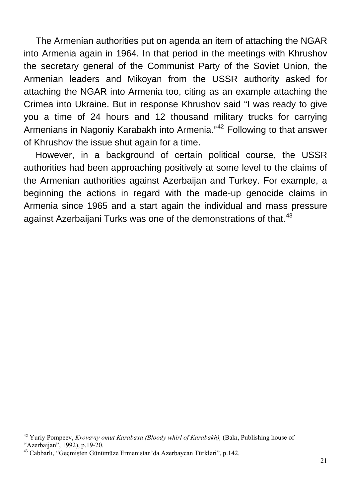The Armenian authorities put on agenda an item of attaching the NGAR into Armenia again in 1964. In that period in the meetings with Khrushov the secretary general of the Communist Party of the Soviet Union, the Armenian leaders and Mikoyan from the USSR authority asked for attaching the NGAR into Armenia too, citing as an example attaching the Crimea into Ukraine. But in response Khrushov said "I was ready to give you a time of 24 hours and 12 thousand military trucks for carrying Armenians in Nagoniy Karabakh into Armenia."<sup>[42](#page-20-0)</sup> Following to that answer of Khrushov the issue shut again for a time.

However, in a background of certain political course, the USSR authorities had been approaching positively at some level to the claims of the Armenian authorities against Azerbaijan and Turkey. For example, a beginning the actions in regard with the made-up genocide claims in Armenia since 1965 and a start again the individual and mass pressure against Azerbaijani Turks was one of the demonstrations of that.<sup>[43](#page-20-1)</sup>

<span id="page-20-0"></span><sup>42</sup> Yuriy Pompeev, *Krovavıy omut Karabaxa (Bloody whirl of Karabakh),* (Bakı, Publishing house of "Azerbaijan", 1992), p.19-20.

<span id="page-20-1"></span><sup>43</sup> Cabbarlı, "Geçmişten Günümüze Ermenistan'da Azerbaycan Türkleri", p.142.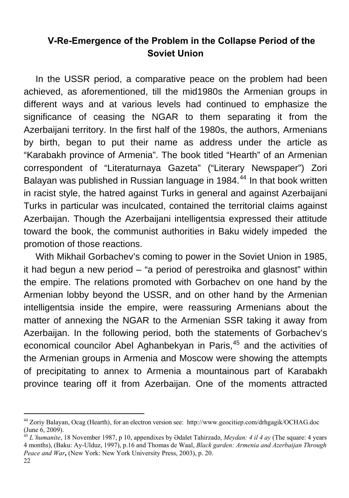## **V-Re-Emergence of the Problem in the Collapse Period of the Soviet Union**

In the USSR period, a comparative peace on the problem had been achieved, as aforementioned, till the mid1980s the Armenian groups in different ways and at various levels had continued to emphasize the significance of ceasing the NGAR to them separating it from the Azerbaijani territory. In the first half of the 1980s, the authors, Armenians by birth, began to put their name as address under the article as "Karabakh province of Armenia". The book titled "Hearth" of an Armenian correspondent of "Literaturnaya Gazeta" ("Literary Newspaper") Zori Balayan was published in Russian language in 1984.<sup>[44](#page-21-0)</sup> In that book written in racist style, the hatred against Turks in general and against Azerbaijani Turks in particular was inculcated, contained the territorial claims against Azerbaijan. Though the Azerbaijani intelligentsia expressed their attitude toward the book, the communist authorities in Baku widely impeded the promotion of those reactions.

With Mikhail Gorbachev's coming to power in the Soviet Union in 1985, it had begun a new period – "a period of perestroika and glasnost" within the empire. The relations promoted with Gorbachev on one hand by the Armenian lobby beyond the USSR, and on other hand by the Armenian intelligentsia inside the empire, were reassuring Armenians about the matter of annexing the NGAR to the Armenian SSR taking it away from Azerbaijan. In the following period, both the statements of Gorbachev's economical councilor Abel Aghanbekyan in Paris,<sup>[45](#page-21-1)</sup> and the activities of the Armenian groups in Armenia and Moscow were showing the attempts of precipitating to annex to Armenia a mountainous part of Karabakh province tearing off it from Azerbaijan. One of the moments attracted

<span id="page-21-0"></span><sup>44</sup> Zoriy Balayan, Ocag (Hearth), for an electron version see: [http://www.geocitiep.com/drhgagik/OCHAG.doc](http://www.geocities.com/drhgagik/OCHAG.doc) (June 6, 2009).

<span id="page-21-1"></span><sup>45</sup> *L'humanite*, 18 November 1987, p 10, appendixes by Ədalet Tahirzadə, *Meydan: 4 il 4 ay* (The square: 4 years 4 months), (Baku: Ay-Ulduz, 1997), p.16 and Thomas de Waal, *Black garden: Armenia and Azerbaijan Through Peace and War***,** (New York: New York University Press, 2003), p. 20.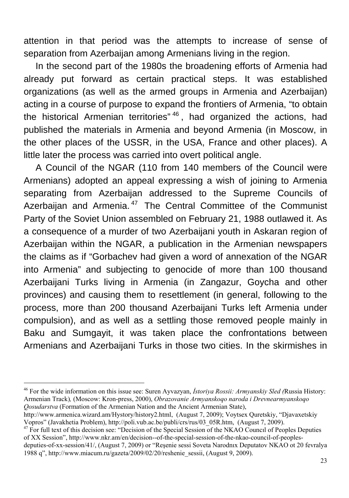attention in that period was the attempts to increase of sense of separation from Azerbaijan among Armenians living in the region.

In the second part of the 1980s the broadening efforts of Armenia had already put forward as certain practical steps. It was established organizations (as well as the armed groups in Armenia and Azerbaijan) acting in a course of purpose to expand the frontiers of Armenia, "to obtain the historical Armenian territories<sup>" [46](#page-22-0)</sup>, had organized the actions, had published the materials in Armenia and beyond Armenia (in Moscow, in the other places of the USSR, in the USA, France and other places). A little later the process was carried into overt political angle.

A Council of the NGAR (110 from 140 members of the Council were Armenians) adopted an appeal expressing a wish of joining to Armenia separating from Azerbaijan addressed to the Supreme Councils of Azerbaijan and Armenia.<sup>[47](#page-22-1)</sup> The Central Committee of the Communist Party of the Soviet Union assembled on February 21, 1988 outlawed it. As a consequence of a murder of two Azerbaijani youth in Askaran region of Azerbaijan within the NGAR, a publication in the Armenian newspapers the claims as if "Gorbachev had given a word of annexation of the NGAR into Armenia" and subjecting to genocide of more than 100 thousand Azerbaijani Turks living in Armenia (in Zangazur, Goycha and other provinces) and causing them to resettlement (in general, following to the process, more than 200 thousand Azerbaijani Turks left Armenia under compulsion), and as well as a settling those removed people mainly in Baku and Sumgayit, it was taken place the confrontations between Armenians and Azerbaijani Turks in those two cities. In the skirmishes in

<span id="page-22-0"></span><sup>46</sup> For the wide information on this issue see: Suren Ayvazyan, *İstoriya Rossii: Armyanskiy Sled (*Russia History: Armenian Track)*,* (Moscow: Kron-press, 2000), *Obrazovanie Armyanskoqo naroda i Drevnearmyanskoqo Qosudarstva* (Formation of the Armenian Nation and the Ancient Armenian State),

http://www.armenica.wizard.am/Hystory/history2.html, (August 7, 2009); Voytsex Quretskiy, "Djavaxetskiy Vopros" (Javakhetia Problem), [http://poli.vub.ac.be/publi/crs/rus/03\\_05R.htm,](http://poli.vub.ac.be/publi/crs/rus/03_05R.htm,) (August 7, 2009).  $^{47}$  For full text of this decision s[ee: "Decision of the Special Session of the NKA](http://poli.vub.ac.be/publi/crs/rus/03_05R.htm,)O Council of Peoples Deputies

<span id="page-22-1"></span>of XX Session", [http://www.nkr.am/en/decision--of-the-special-session-of-the-nkao-council-of-peoples-](http://www.nkr.am/en/decision--of-the-special-session-of-the-nkao-council-of-peoples-deputies-of-xx-session/41/)

[deputies-of-xx-session/41/](http://www.nkr.am/en/decision--of-the-special-session-of-the-nkao-council-of-peoples-deputies-of-xx-session/41/), (August 7, 2009) or "Reşenie sessi Soveta Narodnıx Deputatov NKAO ot 20 fevralya 1988 q", http://www.miacum.ru/gazeta/2009/02/20/reshenie\_sessii, (August 9, 2009).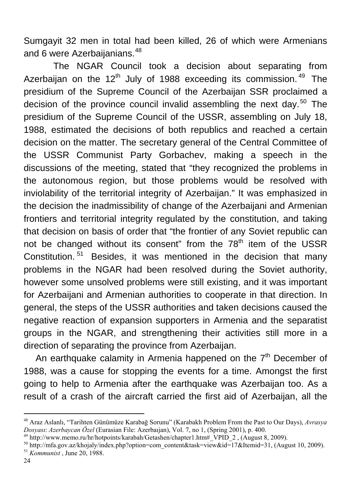Sumgayit 32 men in total had been killed, 26 of which were Armenians and 6 were Azerbaijanians.<sup>[48](#page-23-0)</sup>

 The NGAR Council took a decision about separating from Azerbaijan on the  $12<sup>th</sup>$  July of 1988 exceeding its commission.<sup>[49](#page-23-1)</sup> The presidium of the Supreme Council of the Azerbaijan SSR proclaimed a decision of the province council invalid assembling the next day.<sup>[50](#page-23-2)</sup> The presidium of the Supreme Council of the USSR, assembling on July 18, 1988, estimated the decisions of both republics and reached a certain decision on the matter. The secretary general of the Central Committee of the USSR Communist Party Gorbachev, making a speech in the discussions of the meeting, stated that "they recognized the problems in the autonomous region, but those problems would be resolved with inviolability of the territorial integrity of Azerbaijan." It was emphasized in the decision the inadmissibility of change of the Azerbaijani and Armenian frontiers and territorial integrity regulated by the constitution, and taking that decision on basis of order that "the frontier of any Soviet republic can not be changed without its consent" from the  $78<sup>th</sup>$  item of the USSR Constitution.<sup>[51](#page-23-3)</sup> Besides, it was mentioned in the decision that many problems in the NGAR had been resolved during the Soviet authority, however some unsolved problems were still existing, and it was important for Azerbaijani and Armenian authorities to cooperate in that direction. In general, the steps of the USSR authorities and taken decisions caused the negative reaction of expansion supporters in Armenia and the separatist groups in the NGAR, and strengthening their activities still more in a direction of separating the province from Azerbaijan.

An earthquake calamity in Armenia happened on the  $7<sup>th</sup>$  December of 1988, was a cause for stopping the events for a time. Amongst the first going to help to Armenia after the earthquake was Azerbaijan too. As a result of a crash of the aircraft carried the first aid of Azerbaijan, all the

<span id="page-23-0"></span><sup>48</sup> Araz Aslanlı, "Tarihten Günümüze Karabağ Sorunu" (Karabakh Problem From the Past to Our Days), *Avrasya* 

<span id="page-23-3"></span><span id="page-23-2"></span><span id="page-23-1"></span><sup>&</sup>lt;sup>49</sup> http://www.memo.ru/hr/hotpoints/karabah/Getashen/chapter1.htm#\_VPID\_2, (August 8, 2009).<br><sup>50</sup> [http://mfa.gov.az/khojaly/index.php?option=com\\_content&task=view&id=17&Itemid=31,](http://mfa.gov.az/khojaly/index.php?option=com_content&task=view&id=17&Itemid=31) (August 10, 2009).<br><sup>51</sup> *Kommunist*, Jun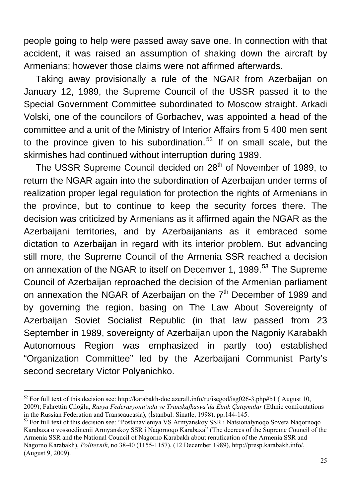people going to help were passed away save one. In connection with that accident, it was raised an assumption of shaking down the aircraft by Armenians; however those claims were not affirmed afterwards.

Taking away provisionally a rule of the NGAR from Azerbaijan on January 12, 1989, the Supreme Council of the USSR passed it to the Special Government Committee subordinated to Moscow straight. Arkadi Volski, one of the councilors of Gorbachev, was appointed a head of the committee and a unit of the Ministry of Interior Affairs from 5 400 men sent to the province given to his subordination.<sup>[52](#page-24-0)</sup> If on small scale, but the skirmishes had continued without interruption during 1989.

The USSR Supreme Council decided on 28<sup>th</sup> of November of 1989, to return the NGAR again into the subordination of Azerbaijan under terms of realization proper legal regulation for protection the rights of Armenians in the province, but to continue to keep the security forces there. The decision was criticized by Armenians as it affirmed again the NGAR as the Azerbaijani territories, and by Azerbaijanians as it embraced some dictation to Azerbaijan in regard with its interior problem. But advancing still more, the Supreme Council of the Armenia SSR reached a decision on annexation of the NGAR to itself on Decemver 1, 1989.<sup>[53](#page-24-1)</sup> The Supreme Council of Azerbaijan reproached the decision of the Armenian parliament on annexation the NGAR of Azerbaijan on the  $7<sup>th</sup>$  December of 1989 and by governing the region, basing on The Law About Sovereignty of Azerbaijan Soviet Socialist Republic (in that law passed from 23 September in 1989, sovereignty of Azerbaijan upon the Nagoniy Karabakh Autonomous Region was emphasized in partly too) established "Organization Committee" led by the Azerbaijani Communist Party's second secretary Victor Polyanichko.

<span id="page-24-0"></span> $52$  For full text of this decision see: <http://karabakh-doc.azerall.info/ru/isegod/isg026-3.php#b1> (August 10,

<sup>2009);</sup> Fahrettin Çiloğlu, *Rusya Federasyonu'nda ve Transkafkasya'da Etnik Çatışmalar* (Ethnic confrontations in the Russian Federation and Transcaucasia). (İstanbul: Sinatle, 1998), pp. 144-145.

<span id="page-24-1"></span><sup>&</sup>lt;sup>53</sup> For full text of this decision see: "Postanavleniya VS Armyanskoy SSR i Natsionalynoqo Soveta Naqornoqo Karabaxa o vossoedinenii Armyanskoy SSR i Naqornoqo Karabaxa" (The decrees of the Supreme Council of the Armenia SSR and the National Council of Nagorno Karabakh about renufication of the Armenia SSR and Nagorno Karabakh), *Politexnik*, no 38-40 (1155-1157), (12 December 1989), [http://presp.karabakh.info/](http://press.karabakh.info/), (August 9, 2009).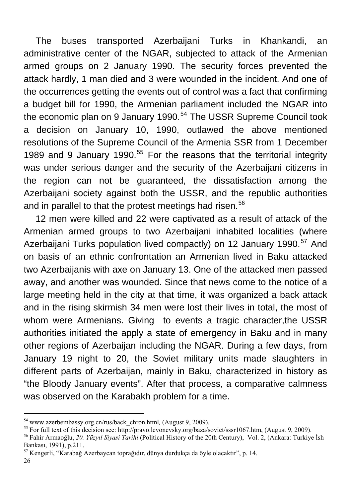The buses transported Azerbaijani Turks in Khankandi, an administrative center of the NGAR, subjected to attack of the Armenian armed groups on 2 January 1990. The security forces prevented the attack hardly, 1 man died and 3 were wounded in the incident. And one of the occurrences getting the events out of control was a fact that confirming a budget bill for 1990, the Armenian parliament included the NGAR into the economic plan on 9 January 1990.<sup>[54](#page-25-0)</sup> The USSR Supreme Council took a decision on January 10, 1990, outlawed the above mentioned resolutions of the Supreme Council of the Armenia SSR from 1 December 1989 and 9 January 1990.<sup>[55](#page-25-1)</sup> For the reasons that the territorial integrity was under serious danger and the security of the Azerbaijani citizens in the region can not be guaranteed, the dissatisfaction among the Azerbaijani society against both the USSR, and the republic authorities and in parallel to that the protest meetings had risen.<sup>[56](#page-25-2)</sup>

12 men were killed and 22 were captivated as a result of attack of the Armenian armed groups to two Azerbaijani inhabited localities (where Azerbaijani Turks population lived compactly) on 12 January 1990.<sup>[57](#page-25-3)</sup> And on basis of an ethnic confrontation an Armenian lived in Baku attacked two Azerbaijanis with axe on January 13. One of the attacked men passed away, and another was wounded. Since that news come to the notice of a large meeting held in the city at that time, it was organized a back attack and in the rising skirmish 34 men were lost their lives in total, the most of whom were Armenians. Giving to events a tragic character,the USSR authorities initiated the apply a state of emergency in Baku and in many other regions of Azerbaijan including the NGAR. During a few days, from January 19 night to 20, the Soviet military units made slaughters in different parts of Azerbaijan, mainly in Baku, characterized in history as "the Bloody January events". After that process, a comparative calmness was observed on the Karabakh problem for a time.

26

<span id="page-25-1"></span><span id="page-25-0"></span><sup>&</sup>lt;sup>54</sup> www.azerbembassy.org.cn/rus/back\_chron.html, (August 9, 2009).<br><sup>55</sup> [For full text of this decision see:](http://www.azerbembassy.org.cn/rus/back_chron.html) [http://pravo.levonevsky.org/baza/soviet/sssr1067.htm, \(August 9](http://pravo.levonevsky.org/baza/soviet/sssr1067.htm,%20(9), 2009).<br><sup>56</sup> Fahir Armaoğlu, *20. Yüzyıl Siyasi* 

<span id="page-25-2"></span>Bankası, 1991), p.211.<br><sup>57</sup> Kengerli, "Karabağ Azerbaycan toprağıdır, dünya durdukça da öyle olacaktır", p. 14.

<span id="page-25-3"></span>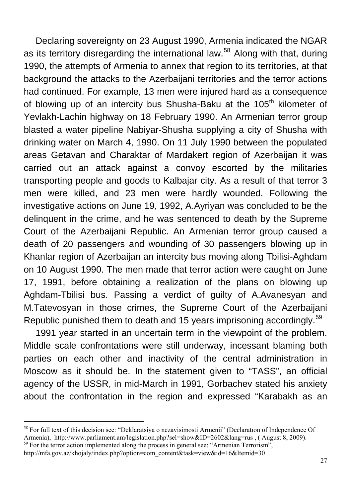Declaring sovereignty on 23 August 1990, Armenia indicated the NGAR as its territory disregarding the international law.<sup>[58](#page-26-0)</sup> Along with that, during 1990, the attempts of Armenia to annex that region to its territories, at that background the attacks to the Azerbaijani territories and the terror actions had continued. For example, 13 men were injured hard as a consequence of blowing up of an intercity bus Shusha-Baku at the 105<sup>th</sup> kilometer of Yevlakh-Lachin highway on 18 February 1990. An Armenian terror group blasted a water pipeline Nabiyar-Shusha supplying a city of Shusha with drinking water on March 4, 1990. On 11 July 1990 between the populated areas Getavan and Charaktar of Mardakert region of Azerbaijan it was carried out an attack against a convoy escorted by the militaries transporting people and goods to Kalbajar city. As a result of that terror 3 men were killed, and 23 men were hardly wounded. Following the investigative actions on June 19, 1992, A.Ayriyan was concluded to be the delinquent in the crime, and he was sentenced to death by the Supreme Court of the Azerbaijani Republic. An Armenian terror group caused a death of 20 passengers and wounding of 30 passengers blowing up in Khanlar region of Azerbaijan an intercity bus moving along Tbilisi-Aghdam on 10 August 1990. The men made that terror action were caught on June 17, 1991, before obtaining a realization of the plans on blowing up Aghdam-Tbilisi bus. Passing a verdict of guilty of A.Avanesyan and M.Tatevosyan in those crimes, the Supreme Court of the Azerbaijani Republic punished them to death and 15 years imprisoning accordingly.<sup>[59](#page-26-1)</sup>

1991 year started in an uncertain term in the viewpoint of the problem. Middle scale confrontations were still underway, incessant blaming both parties on each other and inactivity of the central administration in Moscow as it should be. In the statement given to "TASS", an official agency of the USSR, in mid-March in 1991, Gorbachev stated his anxiety about the confrontation in the region and expressed "Karabakh as an

<span id="page-26-0"></span><sup>58</sup> For full text of this decision see: "Deklaratsiya o nezavisimosti Armenii" (Declaratıon of Independence Of Armenia),<http://www.parliament.am/legislation.php?sel=show&ID=2602&lang=rus>, ( August 8, 2009).

<span id="page-26-1"></span> $59$  For the terror action implemented along the process in general see: "Armenian Terrorism", [http://mfa.gov.az/khojaly/index.php?option=com\\_content&task=view&id=16&Itemid=30](http://mfa.gov.az/khojaly/index.php?option=com_content&task=view&id=16&Itemid=30)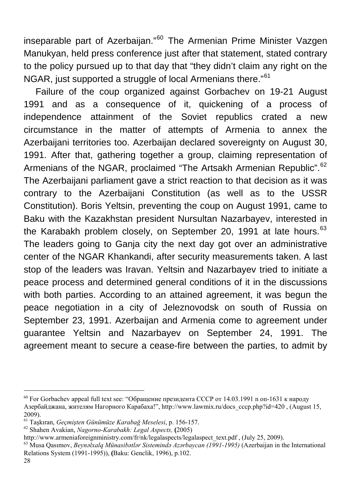inseparable part of Azerbaijan."<sup>[60](#page-27-0)</sup> The Armenian Prime Minister Vazgen Manukyan, held press conference just after that statement, stated contrary to the policy pursued up to that day that "they didn't claim any right on the NGAR, just supported a struggle of local Armenians there."<sup>[61](#page-27-1)</sup>

Failure of the coup organized against Gorbachev on 19-21 August 1991 and as a consequence of it, quickening of a process of independence attainment of the Soviet republics crated a new circumstance in the matter of attempts of Armenia to annex the Azerbaijani territories too. Azerbaijan declared sovereignty on August 30, 1991. After that, gathering together a group, claiming representation of Armenians of the NGAR, proclaimed "The Artsakh Armenian Republic".<sup>[62](#page-27-2)</sup> The Azerbaijani parliament gave a strict reaction to that decision as it was contrary to the Azerbaijani Constitution (as well as to the USSR Constitution). Boris Yeltsin, preventing the coup on August 1991, came to Baku with the Kazakhstan president Nursultan Nazarbayev, interested in the Karabakh problem closely, on September 20, 1991 at late hours.  $63$ The leaders going to Ganja city the next day got over an administrative center of the NGAR Khankandi, after security measurements taken. A last stop of the leaders was Iravan. Yeltsin and Nazarbayev tried to initiate a peace process and determined general conditions of it in the discussions with both parties. According to an attained agreement, it was begun the peace negotiation in a city of Jeleznovodsk on south of Russia on September 23, 1991. Azerbaijan and Armenia come to agreement under guarantee Yeltsin and Nazarbayev on September 24, 1991. The agreement meant to secure a cease-fire between the parties, to admit by

<span id="page-27-0"></span><sup>&</sup>lt;sup>60</sup> For Gorbachev appeal full text see: "Обращение президента СССР от 14.03.1991 n оп-1631 к народу Азербайджана, жителям Нагорного Карабаха!", [http://www.lawmix.ru/docs\\_cccp.php?id=420](http://www.lawmix.ru/docs_cccp.php?id=420) , (August 15, 2009).

<span id="page-27-2"></span>

<span id="page-27-1"></span><sup>61</sup> Taşkıran, *Geçmişten Günümüze Karabağ Meselesi*, p. 156-157. 62 Shahen Avakian, *Nagorno-Karabakh: Legal Aspects,* **(**2005)

<span id="page-27-3"></span> $^{63}$  $^{63}$  $^{63}$  Musa Qasımov, Beynəlxalq Münasibətlər Sistemində Azərbaycan (1991-1995) (Azerbaijan in the International Relations System (1991-1995)), **(**Baku: Genclik, 1996), p.102.

<sup>28</sup>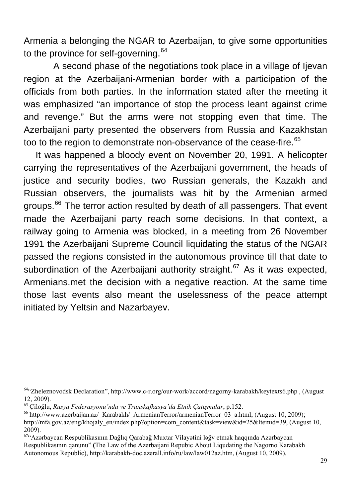Armenia a belonging the NGAR to Azerbaijan, to give some opportunities to the province for self-governing. $64$ 

 A second phase of the negotiations took place in a village of Ijevan region at the Azerbaijani-Armenian border with a participation of the officials from both parties. In the information stated after the meeting it was emphasized "an importance of stop the process leant against crime and revenge." But the arms were not stopping even that time. The Azerbaijani party presented the observers from Russia and Kazakhstan too to the region to demonstrate non-observance of the cease-fire.<sup>[65](#page-28-1)</sup>

It was happened a bloody event on November 20, 1991. A helicopter carrying the representatives of the Azerbaijani government, the heads of justice and security bodies, two Russian generals, the Kazakh and Russian observers, the journalists was hit by the Armenian armed groups.<sup>[66](#page-28-2)</sup> The terror action resulted by death of all passengers. That event made the Azerbaijani party reach some decisions. In that context, a railway going to Armenia was blocked, in a meeting from 26 November 1991 the Azerbaijani Supreme Council liquidating the status of the NGAR passed the regions consisted in the autonomous province till that date to subordination of the Azerbaijani authority straight.<sup>[67](#page-28-3)</sup> As it was expected, Armenians.met the decision with a negative reaction. At the same time those last events also meant the uselessness of the peace attempt initiated by Yeltsin and Nazarbayev.

<span id="page-28-0"></span><sup>64&</sup>quot;Zheleznovodsk Declaration", [http://www.c-r.org/our-work/accord/nagorny-karabakh/keytexts6.php ,](http://www.c-r.org/our-work/accord/nagorny-karabakh/keytexts6.php) (August 12, 2009).<br><sup>65</sup> Çiloğlu, *Rusya Federasyonu'nda ve Transkafkasya'da Etnik Çatışmalar*, p.152.

<span id="page-28-1"></span>

<span id="page-28-2"></span><sup>&</sup>lt;sup>66</sup> http://www.azerbaijan.az/ Karabakh/ ArmenianTerror/armenianTerror 03 a.html, (August 10, 2009); [http://mfa.gov.az/eng/khojaly\\_en/index.php?option=com\\_content&task=view&id=25&Itemid=39](http://mfa.gov.az/eng/khojaly_en/index.php?option=com_content&task=view&id=25&Itemid=39), (August 10, 2009).

<span id="page-28-3"></span><sup>&</sup>lt;sup>67</sup> Azərbaycan Respublikasının Dağlıq Qarabağ Muxtar Vilayətini ləğv etmək haqqında Azərbaycan Respublikasının qanunu" **(**The Law of the Azerbaijani Repubic About Liqudating the Nagorno Karabakh Autonomous Republic), [http://karabakh-doc.azerall.info/ru/law/law012az.htm, \(A](http://karabakh-doc.azerall.info/ru/law/law012az.htm,%20()ugust 10, 2009).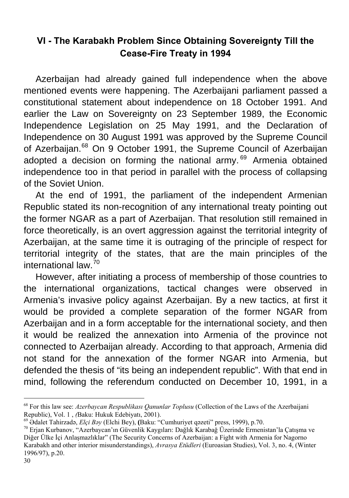## **VI - The Karabakh Problem Since Obtaining Sovereignty Till the Cease-Fire Treaty in 1994**

Azerbaijan had already gained full independence when the above mentioned events were happening. The Azerbaijani parliament passed a constitutional statement about independence on 18 October 1991. And earlier the Law on Sovereignty on 23 September 1989, the Economic Independence Legislation on 25 May 1991, and the Declaration of Independence on 30 August 1991 was approved by the Supreme Council of Azerbaijan.<sup>[68](#page-29-0)</sup> On 9 October 1991, the Supreme Council of Azerbaijan adopted a decision on forming the national army. $69$  Armenia obtained independence too in that period in parallel with the process of collapsing of the Soviet Union.

At the end of 1991, the parliament of the independent Armenian Republic stated its non-recognition of any international treaty pointing out the former NGAR as a part of Azerbaijan. That resolution still remained in force theoretically, is an overt aggression against the territorial integrity of Azerbaijan, at the same time it is outraging of the principle of respect for territorial integrity of the states, that are the main principles of the international law.[70](#page-29-2)

However, after initiating a process of membership of those countries to the international organizations, tactical changes were observed in Armenia's invasive policy against Azerbaijan. By a new tactics, at first it would be provided a complete separation of the former NGAR from Azerbaijan and in a form acceptable for the international society, and then it would be realized the annexation into Armenia of the province not connected to Azerbaijan already. According to that approach, Armenia did not stand for the annexation of the former NGAR into Armenia, but defended the thesis of "its being an independent republic". With that end in mind, following the referendum conducted on December 10, 1991, in a

<span id="page-29-0"></span><sup>&</sup>lt;sup>68</sup> For this law see: *Azerbaycan Respublikası Qanunlar Toplusu* (Collection of the Laws of the Azerbaijani Republic), Vol. 1, *(Baku: Hukuk Edebiyati, 2001)*.

<span id="page-29-1"></span><sup>&</sup>lt;sup>69</sup> Ədalet Tahirzadə, *Elçi Bəy* (Elchi Bey), (Baku: "Cumhuriyet qəzeti" press, 1999), p.70.<br><sup>70</sup> Erjan Kurbanov, "Azerbaycan'ın Güvenlik Kaygıları: Dağlık Karabağ Üzerinde Ermenistan'la Çatışma ve

<span id="page-29-2"></span>Diğer Ülke İçi Anlaşmazlıklar" (The Security Concerns of Azerbaijan: a Fight with Armenia for Nagorno Karabakh and other interior misunderstandings), *Avrasya Etüdleri* (Euroasian Studies), Vol. 3, no. 4, (Winter 1996/97), p.20.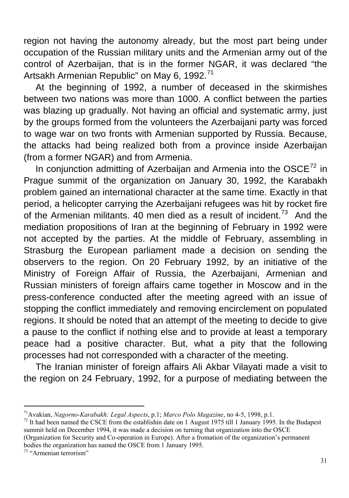region not having the autonomy already, but the most part being under occupation of the Russian military units and the Armenian army out of the control of Azerbaijan, that is in the former NGAR, it was declared "the Artsakh Armenian Republic" on May 6, 1992.<sup>[71](#page-30-0)</sup>

At the beginning of 1992, a number of deceased in the skirmishes between two nations was more than 1000. A conflict between the parties was blazing up gradually. Not having an official and systematic army, just by the groups formed from the volunteers the Azerbaijani party was forced to wage war on two fronts with Armenian supported by Russia. Because, the attacks had being realized both from a province inside Azerbaijan (from a former NGAR) and from Armenia.

In conjunction admitting of Azerbaijan and Armenia into the  $OSCE^{72}$  $OSCE^{72}$  $OSCE^{72}$  in Prague summit of the organization on January 30, 1992, the Karabakh problem gained an international character at the same time. Exactly in that period, a helicopter carrying the Azerbaijani refugees was hit by rocket fire of the Armenian militants. 40 men died as a result of incident.<sup>[73](#page-30-2)</sup> And the mediation propositions of Iran at the beginning of February in 1992 were not accepted by the parties. At the middle of February, assembling in Strasburg the European parliament made a decision on sending the observers to the region. On 20 February 1992, by an initiative of the Ministry of Foreign Affair of Russia, the Azerbaijani, Armenian and Russian ministers of foreign affairs came together in Moscow and in the press-conference conducted after the meeting agreed with an issue of stopping the conflict immediately and removing encirclement on populated regions. It should be noted that an attempt of the meeting to decide to give a pause to the conflict if nothing else and to provide at least a temporary peace had a positive character. But, what a pity that the following processes had not corresponded with a character of the meeting.

The Iranian minister of foreign affairs Ali Akbar Vilayati made a visit to the region on 24 February, 1992, for a purpose of mediating between the

<span id="page-30-1"></span><span id="page-30-0"></span><sup>&</sup>lt;sup>71</sup> Avakian, *Nagorno-Karabakh: Legal Aspects*, p.1; *Marco Polo Magazine*, no 4-5, 1998, p.1.<br><sup>72</sup> It had been named the CSCE from the establishin date on 1 August 1975 till 1 January 1995. In the Budapest summit held on December 1994, it was made a decision on turning that organization into the OSCE (Organization for Security and Co-operation in Europe). After a fromation of the organization's permanent bodies the organization has named the OSCE from 1 January 1995.

<span id="page-30-2"></span><sup>73 &</sup>quot;Armenian terrorism"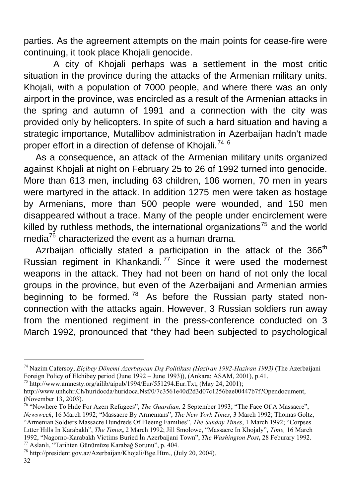parties. As the agreement attempts on the main points for cease-fire were continuing, it took place Khojali genocide.

 A city of Khojali perhaps was a settlement in the most critic situation in the province during the attacks of the Armenian military units. Khojali, with a population of 7000 people, and where there was an only airport in the province, was encircled as a result of the Armenian attacks in the spring and autumn of 1991 and a connection with the city was provided only by helicopters. In spite of such a hard situation and having a strategic importance, Mutallibov administration in Azerbaijan hadn't made proper effort in a direction of defense of Khojali.<sup>[74](#page-31-0) 6</sup>

As a consequence, an attack of the Armenian military units organized against Khojali at night on February 25 to 26 of 1992 turned into genocide. More than 613 men, including 63 children, 106 women, 70 men in years were martyred in the attack. In addition 1275 men were taken as hostage by Armenians, more than 500 people were wounded, and 150 men disappeared without a trace. Many of the people under encirclement were killed by ruthless methods, the international organizations<sup>[75](#page-31-1)</sup> and the world media<sup>[76](#page-31-2)</sup> characterized the event as a human drama.

Azrbaijan officially stated a participation in the attack of the  $366<sup>th</sup>$ Russian regiment in Khankandi.<sup>[77](#page-31-3)</sup> Since it were used the modernest weapons in the attack. They had not been on hand of not only the local groups in the province, but even of the Azerbaijani and Armenian armies beginning to be formed.<sup>[78](#page-31-4)</sup> As before the Russian party stated nonconnection with the attacks again. However, 3 Russian soldiers run away from the mentioned regiment in the press-conference conducted on 3 March 1992, pronounced that "they had been subjected to psychological

<span id="page-31-0"></span><sup>74</sup> Nazim Cafersoy, *Elçibey Dönemi Azerbaycan Dış Politikası (Haziran 1992-Haziran 1993)* (The Azerbaijani Foreign Policy of Elchibey period (June 1992 – June 1993)), (Ankara: ASAM, 2001), p.41. <sup>75</sup> [http://www.amnesty.org/ailib/aipub/1994/Eur/551294.Eur.Txt,](http://www.amnesty.org/ailib/aipub/1994/Eur/551294.Eur.Txt) (May 24, 2001);

<span id="page-31-1"></span>

[http://www.unhchr.Ch/huridocda/huridoca.Nsf/0/7c3561e40d2d3d07c1256bae00447b7f?Opendocument,](http://www.unhchr.ch/huridocda/huridoca.Nsf/0/7c3561e40d2d3d07c1256bae00447b7f?Opendocument) (November 13, 2003).

<span id="page-31-2"></span><sup>76 &</sup>quot;Nowhere To Hıde For Azerı Refugees", *The Guardian,* 2 September 1993; "The Face Of A Massacre", *Newsweek*, 16 March 1992; "Massacre By Armenıans", *The New York Times*, 3 March 1992; Thomas Goltz, "Armenian Soldıers Massacre Hundreds Of Fleeıng Families", *The Sunday Times*, 1 March 1992; "Corpses Lıtter Hılls In Karabakh", *The Times***,** 2 March 1992; Jill Smolowe, "Massacre In Khojaly", *Time,* 16 March 1992, "Nagorno-Karabakh Victims Buried İn Azerbaijani Town", *The Washington Post*, 28 Feburary 1992.<br><sup>77</sup> Aslanlı, "Tarihten Günümüze Karabağ Sorunu", p. 404.<br><sup>78</sup> [http://president.gov.az/Azerbaijan/Khojali/Bge.Htm.](http://president.gov.az/Azerbaijan/Khojali/Bge.Htm), (Jul

<span id="page-31-4"></span><span id="page-31-3"></span>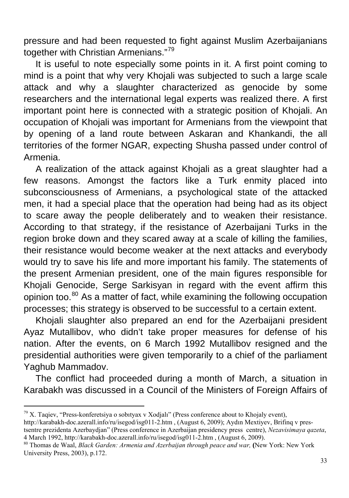pressure and had been requested to fight against Muslim Azerbaijanians together with Christian Armenians."[79](#page-32-0)

It is useful to note especially some points in it. A first point coming to mind is a point that why very Khojali was subjected to such a large scale attack and why a slaughter characterized as genocide by some researchers and the international legal experts was realized there. A first important point here is connected with a strategic position of Khojali. An occupation of Khojali was important for Armenians from the viewpoint that by opening of a land route between Askaran and Khankandi, the all territories of the former NGAR, expecting Shusha passed under control of Armenia.

A realization of the attack against Khojali as a great slaughter had a few reasons. Amongst the factors like a Turk enmity placed into subconsciousness of Armenians, a psychological state of the attacked men, it had a special place that the operation had being had as its object to scare away the people deliberately and to weaken their resistance. According to that strategy, if the resistance of Azerbaijani Turks in the region broke down and they scared away at a scale of killing the families, their resistance would become weaker at the next attacks and everybody would try to save his life and more important his family. The statements of the present Armenian president, one of the main figures responsible for Khojali Genocide, Serge Sarkisyan in regard with the event affirm this opinion too.<sup>[80](#page-32-1)</sup> As a matter of fact, while examining the following occupation processes; this strategy is observed to be successful to a certain extent.

Khojali slaughter also prepared an end for the Azerbaijani president Ayaz Mutallibov, who didn't take proper measures for defense of his nation. After the events, on 6 March 1992 Mutallibov resigned and the presidential authorities were given temporarily to a chief of the parliament Yaghub Mammadov.

The conflict had proceeded during a month of March, a situation in Karabakh was discussed in a Council of the Ministers of Foreign Affairs of

<span id="page-32-0"></span> $^{79}$  X. Tagiev, "Press-konferetsiya o sobityax v Xodjalı" (Press conference about to Khojaly event),

<http://karabakh-doc.azerall.info/ru/isegod/isg011-2.htm>, (August 6, 2009); Aydın Mextiyev, Brifinq v prestsentre prezidenta Azerbaydjan" (Press conference in Azerbaijan presidency press centre), *Nezavisimaya qazeta*,

<span id="page-32-1"></span><sup>&</sup>lt;sup>80</sup> Thomas de Waal, *Black Garden: Armenia and Azerbaijan through peace and war,* (New York: New York University Press, 2003), p.172.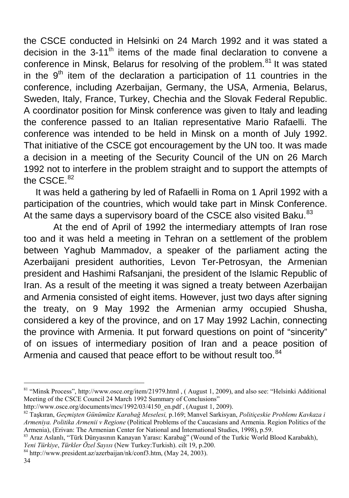the CSCE conducted in Helsinki on 24 March 1992 and it was stated a decision in the 3-11<sup>th</sup> items of the made final declaration to convene a conference in Minsk. Belarus for resolving of the problem.<sup>[81](#page-33-0)</sup> It was stated in the  $9<sup>th</sup>$  item of the declaration a participation of 11 countries in the conference, including Azerbaijan, Germany, the USA, Armenia, Belarus, Sweden, Italy, France, Turkey, Chechia and the Slovak Federal Republic. A coordinator position for Minsk conference was given to Italy and leading the conference passed to an Italian representative Mario Rafaelli. The conference was intended to be held in Minsk on a month of July 1992. That initiative of the CSCE got encouragement by the UN too. It was made a decision in a meeting of the Security Council of the UN on 26 March 1992 not to interfere in the problem straight and to support the attempts of the CSCE.<sup>[82](#page-33-1)</sup>

It was held a gathering by led of Rafaelli in Roma on 1 April 1992 with a participation of the countries, which would take part in Minsk Conference. At the same days a supervisory board of the CSCE also visited Baku.<sup>[83](#page-33-2)</sup>

 At the end of April of 1992 the intermediary attempts of Iran rose too and it was held a meeting in Tehran on a settlement of the problem between Yaghub Mammadov, a speaker of the parliament acting the Azerbaijani president authorities, Levon Ter-Petrosyan, the Armenian president and Hashimi Rafsanjani, the president of the Islamic Republic of Iran. As a result of the meeting it was signed a treaty between Azerbaijan and Armenia consisted of eight items. However, just two days after signing the treaty, on 9 May 1992 the Armenian army occupied Shusha, considered a key of the province, and on 17 May 1992 Lachin, connecting the province with Armenia. It put forward questions on point of "sincerity" of on issues of intermediary position of Iran and a peace position of Armenia and caused that peace effort to be without result too.<sup>[84](#page-33-3)</sup>

<span id="page-33-0"></span><sup>81 &</sup>quot;Minsk Process",<http://www.osce.org/item/21979.html> , (August 1, 2009), and also see: "Helsinki Additional Meeting of the CSCE Council 24 March 1992 Summary of Conclusions"

<span id="page-33-1"></span>[http://www.osce.org/documents/mcs/1992/03/4150\\_en.pdf](http://www.osce.org/documents/mcs/1992/03/4150_en.pdf) , (August 1, 2009). [82](http://www.osce.org/documents/mcs/1992/03/4150_en.pdf) Taşkıran, *Geçmişten Günümüze Karabağ Meselesi,* p.169; Manvel Sarkisyan, *Politiçeskie Problemı Kavkaza i Armeniya. Politika Armenii v Regione* (Political Problems of the Caucasians and Armenia. Region Politics of the Armenia), (Erivan: The Armenian Center for National and İnternational Studies, 1998), p.59. 83 Araz Aslanlı, "Türk Dünyasının Kanayan Yarası: Karabağ" (Wound of the Turkic World Blood Karabakh),

<span id="page-33-2"></span>

<span id="page-33-3"></span>*Yeni Türkiye, Türkler Özel Sayısı* (New Turkey:Turkish). cilt 19, p.200. <sup>84</sup> [http://www.president.az/azerbaijan/nk/conf3.htm,](http://www.president.az/azerbaijan/nk/conf3.htm) (May 24, 2003).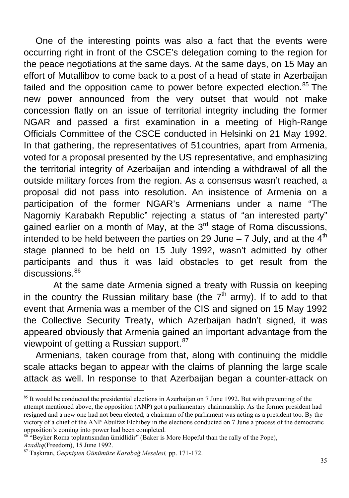One of the interesting points was also a fact that the events were occurring right in front of the CSCE's delegation coming to the region for the peace negotiations at the same days. At the same days, on 15 May an effort of Mutallibov to come back to a post of a head of state in Azerbaijan failed and the opposition came to power before expected election.<sup>[85](#page-34-0)</sup> The new power announced from the very outset that would not make concession flatly on an issue of territorial integrity including the former NGAR and passed a first examination in a meeting of High-Range Officials Committee of the CSCE conducted in Helsinki on 21 May 1992. In that gathering, the representatives of 51countries, apart from Armenia, voted for a proposal presented by the US representative, and emphasizing the territorial integrity of Azerbaijan and intending a withdrawal of all the outside military forces from the region. As a consensus wasn't reached, a proposal did not pass into resolution. An insistence of Armenia on a participation of the former NGAR's Armenians under a name "The Nagorniy Karabakh Republic" rejecting a status of "an interested party" gained earlier on a month of May, at the  $3<sup>rd</sup>$  stage of Roma discussions, intended to be held between the parties on 29 June  $-7$  July, and at the  $4<sup>th</sup>$ stage planned to be held on 15 July 1992, wasn't admitted by other participants and thus it was laid obstacles to get result from the discussions.<sup>[86](#page-34-1)</sup>

 At the same date Armenia signed a treaty with Russia on keeping in the country the Russian military base (the  $7<sup>th</sup>$  army). If to add to that event that Armenia was a member of the CIS and signed on 15 May 1992 the Collective Security Treaty, which Azerbaijan hadn't signed, it was appeared obviously that Armenia gained an important advantage from the viewpoint of getting a Russian support.<sup>[87](#page-34-2)</sup>

Armenians, taken courage from that, along with continuing the middle scale attacks began to appear with the claims of planning the large scale attack as well. In response to that Azerbaijan began a counter-attack on

<span id="page-34-0"></span> $85$  It would be conducted the presidential elections in Azerbaijan on 7 June 1992. But with preventing of the attempt mentioned above, the opposition (ANP) got a parliamentary chairmanship. As the former president had resigned and a new one had not been elected, a chairman of the parliament was acting as a president too. By the victory of a chief of the ANP Abulfaz Elchibey in the elections conducted on 7 June a process of the democratic opposition's coming into power had been completed.

<span id="page-34-1"></span> $86$  "Beyker Roma toplantisindan ümidlidir" (Baker is More Hopeful than the rally of the Pope), *Azadlıq*(Freedom), 15 June 1992. 87 Taşkıran, *Geçmişten Günümüze Karabağ Meselesi,* pp. 171-172.

<span id="page-34-2"></span>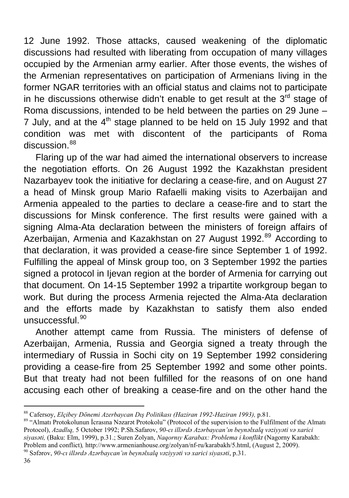12 June 1992. Those attacks, caused weakening of the diplomatic discussions had resulted with liberating from occupation of many villages occupied by the Armenian army earlier. After those events, the wishes of the Armenian representatives on participation of Armenians living in the former NGAR territories with an official status and claims not to participate in he discussions otherwise didn't enable to get result at the  $3<sup>rd</sup>$  stage of Roma discussions, intended to be held between the parties on 29 June – 7 July, and at the  $4<sup>th</sup>$  stage planned to be held on 15 July 1992 and that condition was met with discontent of the participants of Roma discussion.<sup>[88](#page-35-0)</sup>

Flaring up of the war had aimed the international observers to increase the negotiation efforts. On 26 August 1992 the Kazakhstan president Nazarbayev took the initiative for declaring a cease-fire, and on August 27 a head of Minsk group Mario Rafaelli making visits to Azerbaijan and Armenia appealed to the parties to declare a cease-fire and to start the discussions for Minsk conference. The first results were gained with a signing Alma-Ata declaration between the ministers of foreign affairs of Azerbaijan, Armenia and Kazakhstan on 27 August 1992.<sup>[89](#page-35-1)</sup> According to that declaration, it was provided a cease-fire since September 1 of 1992. Fulfilling the appeal of Minsk group too, on 3 September 1992 the parties signed a protocol in Ijevan region at the border of Armenia for carrying out that document. On 14-15 September 1992 a tripartite workgroup began to work. But during the process Armenia rejected the Alma-Ata declaration and the efforts made by Kazakhstan to satisfy them also ended unsuccessful.[90](#page-35-2)

Another attempt came from Russia. The ministers of defense of Azerbaijan, Armenia, Russia and Georgia signed a treaty through the intermediary of Russia in Sochi city on 19 September 1992 considering providing a cease-fire from 25 September 1992 and some other points. But that treaty had not been fulfilled for the reasons of on one hand accusing each other of breaking a cease-fire and on the other hand the

<span id="page-35-1"></span><span id="page-35-0"></span><sup>&</sup>lt;sup>88</sup> Cafersoy, *Elçibey Dönemi Azerbaycan Dış Politikası (Haziran 1992-Haziran 1993),* p.81.<br><sup>89</sup> "Almatı Protokolunun İcrasına Nəzarət Protokolu" (Protocol of the supervision to the Fulfilment of the Almatı Protocol), *Azadlıq,* 5 October 1992; P.Sh.Safarov, *90-cı illərdə Azərbaycan'ın beynəlxalq vəziyyəti və xarici siyasəti,* (Baku: Elm, 1999), p.31.; Suren Zolyan, *Naqornıy Karabax: Problema i konflikt* (Nagorny Karabakh:

<span id="page-35-2"></span>Problem and conflict), [http://www.armenianhouse.org/zolyan/nf-ru/karabakh/5.html,](http://www.armenianhouse.org/zolyan/nf-ru/karabakh/5.html) (August 2, 2009).<br><sup>90</sup> Səfərov. 90-cı illərdə Azərbaycan'ın beynəlxalq vəziyyəti və xarici siyasəti, p.31.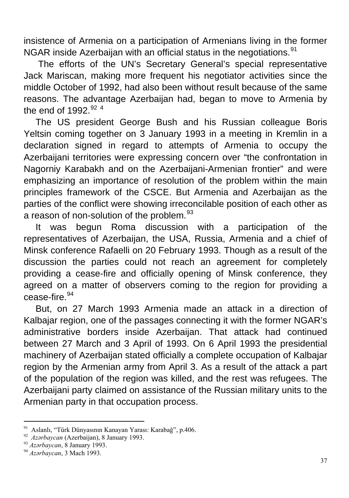insistence of Armenia on a participation of Armenians living in the former NGAR inside Azerbaijan with an official status in the negotiations.<sup>[91](#page-36-0)</sup>

 The efforts of the UN's Secretary General's special representative Jack Mariscan, making more frequent his negotiator activities since the middle October of 1992, had also been without result because of the same reasons. The advantage Azerbaijan had, began to move to Armenia by the end of 19[92](#page-36-1) $92.4$ 

The US president George Bush and his Russian colleague Boris Yeltsin coming together on 3 January 1993 in a meeting in Kremlin in a declaration signed in regard to attempts of Armenia to occupy the Azerbaijani territories were expressing concern over "the confrontation in Nagorniy Karabakh and on the Azerbaijani-Armenian frontier" and were emphasizing an importance of resolution of the problem within the main principles framework of the CSCE. But Armenia and Azerbaijan as the parties of the conflict were showing irreconcilable position of each other as a reason of non-solution of the problem.<sup>[93](#page-36-2)</sup>

It was begun Roma discussion with a participation of the representatives of Azerbaijan, the USA, Russia, Armenia and a chief of Minsk conference Rafaelli on 20 February 1993. Though as a result of the discussion the parties could not reach an agreement for completely providing a cease-fire and officially opening of Minsk conference, they agreed on a matter of observers coming to the region for providing a cease-fire.[94](#page-36-3)

But, on 27 March 1993 Armenia made an attack in a direction of Kalbajar region, one of the passages connecting it with the former NGAR's administrative borders inside Azerbaijan. That attack had continued between 27 March and 3 April of 1993. On 6 April 1993 the presidential machinery of Azerbaijan stated officially a complete occupation of Kalbajar region by the Armenian army from April 3. As a result of the attack a part of the population of the region was killed, and the rest was refugees. The Azerbaijani party claimed on assistance of the Russian military units to the Armenian party in that occupation process.

<span id="page-36-0"></span><sup>&</sup>lt;sup>91</sup> Aslanlı, "Türk Dünyasının Kanayan Yarası: Karabağ", p.406.<br><sup>92</sup> *Azərbaycan* (Azerbaijan), 8 January 1993.<br><sup>93</sup> *Azərbaycan*, 8 January 1993.<br><sup>94</sup> *Azərbaycan*, 3 Mach 1993.

<span id="page-36-1"></span>

<span id="page-36-2"></span>

<span id="page-36-3"></span>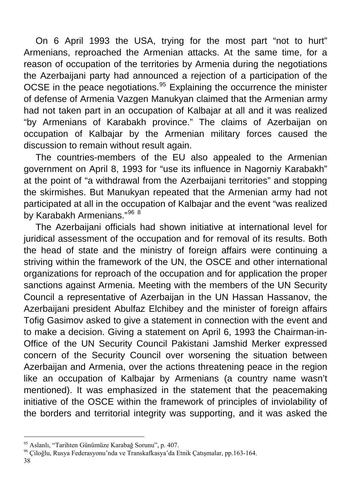On 6 April 1993 the USA, trying for the most part "not to hurt" Armenians, reproached the Armenian attacks. At the same time, for a reason of occupation of the territories by Armenia during the negotiations the Azerbaijani party had announced a rejection of a participation of the OCSE in the peace negotiations.<sup>[95](#page-37-0)</sup> Explaining the occurrence the minister of defense of Armenia Vazgen Manukyan claimed that the Armenian army had not taken part in an occupation of Kalbajar at all and it was realized "by Armenians of Karabakh province." The claims of Azerbaijan on occupation of Kalbajar by the Armenian military forces caused the discussion to remain without result again.

The countries-members of the EU also appealed to the Armenian government on April 8, 1993 for "use its influence in Nagorniy Karabakh" at the point of "a withdrawal from the Azerbaijani territories" and stopping the skirmishes. But Manukyan repeated that the Armenian army had not participated at all in the occupation of Kalbajar and the event "was realized by Karabakh Armenians."<sup>[96](#page-37-1) 8</sup>

The Azerbaijani officials had shown initiative at international level for juridical assessment of the occupation and for removal of its results. Both the head of state and the ministry of foreign affairs were continuing a striving within the framework of the UN, the OSCE and other international organizations for reproach of the occupation and for application the proper sanctions against Armenia. Meeting with the members of the UN Security Council a representative of Azerbaijan in the UN Hassan Hassanov, the Azerbaijani president Abulfaz Elchibey and the minister of foreign affairs Tofig Gasimov asked to give a statement in connection with the event and to make a decision. Giving a statement on April 6, 1993 the Chairman-in-Office of the UN Security Council Pakistani Jamshid Merker expressed concern of the Security Council over worsening the situation between Azerbaijan and Armenia, over the actions threatening peace in the region like an occupation of Kalbajar by Armenians (a country name wasn't mentioned). It was emphasized in the statement that the peacemaking initiative of the OSCE within the framework of principles of inviolability of the borders and territorial integrity was supporting, and it was asked the

<span id="page-37-1"></span><span id="page-37-0"></span><sup>&</sup>lt;sup>95</sup> Aslanlı, "Tarihten Günümüze Karabağ Sorunu", p. 407.<br><sup>96</sup> Çiloğlu, Rusya Federasyonu'nda ve Transkafkasya'da Etnik Çatışmalar, pp.163-164.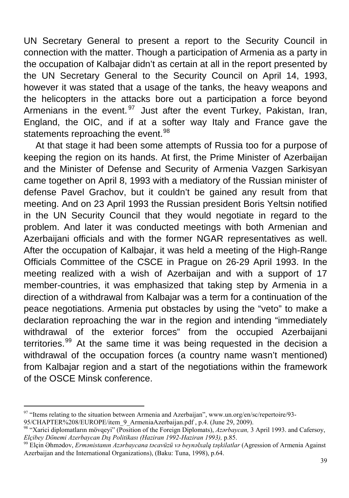UN Secretary General to present a report to the Security Council in connection with the matter. Though a participation of Armenia as a party in the occupation of Kalbajar didn't as certain at all in the report presented by the UN Secretary General to the Security Council on April 14, 1993, however it was stated that a usage of the tanks, the heavy weapons and the helicopters in the attacks bore out a participation a force beyond Armenians in the event.  $97$  Just after the event Turkey, Pakistan, Iran, England, the OIC, and if at a softer way Italy and France gave the statements reproaching the event.<sup>[98](#page-38-1)</sup>

At that stage it had been some attempts of Russia too for a purpose of keeping the region on its hands. At first, the Prime Minister of Azerbaijan and the Minister of Defense and Security of Armenia Vazgen Sarkisyan came together on April 8, 1993 with a mediatory of the Russian minister of defense Pavel Grachov, but it couldn't be gained any result from that meeting. And on 23 April 1993 the Russian president Boris Yeltsin notified in the UN Security Council that they would negotiate in regard to the problem. And later it was conducted meetings with both Armenian and Azerbaijani officials and with the former NGAR representatives as well. After the occupation of Kalbajar, it was held a meeting of the High-Range Officials Committee of the CSCE in Prague on 26-29 April 1993. In the meeting realized with a wish of Azerbaijan and with a support of 17 member-countries, it was emphasized that taking step by Armenia in a direction of a withdrawal from Kalbajar was a term for a continuation of the peace negotiations. Armenia put obstacles by using the "veto" to make a declaration reproaching the war in the region and intending "immediately withdrawal of the exterior forces" from the occupied Azerbaijani territories.<sup>[99](#page-38-2)</sup> At the same time it was being requested in the decision a withdrawal of the occupation forces (a country name wasn't mentioned) from Kalbajar region and a start of the negotiations within the framework of the OSCE Minsk conference.

 $\overline{a}$ 97 "Items relating to the situation between Armenia and Azerbaijan", www.un.org/en/sc/repertoire/93-

<span id="page-38-0"></span>

<span id="page-38-1"></span><sup>95/</sup>CHAPTER%208/EUROPE/item\_9\_ArmeniaAzerbaijan.pdf , p.4. (June 29, 2009).<br><sup>98</sup> "Xarici diplomatların mövqeyi" (Position of the Foreign Diplomats), *Azərbaycan*, 3 April 1993. and Cafersoy,<br>*Elcibev Dönemi Azerbaycan Dıs P* 

<span id="page-38-2"></span><sup>&</sup>lt;sup>99</sup> Elçin Əhmədov, *Ermənistanın Azərbaycana təcavüzü və beynəlxalq təşkilatlar* (Agression of Armenia Against Azerbaijan and the International Organizations), (Baku: Tuna, 1998), p.64.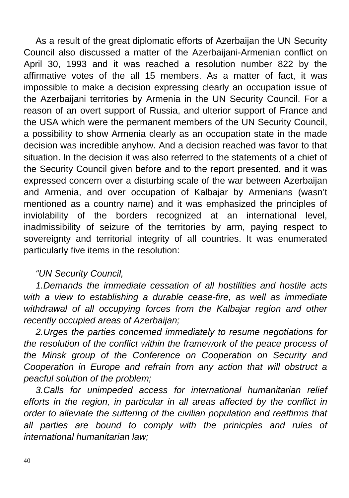As a result of the great diplomatic efforts of Azerbaijan the UN Security Council also discussed a matter of the Azerbaijani-Armenian conflict on April 30, 1993 and it was reached a resolution number 822 by the affirmative votes of the all 15 members. As a matter of fact, it was impossible to make a decision expressing clearly an occupation issue of the Azerbaijani territories by Armenia in the UN Security Council. For a reason of an overt support of Russia, and ulterior support of France and the USA which were the permanent members of the UN Security Council, a possibility to show Armenia clearly as an occupation state in the made decision was incredible anyhow. And a decision reached was favor to that situation. In the decision it was also referred to the statements of a chief of the Security Council given before and to the report presented, and it was expressed concern over a disturbing scale of the war between Azerbaijan and Armenia, and over occupation of Kalbajar by Armenians (wasn't mentioned as a country name) and it was emphasized the principles of inviolability of the borders recognized at an international level, inadmissibility of seizure of the territories by arm, paying respect to sovereignty and territorial integrity of all countries. It was enumerated particularly five items in the resolution:

#### *"UN Security Council,*

*1.Demands the immediate cessation of all hostilities and hostile acts with a view to establishing a durable cease-fire, as well as immediate withdrawal of all occupying forces from the Kalbajar region and other recently occupied areas of Azerbaijan;* 

*2.Urges the parties concerned immediately to resume negotiations for the resolution of the conflict within the framework of the peace process of the Minsk group of the Conference on Cooperation on Security and Cooperation in Europe and refrain from any action that will obstruct a peacful solution of the problem;* 

*3.Calls for unimpeded access for international humanitarian relief*  efforts in the region, in particular in all areas affected by the conflict in *order to alleviate the suffering of the civilian population and reaffirms that all parties are bound to comply with the prinicples and rules of international humanitarian law;*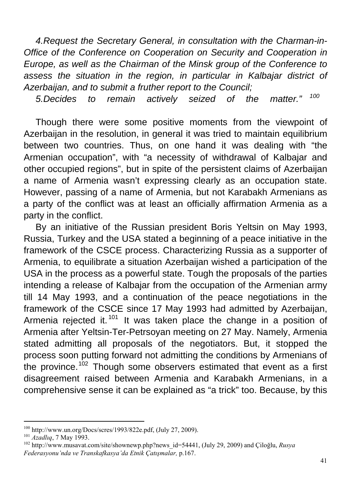*4.Request the Secretary General, in consultation with the Charman-in-Office of the Conference on Cooperation on Security and Cooperation in Europe, as well as the Chairman of the Minsk group of the Conference to*  assess the situation in the region, in particular in Kalbajar district of *Azerbaijan, and to submit a fruther report to the Council;* 

*5.Decides to remain actively seized of the matter." [100](#page-40-0)*

Though there were some positive moments from the viewpoint of Azerbaijan in the resolution, in general it was tried to maintain equilibrium between two countries. Thus, on one hand it was dealing with "the Armenian occupation", with "a necessity of withdrawal of Kalbajar and other occupied regions", but in spite of the persistent claims of Azerbaijan a name of Armenia wasn't expressing clearly as an occupation state. However, passing of a name of Armenia, but not Karabakh Armenians as a party of the conflict was at least an officially affirmation Armenia as a party in the conflict.

By an initiative of the Russian president Boris Yeltsin on May 1993, Russia, Turkey and the USA stated a beginning of a peace initiative in the framework of the CSCE process. Characterizing Russia as a supporter of Armenia, to equilibrate a situation Azerbaijan wished a participation of the USA in the process as a powerful state. Tough the proposals of the parties intending a release of Kalbajar from the occupation of the Armenian army till 14 May 1993, and a continuation of the peace negotiations in the framework of the CSCE since 17 May 1993 had admitted by Azerbaijan, Armenia rejected it.<sup>[101](#page-40-1)</sup> It was taken place the change in a position of Armenia after Yeltsin-Ter-Petrsoyan meeting on 27 May. Namely, Armenia stated admitting all proposals of the negotiators. But, it stopped the process soon putting forward not admitting the conditions by Armenians of the province.<sup>[102](#page-40-2)</sup> Though some observers estimated that event as a first disagreement raised between Armenia and Karabakh Armenians, in a comprehensive sense it can be explained as "a trick" too. Because, by this

<span id="page-40-0"></span><sup>&</sup>lt;sup>100</sup> http://www.un.org/Docs/scres/1993/822e.pdf, (July 27, 2009).

<span id="page-40-2"></span><span id="page-40-1"></span><sup>&</sup>lt;sup>101</sup> Azadlıq, 7 May 1993.<br><sup>102</sup> [http://www.musavat.com/site/shownewp.php?news\\_id=54441](http://www.musavat.com/site/shownews.php?news_id=54441), (July 29, 2009) and Çiloğlu, *Rusya Federasyonu'nda ve Transkafkasya'da Etnik Çatışmalar,* p.167.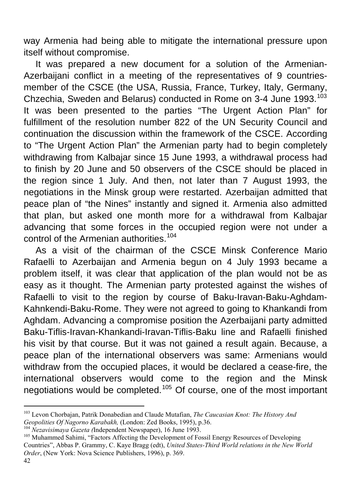way Armenia had being able to mitigate the international pressure upon itself without compromise.

It was prepared a new document for a solution of the Armenian-Azerbaijani conflict in a meeting of the representatives of 9 countriesmember of the CSCE (the USA, Russia, France, Turkey, Italy, Germany, Chzechia, Sweden and Belarus) conducted in Rome on 3-4 June 1993.<sup>[103](#page-41-0)</sup> It was been presented to the parties "The Urgent Action Plan" for fulfillment of the resolution number 822 of the UN Security Council and continuation the discussion within the framework of the CSCE. According to "The Urgent Action Plan" the Armenian party had to begin completely withdrawing from Kalbajar since 15 June 1993, a withdrawal process had to finish by 20 June and 50 observers of the CSCE should be placed in the region since 1 July. And then, not later than 7 August 1993, the negotiations in the Minsk group were restarted. Azerbaijan admitted that peace plan of "the Nines" instantly and signed it. Armenia also admitted that plan, but asked one month more for a withdrawal from Kalbajar advancing that some forces in the occupied region were not under a control of the Armenian authorities.<sup>[104](#page-41-1)</sup>

As a visit of the chairman of the CSCE Minsk Conference Mario Rafaelli to Azerbaijan and Armenia begun on 4 July 1993 became a problem itself, it was clear that application of the plan would not be as easy as it thought. The Armenian party protested against the wishes of Rafaelli to visit to the region by course of Baku-Iravan-Baku-Aghdam-Kahnkendi-Baku-Rome. They were not agreed to going to Khankandi from Aghdam. Advancing a compromise position the Azerbaijani party admitted Baku-Tiflis-Iravan-Khankandi-Iravan-Tiflis-Baku line and Rafaelli finished his visit by that course. But it was not gained a result again. Because, a peace plan of the international observers was same: Armenians would withdraw from the occupied places, it would be declared a cease-fire, the international observers would come to the region and the Minsk negotiations would be completed.[105](#page-41-2) Of course, one of the most important

<span id="page-41-0"></span><sup>103</sup> Levon Chorbajan, Patrik Donabedian and Claude Mutafian, *The Caucasian Knot: The History And*  Geopolities Of Nagorno Karabakh, (London: Zed Books, 1995), p.36.<br><sup>104</sup> Nezavisimaya Gazeta (Independent Newspaper), 16 June 1993.<br><sup>105</sup> Muhammed Sahimi, "Factors Affecting the Development of Fossil Energy Resources of Dev

<span id="page-41-1"></span>

<span id="page-41-2"></span>Countries", Abbas P. Grammy, C. Kaye Bragg (edt), *United States-Third World relations in the New World Order*, (New York: Nova Science Publishers, 1996), p. 369.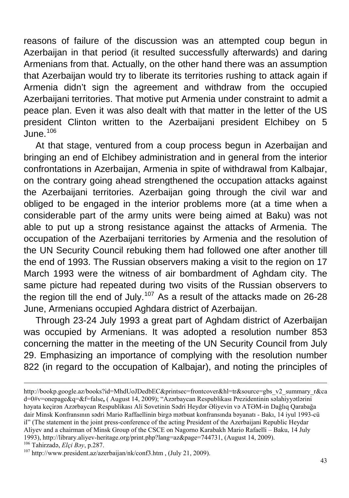reasons of failure of the discussion was an attempted coup begun in Azerbaijan in that period (it resulted successfully afterwards) and daring Armenians from that. Actually, on the other hand there was an assumption that Azerbaijan would try to liberate its territories rushing to attack again if Armenia didn't sign the agreement and withdraw from the occupied Azerbaijani territories. That motive put Armenia under constraint to admit a peace plan. Even it was also dealt with that matter in the letter of the US president Clinton written to the Azerbaijani president Elchibey on 5 June.[106](#page-42-0)

At that stage, ventured from a coup process begun in Azerbaijan and bringing an end of Elchibey administration and in general from the interior confrontations in Azerbaijan, Armenia in spite of withdrawal from Kalbajar, on the contrary going ahead strengthened the occupation attacks against the Azerbaijani territories. Azerbaijan going through the civil war and obliged to be engaged in the interior problems more (at a time when a considerable part of the army units were being aimed at Baku) was not able to put up a strong resistance against the attacks of Armenia. The occupation of the Azerbaijani territories by Armenia and the resolution of the UN Security Council rebuking them had followed one after another till the end of 1993. The Russian observers making a visit to the region on 17 March 1993 were the witness of air bombardment of Aghdam city. The same picture had repeated during two visits of the Russian observers to the region till the end of July.<sup>[107](#page-42-1)</sup> As a result of the attacks made on 26-28 June, Armenians occupied Aghdara district of Azerbaijan.

Through 23-24 July 1993 a great part of Aghdam district of Azerbaijan was occupied by Armenians. It was adopted a resolution number 853 concerning the matter in the meeting of the UN Security Council from July 29. Emphasizing an importance of complying with the resolution number 822 (in regard to the occupation of Kalbajar), and noting the principles of

<sup>1</sup> [http://bookp.google.az/books?id=MhdUoJDedbEC&printsec=frontcover&hl=tr&source=gbs\\_v2\\_summary\\_r&ca](http://books.google.az/books?id=MhdUoJDedbEC&printsec=frontcover&hl=tr&source=gbs_v2_summary_r&cad=0#v=onepage&q=&f=false) [d=0#v=onepage&q=&f=false](http://books.google.az/books?id=MhdUoJDedbEC&printsec=frontcover&hl=tr&source=gbs_v2_summary_r&cad=0#v=onepage&q=&f=false)**,** ( August 14, 2009); "Azərbaycan Respublikası Prezidentinin səlahiyyətlərini həyata keçirən Azərbaycan Respublikası Ali Sovetinin Sədri Heydər Əliyevin və ATƏM-in Dağlıq Qarabağa dair Minsk Konfransının sədri Mario Raffaellinin birgə mətbuat konfransında bəyanatı - Bakı, 14 iyul 1993-cü il" (The statement in the joint press-conference of the acting President of the Azerbaijani Republic Heydar Aliyev and a chairman of Minsk Group of the CSCE on Nagorno Karabakh Mario Rafaelli – Baku, 14 July 1993),<http://library.aliyev-heritage.org/print.php?lang=az&page=744731>, (August 14, 2009).<br><sup>106</sup> Tahirzadə, *Elçi Bəy*, p.287.<br><sup>107</sup> <http://www.president.az/azerbaijan/nk/conf3.htm>, (July 21, 2009).

<span id="page-42-1"></span><span id="page-42-0"></span>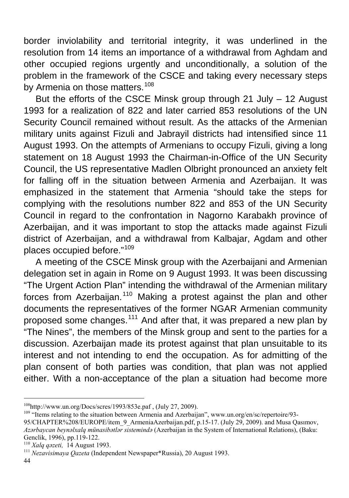border inviolability and territorial integrity, it was underlined in the resolution from 14 items an importance of a withdrawal from Aghdam and other occupied regions urgently and unconditionally, a solution of the problem in the framework of the CSCE and taking every necessary steps by Armenia on those matters.<sup>[108](#page-43-0)</sup>

But the efforts of the CSCE Minsk group through 21 July – 12 August 1993 for a realization of 822 and later carried 853 resolutions of the UN Security Council remained without result. As the attacks of the Armenian military units against Fizuli and Jabrayil districts had intensified since 11 August 1993. On the attempts of Armenians to occupy Fizuli, giving a long statement on 18 August 1993 the Chairman-in-Office of the UN Security Council, the US representative Madlen Olbright pronounced an anxiety felt for falling off in the situation between Armenia and Azerbaijan. It was emphasized in the statement that Armenia "should take the steps for complying with the resolutions number 822 and 853 of the UN Security Council in regard to the confrontation in Nagorno Karabakh province of Azerbaijan, and it was important to stop the attacks made against Fizuli district of Azerbaijan, and a withdrawal from Kalbajar, Agdam and other places occupied before."[109](#page-43-1)

A meeting of the CSCE Minsk group with the Azerbaijani and Armenian delegation set in again in Rome on 9 August 1993. It was been discussing "The Urgent Action Plan" intending the withdrawal of the Armenian military forces from Azerbaijan.<sup>[110](#page-43-2)</sup> Making a protest against the plan and other documents the representatives of the former NGAR Armenian community proposed some changes.[111](#page-43-3) And after that, it was prepared a new plan by "The Nines", the members of the Minsk group and sent to the parties for a discussion. Azerbaijan made its protest against that plan unsuitable to its interest and not intending to end the occupation. As for admitting of the plan consent of both parties was condition, that plan was not applied either. With a non-acceptance of the plan a situation had become more

44

<span id="page-43-0"></span><sup>&</sup>lt;sup>108</sup>http://www.un.org/Docs/scres/1993/853e.paf, (July 27, 2009).

<span id="page-43-1"></span> $109$  "Items relating to the situation between Armenia and Azerbaijan", [www.un.org/en/sc/repertoire/93-](http://www.un.org/en/sc/repertoire/93-95/CHAPTER%208/EUROPE/item_9_ArmeniaAzerbaijan.pdf,%20p.15-17.)

[<sup>95/</sup>CHAPTER%208/EUROPE/item\\_9\\_ArmeniaAzerbaijan.pdf, p.15-17. \(](http://www.un.org/en/sc/repertoire/93-95/CHAPTER%208/EUROPE/item_9_ArmeniaAzerbaijan.pdf,%20p.15-17.)July 29, 2009). and Musa Qasımov, *Azərbaycan beynəlxalq münasibətlər sistemində* (Azerbaijan in the System of International Relations), (Baku: Genclik, 1996), pp.119-122.<br><sup>110</sup> *Xalq qəzeti*, 14 August 1993.

<span id="page-43-2"></span>

<span id="page-43-3"></span><sup>&</sup>lt;sup>111</sup> *Nezavisimaya Qazeta* (Independent Newspaper\*Russia), 20 August 1993.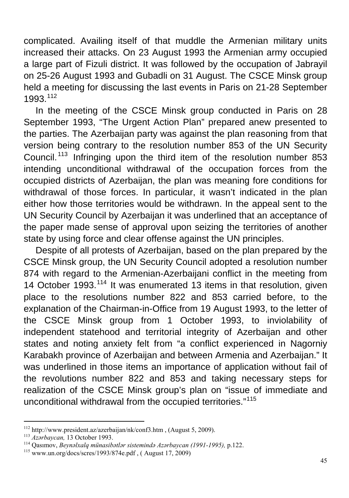complicated. Availing itself of that muddle the Armenian military units increased their attacks. On 23 August 1993 the Armenian army occupied a large part of Fizuli district. It was followed by the occupation of Jabrayil on 25-26 August 1993 and Gubadli on 31 August. The CSCE Minsk group held a meeting for discussing the last events in Paris on 21-28 September 1993.[112](#page-44-0)

In the meeting of the CSCE Minsk group conducted in Paris on 28 September 1993, "The Urgent Action Plan" prepared anew presented to the parties. The Azerbaijan party was against the plan reasoning from that version being contrary to the resolution number 853 of the UN Security Council. [113](#page-44-1) Infringing upon the third item of the resolution number 853 intending unconditional withdrawal of the occupation forces from the occupied districts of Azerbaijan, the plan was meaning fore conditions for withdrawal of those forces. In particular, it wasn't indicated in the plan either how those territories would be withdrawn. In the appeal sent to the UN Security Council by Azerbaijan it was underlined that an acceptance of the paper made sense of approval upon seizing the territories of another state by using force and clear offense against the UN principles.

Despite of all protests of Azerbaijan, based on the plan prepared by the CSCE Minsk group, the UN Security Council adopted a resolution number 874 with regard to the Armenian-Azerbaijani conflict in the meeting from 14 October 1993.<sup>[114](#page-44-2)</sup> It was enumerated 13 items in that resolution, given place to the resolutions number 822 and 853 carried before, to the explanation of the Chairman-in-Office from 19 August 1993, to the letter of the CSCE Minsk group from 1 October 1993, to inviolability of independent statehood and territorial integrity of Azerbaijan and other states and noting anxiety felt from "a conflict experienced in Nagorniy Karabakh province of Azerbaijan and between Armenia and Azerbaijan." It was underlined in those items an importance of application without fail of the revolutions number 822 and 853 and taking necessary steps for realization of the CSCE Minsk group's plan on "issue of immediate and unconditional withdrawal from the occupied territories."[115](#page-44-3)

<span id="page-44-0"></span><sup>&</sup>lt;sup>112</sup> http://www.president.az/azerbaijan/nk/conf3.htm, (August 5, 2009).

<span id="page-44-2"></span><span id="page-44-1"></span><sup>&</sup>lt;sup>113</sup> Azərbaycan, 13 October 1993.<br><sup>114</sup> Qasımov, *Beynalxalq münasibətlər sistemində Azərbaycan (1991-1995)*, p.122.<br><sup>115</sup> www.un.org/docs/scres/1993/874e.pdf, ( August 17, 2009)

<span id="page-44-3"></span>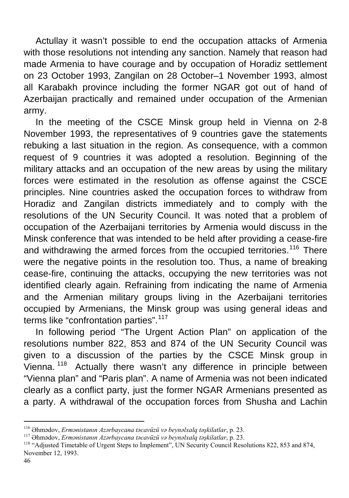Actullay it wasn't possible to end the occupation attacks of Armenia with those resolutions not intending any sanction. Namely that reason had made Armenia to have courage and by occupation of Horadiz settlement on 23 October 1993, Zangilan on 28 October–1 November 1993, almost all Karabakh province including the former NGAR got out of hand of Azerbaijan practically and remained under occupation of the Armenian army.

In the meeting of the CSCE Minsk group held in Vienna on 2-8 November 1993, the representatives of 9 countries gave the statements rebuking a last situation in the region. As consequence, with a common request of 9 countries it was adopted a resolution. Beginning of the military attacks and an occupation of the new areas by using the military forces were estimated in the resolution as offense against the CSCE principles. Nine countries asked the occupation forces to withdraw from Horadiz and Zangilan districts immediately and to comply with the resolutions of the UN Security Council. It was noted that a problem of occupation of the Azerbaijani territories by Armenia would discuss in the Minsk conference that was intended to be held after providing a cease-fire and withdrawing the armed forces from the occupied territories.<sup>[116](#page-45-0)</sup> There were the negative points in the resolution too. Thus, a name of breaking cease-fire, continuing the attacks, occupying the new territories was not identified clearly again. Refraining from indicating the name of Armenia and the Armenian military groups living in the Azerbaijani territories occupied by Armenians, the Minsk group was using general ideas and terms like "confrontation parties".<sup>[117](#page-45-1)</sup>

In following period "The Urgent Action Plan" on application of the resolutions number 822, 853 and 874 of the UN Security Council was given to a discussion of the parties by the CSCE Minsk group in Vienna.<sup>[118](#page-45-2)</sup> Actually there wasn't any difference in principle between "Vienna plan" and "Paris plan". A name of Armenia was not been indicated clearly as a conflict party, just the former NGAR Armenians presented as a party. A withdrawal of the occupation forces from Shusha and Lachin

<span id="page-45-2"></span><span id="page-45-1"></span>

<span id="page-45-0"></span><sup>&</sup>lt;sup>116</sup> Əhmədov, *Ermənistanın Azərbaycana təcavüzü və beynəlxalq təşkilatlar*, p. 23.<br><sup>117</sup> Əhmədov, *Ermənistanın Azərbaycana təcavüzü və beynəlxalq təşkilatlar*, p. 23.<br><sup>118</sup> "Adjusted Timetable of Urgent Steps to İmpleme November 12, 1993.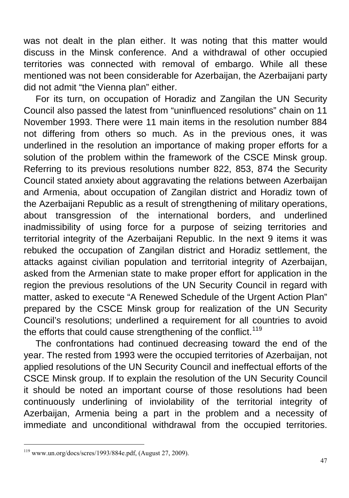was not dealt in the plan either. It was noting that this matter would discuss in the Minsk conference. And a withdrawal of other occupied territories was connected with removal of embargo. While all these mentioned was not been considerable for Azerbaijan, the Azerbaijani party did not admit "the Vienna plan" either.

For its turn, on occupation of Horadiz and Zangilan the UN Security Council also passed the latest from "uninfluenced resolutions" chain on 11 November 1993. There were 11 main items in the resolution number 884 not differing from others so much. As in the previous ones, it was underlined in the resolution an importance of making proper efforts for a solution of the problem within the framework of the CSCE Minsk group. Referring to its previous resolutions number 822, 853, 874 the Security Council stated anxiety about aggravating the relations between Azerbaijan and Armenia, about occupation of Zangilan district and Horadiz town of the Azerbaijani Republic as a result of strengthening of military operations, about transgression of the international borders, and underlined inadmissibility of using force for a purpose of seizing territories and territorial integrity of the Azerbaijani Republic. In the next 9 items it was rebuked the occupation of Zangilan district and Horadiz settlement, the attacks against civilian population and territorial integrity of Azerbaijan, asked from the Armenian state to make proper effort for application in the region the previous resolutions of the UN Security Council in regard with matter, asked to execute "A Renewed Schedule of the Urgent Action Plan" prepared by the CSCE Minsk group for realization of the UN Security Council's resolutions; underlined a requirement for all countries to avoid the efforts that could cause strengthening of the conflict.<sup>[119](#page-46-0)</sup>

The confrontations had continued decreasing toward the end of the year. The rested from 1993 were the occupied territories of Azerbaijan, not applied resolutions of the UN Security Council and ineffectual efforts of the CSCE Minsk group. If to explain the resolution of the UN Security Council it should be noted an important course of those resolutions had been continuously underlining of inviolability of the territorial integrity of Azerbaijan, Armenia being a part in the problem and a necessity of immediate and unconditional withdrawal from the occupied territories.

<span id="page-46-0"></span> $119$  [www.un.org/docs/scres/1993/884e.pdf,](http://www.un.org/docs/scres/1993/884e.pdf) (August 27, 2009).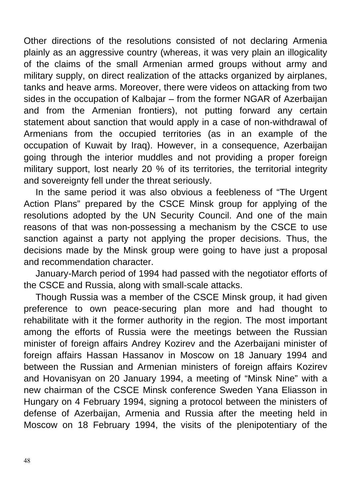Other directions of the resolutions consisted of not declaring Armenia plainly as an aggressive country (whereas, it was very plain an illogicality of the claims of the small Armenian armed groups without army and military supply, on direct realization of the attacks organized by airplanes, tanks and heave arms. Moreover, there were videos on attacking from two sides in the occupation of Kalbajar – from the former NGAR of Azerbaijan and from the Armenian frontiers), not putting forward any certain statement about sanction that would apply in a case of non-withdrawal of Armenians from the occupied territories (as in an example of the occupation of Kuwait by Iraq). However, in a consequence, Azerbaijan going through the interior muddles and not providing a proper foreign military support, lost nearly 20 % of its territories, the territorial integrity and sovereignty fell under the threat seriously.

In the same period it was also obvious a feebleness of "The Urgent Action Plans" prepared by the CSCE Minsk group for applying of the resolutions adopted by the UN Security Council. And one of the main reasons of that was non-possessing a mechanism by the CSCE to use sanction against a party not applying the proper decisions. Thus, the decisions made by the Minsk group were going to have just a proposal and recommendation character.

January-March period of 1994 had passed with the negotiator efforts of the CSCE and Russia, along with small-scale attacks.

Though Russia was a member of the CSCE Minsk group, it had given preference to own peace-securing plan more and had thought to rehabilitate with it the former authority in the region. The most important among the efforts of Russia were the meetings between the Russian minister of foreign affairs Andrey Kozirev and the Azerbaijani minister of foreign affairs Hassan Hassanov in Moscow on 18 January 1994 and between the Russian and Armenian ministers of foreign affairs Kozirev and Hovanisyan on 20 January 1994, a meeting of "Minsk Nine" with a new chairman of the CSCE Minsk conference Sweden Yana Eliasson in Hungary on 4 February 1994, signing a protocol between the ministers of defense of Azerbaijan, Armenia and Russia after the meeting held in Moscow on 18 February 1994, the visits of the plenipotentiary of the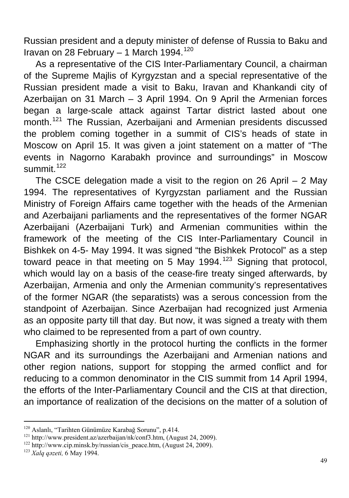Russian president and a deputy minister of defense of Russia to Baku and Iravan on 28 February – 1 March 1994. $120$ 

As a representative of the CIS Inter-Parliamentary Council, a chairman of the Supreme Majlis of Kyrgyzstan and a special representative of the Russian president made a visit to Baku, Iravan and Khankandi city of Azerbaijan on 31 March – 3 April 1994. On 9 April the Armenian forces began a large-scale attack against Tartar district lasted about one month.<sup>[121](#page-48-1)</sup> The Russian, Azerbaijani and Armenian presidents discussed the problem coming together in a summit of CIS's heads of state in Moscow on April 15. It was given a joint statement on a matter of "The events in Nagorno Karabakh province and surroundings" in Moscow summit.<sup>[122](#page-48-2)</sup>

The CSCE delegation made a visit to the region on 26 April – 2 May 1994. The representatives of Kyrgyzstan parliament and the Russian Ministry of Foreign Affairs came together with the heads of the Armenian and Azerbaijani parliaments and the representatives of the former NGAR Azerbaijani (Azerbaijani Turk) and Armenian communities within the framework of the meeting of the CIS Inter-Parliamentary Council in Bishkek on 4-5- May 1994. It was signed "the Bishkek Protocol" as a step toward peace in that meeting on 5 May 1994.<sup>[123](#page-48-3)</sup> Signing that protocol, which would lay on a basis of the cease-fire treaty singed afterwards, by Azerbaijan, Armenia and only the Armenian community's representatives of the former NGAR (the separatists) was a serous concession from the standpoint of Azerbaijan. Since Azerbaijan had recognized just Armenia as an opposite party till that day. But now, it was signed a treaty with them who claimed to be represented from a part of own country.

Emphasizing shortly in the protocol hurting the conflicts in the former NGAR and its surroundings the Azerbaijani and Armenian nations and other region nations, support for stopping the armed conflict and for reducing to a common denominator in the CIS summit from 14 April 1994, the efforts of the Inter-Parliamentary Council and the CIS at that direction, an importance of realization of the decisions on the matter of a solution of

<span id="page-48-0"></span><sup>&</sup>lt;sup>120</sup> Aslanlı, "Tarihten Günümüze Karabağ Sorunu", p.414.

<span id="page-48-1"></span><sup>&</sup>lt;sup>121</sup> [http://www.president.az/azerbaijan/nk/conf3.htm,](http://www.president.az/azerbaijan/nk/conf3.htm) (August 24, 2009).<br><sup>122</sup> [http://www.cip.minsk.by/russian/cis\\_peace.htm](http://www.cis.minsk.by/russian/cis_peace.htm), (August 24, 2009).<br><sup>123</sup> *Xala qazeti*, 6 May 1994.

<span id="page-48-2"></span>

<span id="page-48-3"></span>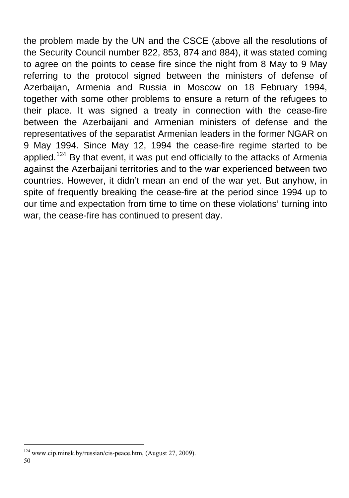the problem made by the UN and the CSCE (above all the resolutions of the Security Council number 822, 853, 874 and 884), it was stated coming to agree on the points to cease fire since the night from 8 May to 9 May referring to the protocol signed between the ministers of defense of Azerbaijan, Armenia and Russia in Moscow on 18 February 1994, together with some other problems to ensure a return of the refugees to their place. It was signed a treaty in connection with the cease-fire between the Azerbaijani and Armenian ministers of defense and the representatives of the separatist Armenian leaders in the former NGAR on 9 May 1994. Since May 12, 1994 the cease-fire regime started to be applied.<sup>[124](#page-49-0)</sup> By that event, it was put end officially to the attacks of Armenia against the Azerbaijani territories and to the war experienced between two countries. However, it didn't mean an end of the war yet. But anyhow, in spite of frequently breaking the cease-fire at the period since 1994 up to our time and expectation from time to time on these violations' turning into war, the cease-fire has continued to present day.

<span id="page-49-0"></span><sup>124</sup> [www.cip.minsk.by/russian/cis-peace.htm, \(A](http://www.cip.minsk.by/russian/cis-peace.htm,%20()ugust 27, 2009).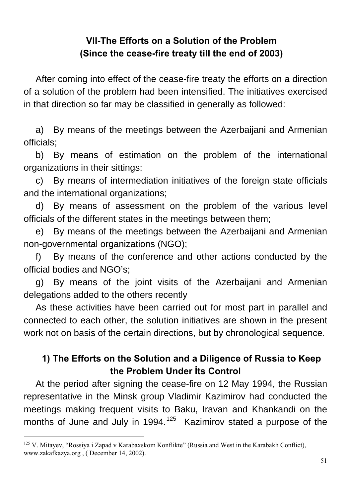### **VII-The Efforts on a Solution of the Problem (Since the cease-fire treaty till the end of 2003)**

After coming into effect of the cease-fire treaty the efforts on a direction of a solution of the problem had been intensified. The initiatives exercised in that direction so far may be classified in generally as followed:

a) By means of the meetings between the Azerbaijani and Armenian officials;

b) By means of estimation on the problem of the international organizations in their sittings;

c) By means of intermediation initiatives of the foreign state officials and the international organizations;

d) By means of assessment on the problem of the various level officials of the different states in the meetings between them;

e) By means of the meetings between the Azerbaijani and Armenian non-governmental organizations (NGO);

f) By means of the conference and other actions conducted by the official bodies and NGO's;

g) By means of the joint visits of the Azerbaijani and Armenian delegations added to the others recently

As these activities have been carried out for most part in parallel and connected to each other, the solution initiatives are shown in the present work not on basis of the certain directions, but by chronological sequence.

## **1) The Efforts on the Solution and a Diligence of Russia to Keep the Problem Under İts Control**

At the period after signing the cease-fire on 12 May 1994, the Russian representative in the Minsk group Vladimir Kazimirov had conducted the meetings making frequent visits to Baku, Iravan and Khankandi on the months of June and July in 1994.<sup>[125](#page-50-0)</sup> Kazimirov stated a purpose of the

<span id="page-50-0"></span><sup>&</sup>lt;sup>125</sup> V. Mitayev, "Rossiya i Zapad v Karabaxskom Konflikte" (Russia and West in the Karabakh Conflict), [www.zakafkazya.org](http://www.zakafkazya.org/) , ( December 14, 2002).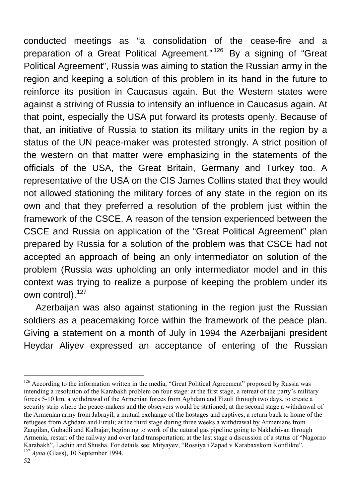conducted meetings as "a consolidation of the cease-fire and a preparation of a Great Political Agreement." [126](#page-51-0) By a signing of "Great Political Agreement", Russia was aiming to station the Russian army in the region and keeping a solution of this problem in its hand in the future to reinforce its position in Caucasus again. But the Western states were against a striving of Russia to intensify an influence in Caucasus again. At that point, especially the USA put forward its protests openly. Because of that, an initiative of Russia to station its military units in the region by a status of the UN peace-maker was protested strongly. A strict position of the western on that matter were emphasizing in the statements of the officials of the USA, the Great Britain, Germany and Turkey too. A representative of the USA on the CIS James Collins stated that they would not allowed stationing the military forces of any state in the region on its own and that they preferred a resolution of the problem just within the framework of the CSCE. A reason of the tension experienced between the CSCE and Russia on application of the "Great Political Agreement" plan prepared by Russia for a solution of the problem was that CSCE had not accepted an approach of being an only intermediator on solution of the problem (Russia was upholding an only intermediator model and in this context was trying to realize a purpose of keeping the problem under its own control).<sup>[127](#page-51-1)</sup>

Azerbaijan was also against stationing in the region just the Russian soldiers as a peacemaking force within the framework of the peace plan. Giving a statement on a month of July in 1994 the Azerbaijani president Heydar Aliyev expressed an acceptance of entering of the Russian

<span id="page-51-0"></span> $\overline{a}$  $126$  According to the information written in the media, "Great Political Agreement" proposed by Russia was intending a resolution of the Karabakh problem on four stage: at the first stage, a retreat of the party's military forces 5-10 km, a withdrawal of the Armenian forces from Aghdam and Fizuli through two days, to create a security strip where the peace-makers and the observers would be stationed; at the second stage a withdrawal of the Armenian army from Jabrayil, a mutual exchange of the hostages and captives, a return back to home of the refugees from Aghdam and Fizuli; at the third stage during three weeks a withdrawal by Armenians from Zangilan, Gubadli and Kalbajar, beginning to work of the natural gas pipeline going to Nakhchivan through Armenia, restart of the railway and over land transportation; at the last stage a discussion of a status of "Nagorno Karabakh", Lachin and Shusha. For details see: Mityayev, "Rossiya i Zapad v Karabaxskom Konflikte". 127 *Ayna* (Glass), 10 September 1994.

<span id="page-51-1"></span>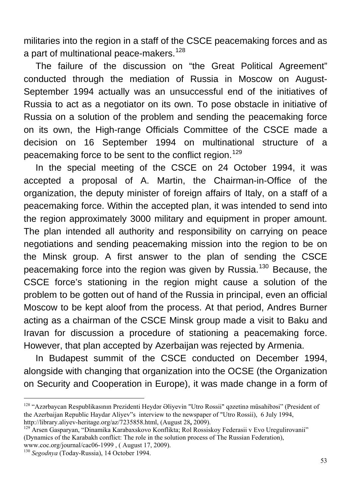militaries into the region in a staff of the CSCE peacemaking forces and as a part of multinational peace-makers.<sup>[128](#page-52-0)</sup>

The failure of the discussion on "the Great Political Agreement" conducted through the mediation of Russia in Moscow on August-September 1994 actually was an unsuccessful end of the initiatives of Russia to act as a negotiator on its own. To pose obstacle in initiative of Russia on a solution of the problem and sending the peacemaking force on its own, the High-range Officials Committee of the CSCE made a decision on 16 September 1994 on multinational structure of a peacemaking force to be sent to the conflict region.<sup>[129](#page-52-1)</sup>

In the special meeting of the CSCE on 24 October 1994, it was accepted a proposal of A. Martin, the Chairman-in-Office of the organization, the deputy minister of foreign affairs of Italy, on a staff of a peacemaking force. Within the accepted plan, it was intended to send into the region approximately 3000 military and equipment in proper amount. The plan intended all authority and responsibility on carrying on peace negotiations and sending peacemaking mission into the region to be on the Minsk group. A first answer to the plan of sending the CSCE peacemaking force into the region was given by Russia.<sup>[130](#page-52-2)</sup> Because, the CSCE force's stationing in the region might cause a solution of the problem to be gotten out of hand of the Russia in principal, even an official Moscow to be kept aloof from the process. At that period, Andres Burner acting as a chairman of the CSCE Minsk group made a visit to Baku and Iravan for discussion a procedure of stationing a peacemaking force. However, that plan accepted by Azerbaijan was rejected by Armenia.

In Budapest summit of the CSCE conducted on December 1994, alongside with changing that organization into the OCSE (the Organization on Security and Cooperation in Europe), it was made change in a form of

<span id="page-52-0"></span><sup>&</sup>lt;sup>128</sup> "Azərbaycan Respublikasının Prezidenti Heydər Əliyevin "Utro Rossii" qəzetinə müsahibəsi" (President of the Azerbaijan Republic Haydar Aliyev"s interview to the newspaper of "Utro Rossii), 6 July 1994,

<span id="page-52-1"></span>http://library.aliyev-heritage.org/az/7235858.html, (August 28, 2009).<br><sup>129</sup> Arsen Gasparyan, "Dinamika Karabaxskovo Konflikta; Rol Rossiskoy Federasii v Evo Uregulirovanii" (Dynamics of the Karabakh conflict: The role in the solution process of The Russian Federation),

<span id="page-52-2"></span>[www.coc.org/journal/cac06-1999](http://www.coc.org/journal/cac06-1999) , ( August 17, 2009). [130](http://www.coc.org/journal/cac06-1999) *Segodnya* (Today-Russia), 14 October 1994.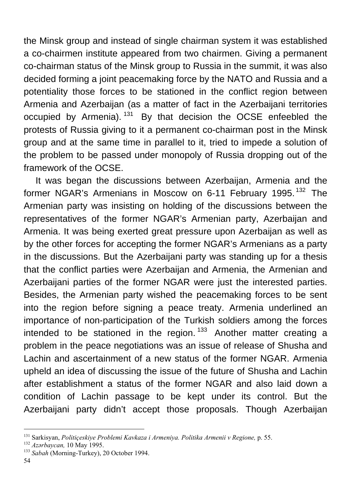the Minsk group and instead of single chairman system it was established a co-chairmen institute appeared from two chairmen. Giving a permanent co-chairman status of the Minsk group to Russia in the summit, it was also decided forming a joint peacemaking force by the NATO and Russia and a potentiality those forces to be stationed in the conflict region between Armenia and Azerbaijan (as a matter of fact in the Azerbaijani territories occupied by Armenia).  $131$  By that decision the OCSE enfeebled the protests of Russia giving to it a permanent co-chairman post in the Minsk group and at the same time in parallel to it, tried to impede a solution of the problem to be passed under monopoly of Russia dropping out of the framework of the OCSE.

It was began the discussions between Azerbaijan, Armenia and the former NGAR's Armenians in Moscow on 6-11 February 1995.<sup>[132](#page-53-1)</sup> The Armenian party was insisting on holding of the discussions between the representatives of the former NGAR's Armenian party, Azerbaijan and Armenia. It was being exerted great pressure upon Azerbaijan as well as by the other forces for accepting the former NGAR's Armenians as a party in the discussions. But the Azerbaijani party was standing up for a thesis that the conflict parties were Azerbaijan and Armenia, the Armenian and Azerbaijani parties of the former NGAR were just the interested parties. Besides, the Armenian party wished the peacemaking forces to be sent into the region before signing a peace treaty. Armenia underlined an importance of non-participation of the Turkish soldiers among the forces intended to be stationed in the region.<sup>[133](#page-53-2)</sup> Another matter creating a problem in the peace negotiations was an issue of release of Shusha and Lachin and ascertainment of a new status of the former NGAR. Armenia upheld an idea of discussing the issue of the future of Shusha and Lachin after establishment a status of the former NGAR and also laid down a condition of Lachin passage to be kept under its control. But the Azerbaijani party didn't accept those proposals. Though Azerbaijan

 $\overline{a}$ 131 Sarkisyan, *Politiçeskiye Problemi Kavkaza i Armeniya. Politika Armenii v Regione,* p. 55. 132 *Azərbaycan,* 10 May 1995. 133 *Sabah* (Morning-Turkey), 20 October 1994.

<span id="page-53-1"></span><span id="page-53-0"></span>

<span id="page-53-2"></span>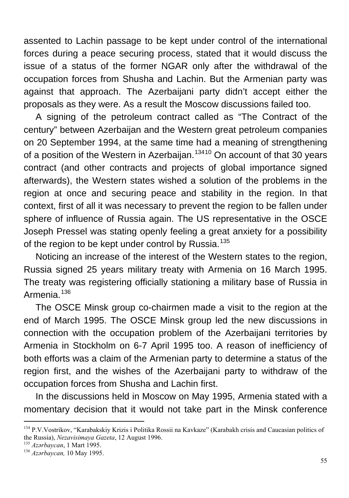assented to Lachin passage to be kept under control of the international forces during a peace securing process, stated that it would discuss the issue of a status of the former NGAR only after the withdrawal of the occupation forces from Shusha and Lachin. But the Armenian party was against that approach. The Azerbaijani party didn't accept either the proposals as they were. As a result the Moscow discussions failed too.

A signing of the petroleum contract called as "The Contract of the century" between Azerbaijan and the Western great petroleum companies on 20 September 1994, at the same time had a meaning of strengthening of a position of the Western in Azerbaijan.<sup>[134](#page-54-0)10</sup> On account of that 30 years contract (and other contracts and projects of global importance signed afterwards), the Western states wished a solution of the problems in the region at once and securing peace and stability in the region. In that context, first of all it was necessary to prevent the region to be fallen under sphere of influence of Russia again. The US representative in the OSCE Joseph Pressel was stating openly feeling a great anxiety for a possibility of the region to be kept under control by Russia.<sup>[135](#page-54-1)</sup>

Noticing an increase of the interest of the Western states to the region, Russia signed 25 years military treaty with Armenia on 16 March 1995. The treaty was registering officially stationing a military base of Russia in Armenia.<sup>[136](#page-54-2)</sup>

The OSCE Minsk group co-chairmen made a visit to the region at the end of March 1995. The OSCE Minsk group led the new discussions in connection with the occupation problem of the Azerbaijani territories by Armenia in Stockholm on 6-7 April 1995 too. A reason of inefficiency of both efforts was a claim of the Armenian party to determine a status of the region first, and the wishes of the Azerbaijani party to withdraw of the occupation forces from Shusha and Lachin first.

In the discussions held in Moscow on May 1995, Armenia stated with a momentary decision that it would not take part in the Minsk conference

<span id="page-54-0"></span><sup>&</sup>lt;sup>134</sup> P.V.Vostrikov, "Karabakskiy Krizis i Politika Rossii na Kavkaze" (Karabakh crisis and Caucasian politics of the Russia), *Nezavisimaya Gazeta*, 12 August 1996. 135 *Azərbaycan*, 1 Mart 1995. 136 *Azərbaycan,* 10 May 1995.

<span id="page-54-2"></span><span id="page-54-1"></span>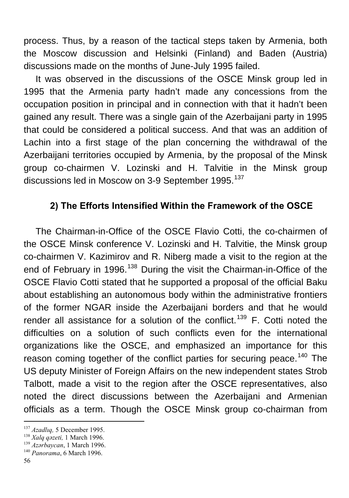process. Thus, by a reason of the tactical steps taken by Armenia, both the Moscow discussion and Helsinki (Finland) and Baden (Austria) discussions made on the months of June-July 1995 failed.

It was observed in the discussions of the OSCE Minsk group led in 1995 that the Armenia party hadn't made any concessions from the occupation position in principal and in connection with that it hadn't been gained any result. There was a single gain of the Azerbaijani party in 1995 that could be considered a political success. And that was an addition of Lachin into a first stage of the plan concerning the withdrawal of the Azerbaijani territories occupied by Armenia, by the proposal of the Minsk group co-chairmen V. Lozinski and H. Talvitie in the Minsk group discussions led in Moscow on 3-9 September 1995.<sup>[137](#page-55-0)</sup>

### **2) The Efforts Intensified Within the Framework of the OSCE**

The Chairman-in-Office of the OSCE Flavio Cotti, the co-chairmen of the OSCE Minsk conference V. Lozinski and H. Talvitie, the Minsk group co-chairmen V. Kazimirov and R. Niberg made a visit to the region at the end of February in 1996.<sup>[138](#page-55-1)</sup> During the visit the Chairman-in-Office of the OSCE Flavio Cotti stated that he supported a proposal of the official Baku about establishing an autonomous body within the administrative frontiers of the former NGAR inside the Azerbaijani borders and that he would render all assistance for a solution of the conflict.<sup>[139](#page-55-2)</sup> F. Cotti noted the difficulties on a solution of such conflicts even for the international organizations like the OSCE, and emphasized an importance for this reason coming together of the conflict parties for securing peace.<sup>[140](#page-55-3)</sup> The US deputy Minister of Foreign Affairs on the new independent states Strob Talbott, made a visit to the region after the OSCE representatives, also noted the direct discussions between the Azerbaijani and Armenian officials as a term. Though the OSCE Minsk group co-chairman from

<span id="page-55-0"></span><sup>&</sup>lt;sup>137</sup> Azadlıq, 5 December 1995.

<span id="page-55-2"></span><span id="page-55-1"></span><sup>&</sup>lt;sup>138</sup> *Xalq qozeti,* 1 March 1996.<br><sup>139</sup> *Azərbaycan*, 1 March 1996.<br><sup>140</sup> *Panorama*, 6 March 1996.

<span id="page-55-3"></span>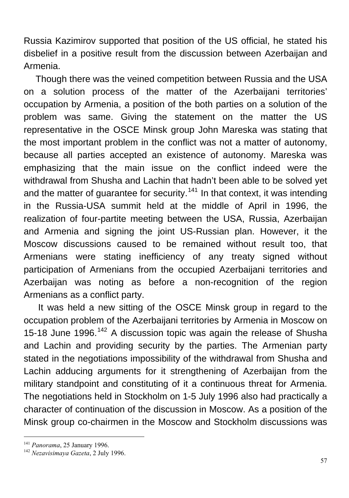Russia Kazimirov supported that position of the US official, he stated his disbelief in a positive result from the discussion between Azerbaijan and Armenia.

Though there was the veined competition between Russia and the USA on a solution process of the matter of the Azerbaijani territories' occupation by Armenia, a position of the both parties on a solution of the problem was same. Giving the statement on the matter the US representative in the OSCE Minsk group John Mareska was stating that the most important problem in the conflict was not a matter of autonomy, because all parties accepted an existence of autonomy. Mareska was emphasizing that the main issue on the conflict indeed were the withdrawal from Shusha and Lachin that hadn't been able to be solved yet and the matter of guarantee for security.<sup>[141](#page-56-0)</sup> In that context, it was intending in the Russia-USA summit held at the middle of April in 1996, the realization of four-partite meeting between the USA, Russia, Azerbaijan and Armenia and signing the joint US-Russian plan. However, it the Moscow discussions caused to be remained without result too, that Armenians were stating inefficiency of any treaty signed without participation of Armenians from the occupied Azerbaijani territories and Azerbaijan was noting as before a non-recognition of the region Armenians as a conflict party.

 It was held a new sitting of the OSCE Minsk group in regard to the occupation problem of the Azerbaijani territories by Armenia in Moscow on 15-18 June 1996.<sup>[142](#page-56-1)</sup> A discussion topic was again the release of Shusha and Lachin and providing security by the parties. The Armenian party stated in the negotiations impossibility of the withdrawal from Shusha and Lachin adducing arguments for it strengthening of Azerbaijan from the military standpoint and constituting of it a continuous threat for Armenia. The negotiations held in Stockholm on 1-5 July 1996 also had practically a character of continuation of the discussion in Moscow. As a position of the Minsk group co-chairmen in the Moscow and Stockholm discussions was

<span id="page-56-0"></span><sup>&</sup>lt;sup>141</sup> Panorama, 25 January 1996.

<span id="page-56-1"></span><sup>&</sup>lt;sup>142</sup> *Nezavisimaya Gazeta*, 2 July 1996.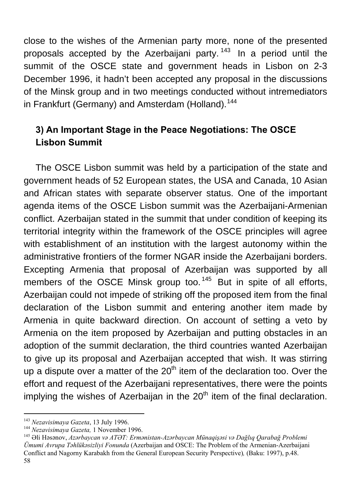close to the wishes of the Armenian party more, none of the presented proposals accepted by the Azerbaijani party.  $143$  In a period until the summit of the OSCE state and government heads in Lisbon on 2-3 December 1996, it hadn't been accepted any proposal in the discussions of the Minsk group and in two meetings conducted without intremediators in Frankfurt (Germany) and Amsterdam (Holland).<sup>[144](#page-57-1)</sup>

# **3) An Important Stage in the Peace Negotiations: The OSCE Lisbon Summit**

The OSCE Lisbon summit was held by a participation of the state and government heads of 52 European states, the USA and Canada, 10 Asian and African states with separate observer status. One of the important agenda items of the OSCE Lisbon summit was the Azerbaijani-Armenian conflict. Azerbaijan stated in the summit that under condition of keeping its territorial integrity within the framework of the OSCE principles will agree with establishment of an institution with the largest autonomy within the administrative frontiers of the former NGAR inside the Azerbaijani borders. Excepting Armenia that proposal of Azerbaijan was supported by all members of the OSCE Minsk group too.<sup>[145](#page-57-2)</sup> But in spite of all efforts, Azerbaijan could not impede of striking off the proposed item from the final declaration of the Lisbon summit and entering another item made by Armenia in quite backward direction. On account of setting a veto by Armenia on the item proposed by Azerbaijan and putting obstacles in an adoption of the summit declaration, the third countries wanted Azerbaijan to give up its proposal and Azerbaijan accepted that wish. It was stirring up a dispute over a matter of the  $20<sup>th</sup>$  item of the declaration too. Over the effort and request of the Azerbaijani representatives, there were the points implying the wishes of Azerbaijan in the  $20<sup>th</sup>$  item of the final declaration.

<span id="page-57-2"></span><span id="page-57-1"></span>

<span id="page-57-0"></span><sup>58</sup> <sup>143</sup> Nezavisimaya Gazeta, 13 July 1996.<br><sup>144</sup> Nezavisimaya Gazeta, 1 November 1996.<br><sup>145</sup> Əli Həsənov. *Azərbavcan və ATƏT: Ermənistan-Azərbaycan Münaqişəsi və Dağlıq Qarabağ Problemi Ümumi Avrupa Təhlükəsizliyi Fonunda* (Azerbaijan and OSCE: The Problem of the Armenian-Azerbaijani Conflict and Nagorny Karabakh from the General European Security Perspective)*,* (Baku: 1997), p.48.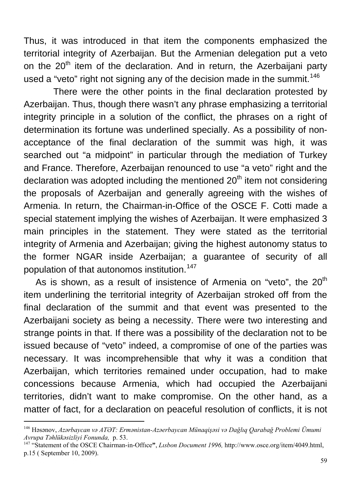Thus, it was introduced in that item the components emphasized the territorial integrity of Azerbaijan. But the Armenian delegation put a veto on the 20<sup>th</sup> item of the declaration. And in return, the Azerbaijani party used a "veto" right not signing any of the decision made in the summit.<sup>[146](#page-58-0)</sup>

 There were the other points in the final declaration protested by Azerbaijan. Thus, though there wasn't any phrase emphasizing a territorial integrity principle in a solution of the conflict, the phrases on a right of determination its fortune was underlined specially. As a possibility of nonacceptance of the final declaration of the summit was high, it was searched out "a midpoint" in particular through the mediation of Turkey and France. Therefore, Azerbaijan renounced to use "a veto" right and the declaration was adopted including the mentioned  $20<sup>th</sup>$  item not considering the proposals of Azerbaijan and generally agreeing with the wishes of Armenia. In return, the Chairman-in-Office of the OSCE F. Cotti made a special statement implying the wishes of Azerbaijan. It were emphasized 3 main principles in the statement. They were stated as the territorial integrity of Armenia and Azerbaijan; giving the highest autonomy status to the former NGAR inside Azerbaijan; a guarantee of security of all population of that autonomos institution.<sup>[147](#page-58-1)</sup>

As is shown, as a result of insistence of Armenia on "veto", the  $20<sup>th</sup>$ item underlining the territorial integrity of Azerbaijan stroked off from the final declaration of the summit and that event was presented to the Azerbaijani society as being a necessity. There were two interesting and strange points in that. If there was a possibility of the declaration not to be issued because of "veto" indeed, a compromise of one of the parties was necessary. It was incomprehensible that why it was a condition that Azerbaijan, which territories remained under occupation, had to make concessions because Armenia, which had occupied the Azerbaijani territories, didn't want to make compromise. On the other hand, as a matter of fact, for a declaration on peaceful resolution of conflicts, it is not

<span id="page-58-0"></span><sup>&</sup>lt;sup>146</sup> Həsənov, *Azərbaycan və ATƏT: Ermənistan-Azəerbaycan Münaqişəsi və Dağlıq Qarabağ Problemi Ümumi*<br>Avrupa Təhlükəsizlivi Fonunda. p. 53.

<span id="page-58-1"></span><sup>&</sup>lt;sup>147</sup> "Statement of the OSCE Chairman-in-Office", *Lisbon Document 1996,* http://www.osce.org/item/4049.html, p.15 ( September 10, 2009).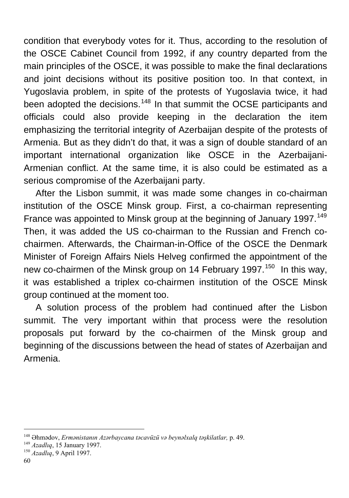condition that everybody votes for it. Thus, according to the resolution of the OSCE Cabinet Council from 1992, if any country departed from the main principles of the OSCE, it was possible to make the final declarations and joint decisions without its positive position too. In that context, in Yugoslavia problem, in spite of the protests of Yugoslavia twice, it had been adopted the decisions.<sup>[148](#page-59-0)</sup> In that summit the OCSE participants and officials could also provide keeping in the declaration the item emphasizing the territorial integrity of Azerbaijan despite of the protests of Armenia. But as they didn't do that, it was a sign of double standard of an important international organization like OSCE in the Azerbaijani-Armenian conflict. At the same time, it is also could be estimated as a serious compromise of the Azerbaijani party.

After the Lisbon summit, it was made some changes in co-chairman institution of the OSCE Minsk group. First, a co-chairman representing France was appointed to Minsk group at the beginning of January 1997.<sup>[149](#page-59-1)</sup> Then, it was added the US co-chairman to the Russian and French cochairmen. Afterwards, the Chairman-in-Office of the OSCE the Denmark Minister of Foreign Affairs Niels Helveg confirmed the appointment of the new co-chairmen of the Minsk group on 14 February 1997.<sup>[150](#page-59-2)</sup> In this way, it was established a triplex co-chairmen institution of the OSCE Minsk group continued at the moment too.

A solution process of the problem had continued after the Lisbon summit. The very important within that process were the resolution proposals put forward by the co-chairmen of the Minsk group and beginning of the discussions between the head of states of Azerbaijan and Armenia.

<span id="page-59-0"></span><sup>&</sup>lt;sup>148</sup> Əhmədov, *Ermənistanın Azərbaycana təcavüzü və beynəlxalq təşkilatlar*, p. 49.<br><sup>149</sup> Azadlıq, 15 January 1997.<br><sup>150</sup> Azadlıq. 9 April 1997.

<span id="page-59-1"></span>

<span id="page-59-2"></span>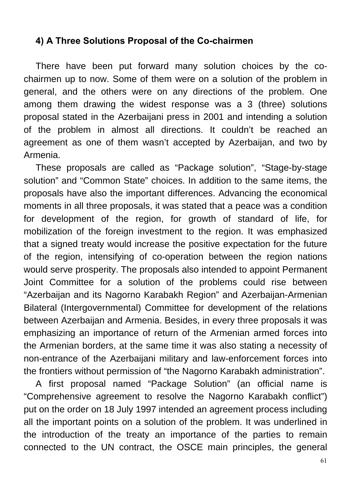#### **4) A Three Solutions Proposal of the Co-chairmen**

There have been put forward many solution choices by the cochairmen up to now. Some of them were on a solution of the problem in general, and the others were on any directions of the problem. One among them drawing the widest response was a 3 (three) solutions proposal stated in the Azerbaijani press in 2001 and intending a solution of the problem in almost all directions. It couldn't be reached an agreement as one of them wasn't accepted by Azerbaijan, and two by Armenia.

These proposals are called as "Package solution", "Stage-by-stage solution" and "Common State" choices. In addition to the same items, the proposals have also the important differences. Advancing the economical moments in all three proposals, it was stated that a peace was a condition for development of the region, for growth of standard of life, for mobilization of the foreign investment to the region. It was emphasized that a signed treaty would increase the positive expectation for the future of the region, intensifying of co-operation between the region nations would serve prosperity. The proposals also intended to appoint Permanent Joint Committee for a solution of the problems could rise between "Azerbaijan and its Nagorno Karabakh Region" and Azerbaijan-Armenian Bilateral (Intergovernmental) Committee for development of the relations between Azerbaijan and Armenia. Besides, in every three proposals it was emphasizing an importance of return of the Armenian armed forces into the Armenian borders, at the same time it was also stating a necessity of non-entrance of the Azerbaijani military and law-enforcement forces into the frontiers without permission of "the Nagorno Karabakh administration".

A first proposal named "Package Solution" (an official name is "Comprehensive agreement to resolve the Nagorno Karabakh conflict") put on the order on 18 July 1997 intended an agreement process including all the important points on a solution of the problem. It was underlined in the introduction of the treaty an importance of the parties to remain connected to the UN contract, the OSCE main principles, the general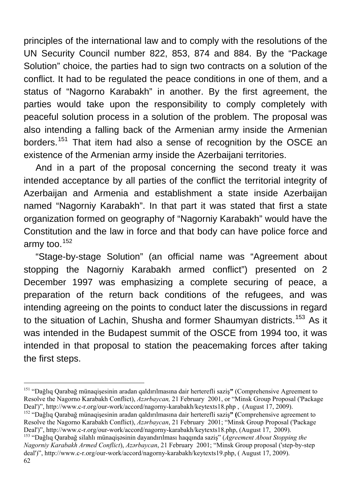principles of the international law and to comply with the resolutions of the UN Security Council number 822, 853, 874 and 884. By the "Package Solution" choice, the parties had to sign two contracts on a solution of the conflict. It had to be regulated the peace conditions in one of them, and a status of "Nagorno Karabakh" in another. By the first agreement, the parties would take upon the responsibility to comply completely with peaceful solution process in a solution of the problem. The proposal was also intending a falling back of the Armenian army inside the Armenian borders.<sup>[151](#page-61-0)</sup> That item had also a sense of recognition by the OSCE an existence of the Armenian army inside the Azerbaijani territories.

And in a part of the proposal concerning the second treaty it was intended acceptance by all parties of the conflict the territorial integrity of Azerbaijan and Armenia and establishment a state inside Azerbaijan named "Nagorniy Karabakh". In that part it was stated that first a state organization formed on geography of "Nagorniy Karabakh" would have the Constitution and the law in force and that body can have police force and army too. $152$ 

"Stage-by-stage Solution" (an official name was "Agreement about stopping the Nagorniy Karabakh armed conflict") presented on 2 December 1997 was emphasizing a complete securing of peace, a preparation of the return back conditions of the refugees, and was intending agreeing on the points to conduct later the discussions in regard to the situation of Lachin, Shusha and former Shaumyan districts.<sup>[153](#page-61-2)</sup> As it was intended in the Budapest summit of the OSCE from 1994 too, it was intended in that proposal to station the peacemaking forces after taking the first steps.

<span id="page-61-0"></span><sup>151 &</sup>quot;Dağlıq Qarabağ münaqişesinin aradan qaldırılmasına dair herterefli saziş**"** (Comprehensive Agreement to Resolve the Nagorno Karabakh Conflict), *Azərbaycan,* 21 February 2001, or "Minsk Group Proposal ('Package Deal')", [http://www.c-r.org/our-work/accord/nagorny-karabakh/keytexts18.php , \(August 17, 2](http://www.c-r.org/our-work/accord/nagorny-karabakh/keytexts18.php%20,%20%20(August%2017,)009). 152 "Dağlıq Qarabağ münaqişesinin aradan qaldırılmasına dair herterefli saziş**" (**Comprehensive agreement to

<span id="page-61-1"></span>Resolve the Nagorno Karabakh Conflict), *Azərbaycan*, 21 February 2001; "Minsk Group Proposal ('Package Deal')", http://www.c-r.org/our-work/accord/nagorny-karabakh/keytexts18.php, (August 17, 2009).<br><sup>153</sup> "Dağlıq Qarabağ silahlı münaqişəsinin dayandırılması haqqında sazis" (*Agreement About Stopping the* 

<span id="page-61-2"></span><sup>62</sup> *Nagorniy Karabakh Armed Conflict*), *Azərbaycan*, 21 February 2001; "Minsk Group proposal ('step-by-step deal')", http://www.c-r.org/our-work/accord/nagorny-karabakh/keytexts19.php, ( August 17, 2009).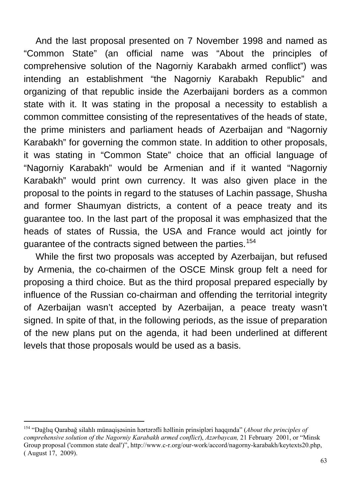And the last proposal presented on 7 November 1998 and named as "Common State" (an official name was "About the principles of comprehensive solution of the Nagorniy Karabakh armed conflict") was intending an establishment "the Nagorniy Karabakh Republic" and organizing of that republic inside the Azerbaijani borders as a common state with it. It was stating in the proposal a necessity to establish a common committee consisting of the representatives of the heads of state, the prime ministers and parliament heads of Azerbaijan and "Nagorniy Karabakh" for governing the common state. In addition to other proposals, it was stating in "Common State" choice that an official language of "Nagorniy Karabakh" would be Armenian and if it wanted "Nagorniy Karabakh" would print own currency. It was also given place in the proposal to the points in regard to the statuses of Lachin passage, Shusha and former Shaumyan districts, a content of a peace treaty and its guarantee too. In the last part of the proposal it was emphasized that the heads of states of Russia, the USA and France would act jointly for guarantee of the contracts signed between the parties.<sup>[154](#page-62-0)</sup>

While the first two proposals was accepted by Azerbaijan, but refused by Armenia, the co-chairmen of the OSCE Minsk group felt a need for proposing a third choice. But as the third proposal prepared especially by influence of the Russian co-chairman and offending the territorial integrity of Azerbaijan wasn't accepted by Azerbaijan, a peace treaty wasn't signed. In spite of that, in the following periods, as the issue of preparation of the new plans put on the agenda, it had been underlined at different levels that those proposals would be used as a basis.

<span id="page-62-0"></span> $\overline{a}$ 154 "Dağlıq Qarabağ silahlı münaqişəsinin hərtərəfli həllinin prinsipləri haqqında" (*About the principles of comprehensive solution of the Nagorniy Karabakh armed conflict*), *Azərbaycan,* 21 February 2001, or "Minsk Group proposal ('common state deal')", [http://www.c-r.org/our-work/accord/nagorny-karabakh/keytexts20.php,](http://www.c-r.org/our-work/accord/nagorny-karabakh/keytexts20.php,%20%20%20(%20August%2017)  [\( August 17](http://www.c-r.org/our-work/accord/nagorny-karabakh/keytexts20.php,%20%20%20(%20August%2017), 2009).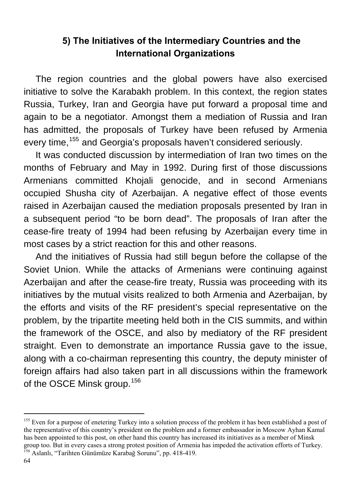### **5) The Initiatives of the Intermediary Countries and the International Organizations**

The region countries and the global powers have also exercised initiative to solve the Karabakh problem. In this context, the region states Russia, Turkey, Iran and Georgia have put forward a proposal time and again to be a negotiator. Amongst them a mediation of Russia and Iran has admitted, the proposals of Turkey have been refused by Armenia every time, <sup>[155](#page-63-0)</sup> and Georgia's proposals haven't considered seriously.

It was conducted discussion by intermediation of Iran two times on the months of February and May in 1992. During first of those discussions Armenians committed Khojali genocide, and in second Armenians occupied Shusha city of Azerbaijan. A negative effect of those events raised in Azerbaijan caused the mediation proposals presented by Iran in a subsequent period "to be born dead". The proposals of Iran after the cease-fire treaty of 1994 had been refusing by Azerbaijan every time in most cases by a strict reaction for this and other reasons.

And the initiatives of Russia had still begun before the collapse of the Soviet Union. While the attacks of Armenians were continuing against Azerbaijan and after the cease-fire treaty, Russia was proceeding with its initiatives by the mutual visits realized to both Armenia and Azerbaijan, by the efforts and visits of the RF president's special representative on the problem, by the tripartite meeting held both in the CIS summits, and within the framework of the OSCE, and also by mediatory of the RF president straight. Even to demonstrate an importance Russia gave to the issue, along with a co-chairman representing this country, the deputy minister of foreign affairs had also taken part in all discussions within the framework of the OSCE Minsk group.<sup>[156](#page-63-1)</sup>

<span id="page-63-1"></span>

<span id="page-63-0"></span><sup>&</sup>lt;sup>155</sup> Even for a purpose of enetering Turkey into a solution process of the problem it has been established a post of the representative of this country's president on the problem and a former embassador in Moscow Ayhan Kamal has been appointed to this post, on other hand this country has increased its initiatives as a member of Minsk group too. But in every cases a strong protest position of Armenia has impeded the activation efforts of Turkey.<br><sup>156</sup> Aslanlı, "Tarihten Günümüze Karabağ Sorunu", pp. 418-419.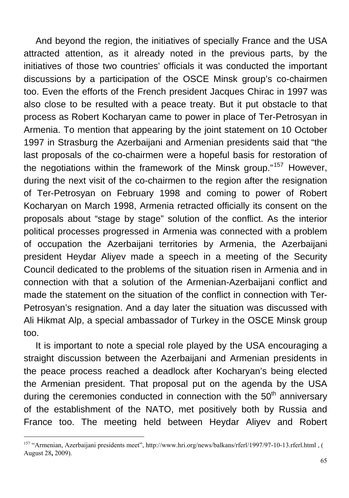And beyond the region, the initiatives of specially France and the USA attracted attention, as it already noted in the previous parts, by the initiatives of those two countries' officials it was conducted the important discussions by a participation of the OSCE Minsk group's co-chairmen too. Even the efforts of the French president Jacques Chirac in 1997 was also close to be resulted with a peace treaty. But it put obstacle to that process as Robert Kocharyan came to power in place of Ter-Petrosyan in Armenia. To mention that appearing by the joint statement on 10 October 1997 in Strasburg the Azerbaijani and Armenian presidents said that "the last proposals of the co-chairmen were a hopeful basis for restoration of the negotiations within the framework of the Minsk group."<sup>[157](#page-64-0)</sup> However, during the next visit of the co-chairmen to the region after the resignation of Ter-Petrosyan on February 1998 and coming to power of Robert Kocharyan on March 1998, Armenia retracted officially its consent on the proposals about "stage by stage" solution of the conflict. As the interior political processes progressed in Armenia was connected with a problem of occupation the Azerbaijani territories by Armenia, the Azerbaijani president Heydar Aliyev made a speech in a meeting of the Security Council dedicated to the problems of the situation risen in Armenia and in connection with that a solution of the Armenian-Azerbaijani conflict and made the statement on the situation of the conflict in connection with Ter-Petrosyan's resignation. And a day later the situation was discussed with Ali Hikmat Alp, a special ambassador of Turkey in the OSCE Minsk group too.

It is important to note a special role played by the USA encouraging a straight discussion between the Azerbaijani and Armenian presidents in the peace process reached a deadlock after Kocharyan's being elected the Armenian president. That proposal put on the agenda by the USA during the ceremonies conducted in connection with the  $50<sup>th</sup>$  anniversary of the establishment of the NATO, met positively both by Russia and France too. The meeting held between Heydar Aliyev and Robert

<span id="page-64-0"></span><sup>157 &</sup>quot;Armenian, Azerbaijani presidents meet", http://www.hri.org/news/balkans/rferl/1997/97-10-13.rferl.html , ( [August 28](http://www.hri.org/news/balkans/rferl/1997/97-10-13.rferl.html%20,%20(28)**,** 2009).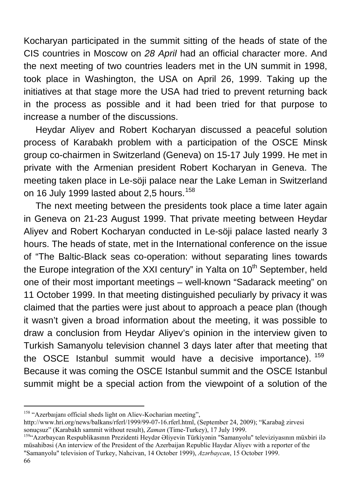Kocharyan participated in the summit sitting of the heads of state of the CIS countries in Moscow on *28 April* had an official character more. And the next meeting of two countries leaders met in the UN summit in 1998, took place in Washington, the USA on April 26, 1999. Taking up the initiatives at that stage more the USA had tried to prevent returning back in the process as possible and it had been tried for that purpose to increase a number of the discussions.

Heydar Aliyev and Robert Kocharyan discussed a peaceful solution process of Karabakh problem with a participation of the OSCE Minsk group co-chairmen in Switzerland (Geneva) on 15-17 July 1999. He met in private with the Armenian president Robert Kocharyan in Geneva. The meeting taken place in Le-söji palace near the Lake Leman in Switzerland on 16 July 1999 lasted about 2,5 hours.<sup>[158](#page-65-0)</sup>

The next meeting between the presidents took place a time later again in Geneva on 21-23 August 1999. That private meeting between Heydar Aliyev and Robert Kocharyan conducted in Le-söji palace lasted nearly 3 hours. The heads of state, met in the International conference on the issue of "The Baltic-Black seas co-operation: without separating lines towards the Europe integration of the XXI century" in Yalta on  $10<sup>th</sup>$  September, held one of their most important meetings – well-known "Sadarack meeting" on 11 October 1999. In that meeting distinguished peculiarly by privacy it was claimed that the parties were just about to approach a peace plan (though it wasn't given a broad information about the meeting, it was possible to draw a conclusion from Heydar Aliyev's opinion in the interview given to Turkish Samanyolu television channel 3 days later after that meeting that the OSCE Istanbul summit would have a decisive importance). <sup>[159](#page-65-1)</sup> Because it was coming the OSCE Istanbul summit and the OSCE Istanbul summit might be a special action from the viewpoint of a solution of the

<span id="page-65-0"></span><sup>158 &</sup>quot;Azerbaıjanı official sheds light on Aliev-Kocharian meeting",

[http://www.hri.org/news/balkans/rferl/1999/99-07-16.rferl.html,](http://www.hri.org/news/balkans/rferl/1999/99-07-16.rferl.html) (September 24, 2009); "Karabağ zirvesi sonuçsuz" (Karabakh sammit without result), *Zaman* (Time-Turkey), 17 July 1999.<br><sup>159</sup>"Azərbaycan Respublikasının Prezidenti Heydər Əliyevin Türkiyənin "Samanyolu" televiziyasının müxbiri ilə

<span id="page-65-1"></span>müsahibəsi (An interview of the President of the Azerbaijan Republic Haydar Aliyev with a reporter of the "Samanyolu" television of Turkey, Nahcivan, 14 October 1999), *Azərbaycan*, 15 October 1999.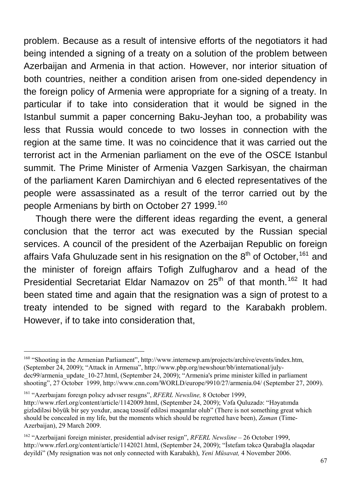problem. Because as a result of intensive efforts of the negotiators it had being intended a signing of a treaty on a solution of the problem between Azerbaijan and Armenia in that action. However, nor interior situation of both countries, neither a condition arisen from one-sided dependency in the foreign policy of Armenia were appropriate for a signing of a treaty. In particular if to take into consideration that it would be signed in the Istanbul summit a paper concerning Baku-Jeyhan too, a probability was less that Russia would concede to two losses in connection with the region at the same time. It was no coincidence that it was carried out the terrorist act in the Armenian parliament on the eve of the OSCE Istanbul summit. The Prime Minister of Armenia Vazgen Sarkisyan, the chairman of the parliament Karen Damirchiyan and 6 elected representatives of the people were assassinated as a result of the terror carried out by the people Armenians by birth on October 27 1999.<sup>[160](#page-66-0)</sup>

Though there were the different ideas regarding the event, a general conclusion that the terror act was executed by the Russian special services. A council of the president of the Azerbaijan Republic on foreign affairs Vafa Ghuluzade sent in his resignation on the  $8<sup>th</sup>$  of October,  $161$  and the minister of foreign affairs Tofigh Zulfugharov and a head of the Presidential Secretariat Eldar Namazov on 25<sup>th</sup> of that month.<sup>[162](#page-66-2)</sup> It had been stated time and again that the resignation was a sign of protest to a treaty intended to be signed with regard to the Karabakh problem. However, if to take into consideration that,

<span id="page-66-0"></span><sup>160 &</sup>quot;Shooting in the Armenian Parliament", [http://www.internewp.am/projects/archive/events/index.htm](http://www.internews.am/projects/archive/events/index.htm), (September 24, 2009); "Attack in Armenıa", [http://www.pbp.org/newshour/bb/international/july](http://www.pbs.org/newshour/bb/international/july-dec99/armenia_update_10-27.html)[dec99/armenia\\_update\\_10-27.html](http://www.pbs.org/newshour/bb/international/july-dec99/armenia_update_10-27.html), (September 24, 2009); "Armenia's prime minister killed in parliament shooting", 27 October 1999,<http://www.cnn.com/WORLD/europe/9910/27/armenia.04/> (September 27, 2009).

<span id="page-66-1"></span><sup>161 &</sup>quot;Azerbaıjanı foreıgn polıcy advıser resıgns", *RFERL Newsline,* 8 October 1999,

<http://www.rferl.org/content/article/1142009.html>, (September 24, 2009); Vəfa Quluzadə: "Həyatımda gizlədiləsi böyük bir şey yoxdur, ancaq təəssüf ediləsi məqamlar olub" (There is not something great which should be concealed in my life, but the moments which should be regretted have been), *Zaman* (Time-Azerbaijan), 29 March 2009.

<span id="page-66-2"></span><sup>162 &</sup>quot;Azerbaijani foreign minister, presidential adviser resign", *RFERL Newsline* – 26 October 1999, <http://www.rferl.org/content/article/1142021.html>, (September 24, 2009); "İstefam təkcə Qarabağla əlaqədar deyildi" (My resignation was not only connected with Karabakh), *Yeni Müsavat,* 4 November 2006.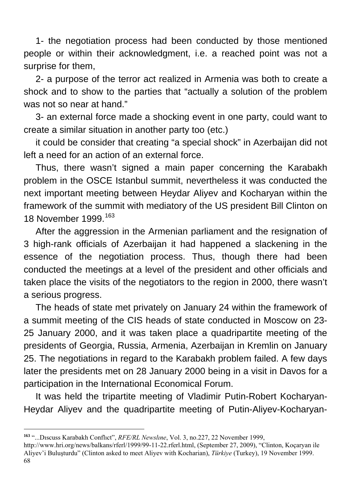1- the negotiation process had been conducted by those mentioned people or within their acknowledgment, i.e. a reached point was not a surprise for them,

2- a purpose of the terror act realized in Armenia was both to create a shock and to show to the parties that "actually a solution of the problem was not so near at hand."

3- an external force made a shocking event in one party, could want to create a similar situation in another party too (etc.)

it could be consider that creating "a special shock" in Azerbaijan did not left a need for an action of an external force.

Thus, there wasn't signed a main paper concerning the Karabakh problem in the OSCE Istanbul summit, nevertheless it was conducted the next important meeting between Heydar Aliyev and Kocharyan within the framework of the summit with mediatory of the US president Bill Clinton on 18 November 1999.<sup>[163](#page-67-0)</sup>

After the aggression in the Armenian parliament and the resignation of 3 high-rank officials of Azerbaijan it had happened a slackening in the essence of the negotiation process. Thus, though there had been conducted the meetings at a level of the president and other officials and taken place the visits of the negotiators to the region in 2000, there wasn't a serious progress.

The heads of state met privately on January 24 within the framework of a summit meeting of the CIS heads of state conducted in Moscow on 23- 25 January 2000, and it was taken place a quadripartite meeting of the presidents of Georgia, Russia, Armenia, Azerbaijan in Kremlin on January 25. The negotiations in regard to the Karabakh problem failed. A few days later the presidents met on 28 January 2000 being in a visit in Davos for a participation in the International Economical Forum.

It was held the tripartite meeting of Vladimir Putin-Robert Kocharyan-Heydar Aliyev and the quadripartite meeting of Putin-Aliyev-Kocharyan-

<span id="page-67-0"></span>**<sup>163</sup>** "...Dıscuss Karabakh Conflıct", *RFE/RL Newslıne*, Vol. 3, no.227, 22 November 1999,

<sup>68</sup> [http://www.hri.org/news/balkans/rferl/1999/99-11-22.rferl.html,](http://www.hri.org/news/balkans/rferl/1999/99-11-22.rferl.html) (September 27, 2009), "Clinton, Koçaryan ile Aliyev'i Buluşturdu" (Clinton asked to meet Aliyev with Kocharian), *Türkiye* (Turkey), 19 November 1999.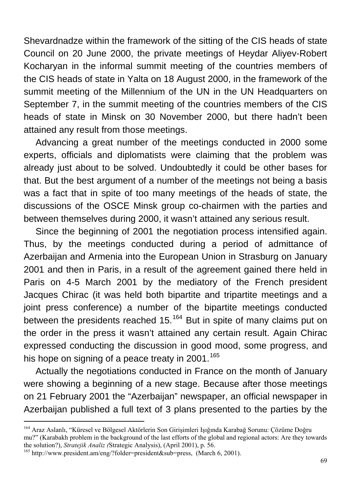Shevardnadze within the framework of the sitting of the CIS heads of state Council on 20 June 2000, the private meetings of Heydar Aliyev-Robert Kocharyan in the informal summit meeting of the countries members of the CIS heads of state in Yalta on 18 August 2000, in the framework of the summit meeting of the Millennium of the UN in the UN Headquarters on September 7, in the summit meeting of the countries members of the CIS heads of state in Minsk on 30 November 2000, but there hadn't been attained any result from those meetings.

Advancing a great number of the meetings conducted in 2000 some experts, officials and diplomatists were claiming that the problem was already just about to be solved. Undoubtedly it could be other bases for that. But the best argument of a number of the meetings not being a basis was a fact that in spite of too many meetings of the heads of state, the discussions of the OSCE Minsk group co-chairmen with the parties and between themselves during 2000, it wasn't attained any serious result.

Since the beginning of 2001 the negotiation process intensified again. Thus, by the meetings conducted during a period of admittance of Azerbaijan and Armenia into the European Union in Strasburg on January 2001 and then in Paris, in a result of the agreement gained there held in Paris on 4-5 March 2001 by the mediatory of the French president Jacques Chirac (it was held both bipartite and tripartite meetings and a joint press conference) a number of the bipartite meetings conducted between the presidents reached  $15^{164}$  $15^{164}$  $15^{164}$  But in spite of many claims put on the order in the press it wasn't attained any certain result. Again Chirac expressed conducting the discussion in good mood, some progress, and his hope on signing of a peace treaty in  $2001$ .<sup>[165](#page-68-1)</sup>

Actually the negotiations conducted in France on the month of January were showing a beginning of a new stage. Because after those meetings on 21 February 2001 the "Azerbaijan" newspaper, an official newspaper in Azerbaijan published a full text of 3 plans presented to the parties by the

<span id="page-68-0"></span><sup>164</sup> Araz Aslanlı, "Küresel ve Bölgesel Aktörlerin Son Girişimleri Işığında Karabağ Sorunu: Çözüme Doğru mu?" (Karabakh problem in the background of the last efforts of the global and regional actors: Are they towards the solution?), *Stratejik Analiz (*Strategic Analysis), (April 2001), p. 56. 165 <http://www.president.am/eng/?folder=president&sub=press>, (March 6, 2001).

<span id="page-68-1"></span>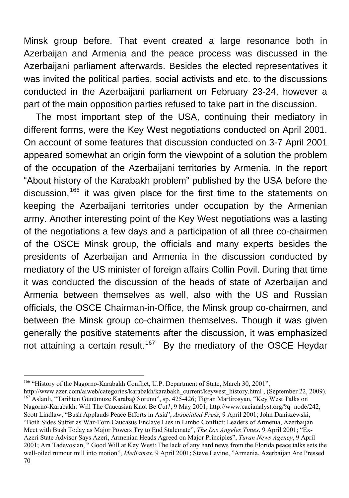Minsk group before. That event created a large resonance both in Azerbaijan and Armenia and the peace process was discussed in the Azerbaijani parliament afterwards. Besides the elected representatives it was invited the political parties, social activists and etc. to the discussions conducted in the Azerbaijani parliament on February 23-24, however a part of the main opposition parties refused to take part in the discussion.

The most important step of the USA, continuing their mediatory in different forms, were the Key West negotiations conducted on April 2001. On account of some features that discussion conducted on 3-7 April 2001 appeared somewhat an origin form the viewpoint of a solution the problem of the occupation of the Azerbaijani territories by Armenia. In the report "About history of the Karabakh problem" published by the USA before the discussion,<sup>[166](#page-69-0)</sup> it was given place for the first time to the statements on keeping the Azerbaijani territories under occupation by the Armenian army. Another interesting point of the Key West negotiations was a lasting of the negotiations a few days and a participation of all three co-chairmen of the OSCE Minsk group, the officials and many experts besides the presidents of Azerbaijan and Armenia in the discussion conducted by mediatory of the US minister of foreign affairs Collin Povil. During that time it was conducted the discussion of the heads of state of Azerbaijan and Armenia between themselves as well, also with the US and Russian officials, the OSCE Chairman-in-Office, the Minsk group co-chairmen, and between the Minsk group co-chairmen themselves. Though it was given generally the positive statements after the discussion, it was emphasized not attaining a certain result.<sup>[167](#page-69-1)</sup> By the mediatory of the OSCE Heydar

<span id="page-69-0"></span><sup>&</sup>lt;sup>166</sup> "History of the Nagorno-Karabakh Conflict, U.P. Department of State, March 30, 2001",<br>http://www.azer.com/aiweb/categories/karabakh/karabakh current/keywest history.html, (September 22, 2009).

<span id="page-69-1"></span><sup>70</sup> <sup>167</sup> Aslanlı, "Tarihten Günümüze Karabağ Sorunu", sp. 425-426; Tigran Martirosyan, "Key West Talks on Nagorno-Karabakh: Will The Caucasian Knot Be Cut?, 9 May 2001,<http://www.cacianalyst.org/?q=node/242>, Scott Lindlaw, "Bush Applauds Peace Efforts in Asia", *Associated Press*, 9 April 2001; John Daniszewski, "Both Sides Suffer as War-Torn Caucasus Enclave Lies in Limbo Conflict: Leaders of Armenia, Azerbaijan Meet with Bush Today as Major Powers Try to End Stalemate", *The Los Angeles Times*, 9 April 2001; "Ex-Azeri State Advisor Says Azeri, Armenian Heads Agreed on Major Principles", *Turan News Agency*, 9 April 2001; Ara Tadevosian, " Good Will at Key West: The lack of any hard news from the Florida peace talks sets the well-oiled rumour mill into motion", *Mediamax*, 9 April 2001; Steve Levine, ["Armenia, Azerbaijan Are Pressed](http://azer.com/aiweb/categories/karabakh/media/key_west_after/media_levine.html)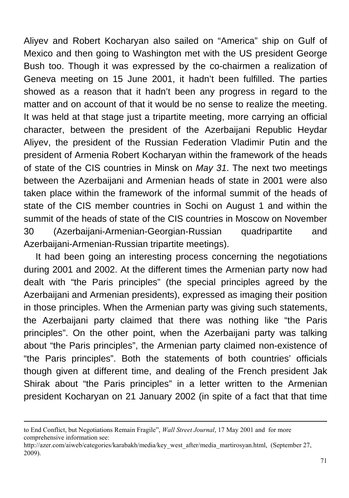Aliyev and Robert Kocharyan also sailed on "America" ship on Gulf of Mexico and then going to Washington met with the US president George Bush too. Though it was expressed by the co-chairmen a realization of Geneva meeting on 15 June 2001, it hadn't been fulfilled. The parties showed as a reason that it hadn't been any progress in regard to the matter and on account of that it would be no sense to realize the meeting. It was held at that stage just a tripartite meeting, more carrying an official character, between the president of the Azerbaijani Republic Heydar Aliyev, the president of the Russian Federation Vladimir Putin and the president of Armenia Robert Kocharyan within the framework of the heads of state of the CIS countries in Minsk on *May 31*. The next two meetings between the Azerbaijani and Armenian heads of state in 2001 were also taken place within the framework of the informal summit of the heads of state of the CIS member countries in Sochi on August 1 and within the summit of the heads of state of the CIS countries in Moscow on November 30 (Azerbaijani-Armenian-Georgian-Russian quadripartite and Azerbaijani-Armenian-Russian tripartite meetings).

It had been going an interesting process concerning the negotiations during 2001 and 2002. At the different times the Armenian party now had dealt with "the Paris principles" (the special principles agreed by the Azerbaijani and Armenian presidents), expressed as imaging their position in those principles. When the Armenian party was giving such statements, the Azerbaijani party claimed that there was nothing like "the Paris principles". On the other point, when the Azerbaijani party was talking about "the Paris principles", the Armenian party claimed non-existence of "the Paris principles". Both the statements of both countries' officials though given at different time, and dealing of the French president Jak Shirak about "the Paris principles" in a letter written to the Armenian president Kocharyan on 21 January 2002 (in spite of a fact that that time

1

[to End Conflict, but Negotiations Remain Fragile",](http://azer.com/aiweb/categories/karabakh/media/key_west_after/media_levine.html) *Wall Street Journal*, 17 May 2001 and for more comprehensive information see:

[http://azer.com/aiweb/categories/karabakh/media/key\\_west\\_after/media\\_martirosyan.html,](http://azer.com/aiweb/categories/karabakh/media/key_west_after/media_martirosyan.html) (September 27, 2009).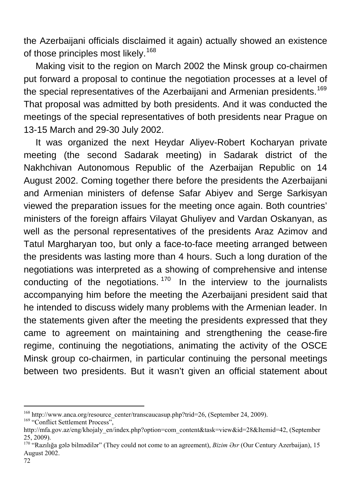the Azerbaijani officials disclaimed it again) actually showed an existence of those principles most likely.<sup>[168](#page-71-0)</sup>

Making visit to the region on March 2002 the Minsk group co-chairmen put forward a proposal to continue the negotiation processes at a level of the special representatives of the Azerbaijani and Armenian presidents.<sup>[169](#page-71-1)</sup> That proposal was admitted by both presidents. And it was conducted the meetings of the special representatives of both presidents near Prague on 13-15 March and 29-30 July 2002.

It was organized the next Heydar Aliyev-Robert Kocharyan private meeting (the second Sadarak meeting) in Sadarak district of the Nakhchivan Autonomous Republic of the Azerbaijan Republic on 14 August 2002. Coming together there before the presidents the Azerbaijani and Armenian ministers of defense Safar Abiyev and Serge Sarkisyan viewed the preparation issues for the meeting once again. Both countries' ministers of the foreign affairs Vilayat Ghuliyev and Vardan Oskanyan, as well as the personal representatives of the presidents Araz Azimov and Tatul Margharyan too, but only a face-to-face meeting arranged between the presidents was lasting more than 4 hours. Such a long duration of the negotiations was interpreted as a showing of comprehensive and intense conducting of the negotiations.  $170$  In the interview to the journalists accompanying him before the meeting the Azerbaijani president said that he intended to discuss widely many problems with the Armenian leader. In the statements given after the meeting the presidents expressed that they came to agreement on maintaining and strengthening the cease-fire regime, continuing the negotiations, animating the activity of the OSCE Minsk group co-chairmen, in particular continuing the personal meetings between two presidents. But it wasn't given an official statement about

<span id="page-71-1"></span>

<span id="page-71-0"></span><sup>&</sup>lt;sup>168</sup> http://www.anca.org/resource\_center/transcaucasup.php?trid=26, (September 24, 2009). <sup>169</sup> "Conflict Settlement Process",

[http://mfa.gov.az/eng/khojaly\\_en/index.php?option=com\\_content&task=view&id=28&Itemid=42](http://mfa.gov.az/eng/khojaly_en/index.php?option=com_content&task=view&id=28&Itemid=42), (September 25, 2009).

<span id="page-71-2"></span><sup>&</sup>lt;sup>170</sup> "Razılığa gələ bilmədilər" (They could not come to an agreement), *Bizim Əsr* (Our Century Azerbaijan), 15 August 2002.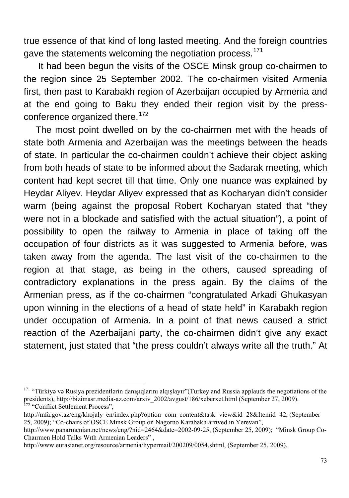true essence of that kind of long lasted meeting. And the foreign countries gave the statements welcoming the negotiation process.<sup>[171](#page-72-0)</sup>

 It had been begun the visits of the OSCE Minsk group co-chairmen to the region since 25 September 2002. The co-chairmen visited Armenia first, then past to Karabakh region of Azerbaijan occupied by Armenia and at the end going to Baku they ended their region visit by the press-conference organized there.<sup>[172](#page-72-1)</sup>

The most point dwelled on by the co-chairmen met with the heads of state both Armenia and Azerbaijan was the meetings between the heads of state. In particular the co-chairmen couldn't achieve their object asking from both heads of state to be informed about the Sadarak meeting, which content had kept secret till that time. Only one nuance was explained by Heydar Aliyev. Heydar Aliyev expressed that as Kocharyan didn't consider warm (being against the proposal Robert Kocharyan stated that "they were not in a blockade and satisfied with the actual situation"), a point of possibility to open the railway to Armenia in place of taking off the occupation of four districts as it was suggested to Armenia before, was taken away from the agenda. The last visit of the co-chairmen to the region at that stage, as being in the others, caused spreading of contradictory explanations in the press again. By the claims of the Armenian press, as if the co-chairmen "congratulated Arkadi Ghukasyan upon winning in the elections of a head of state held" in Karabakh region under occupation of Armenia. In a point of that news caused a strict reaction of the Azerbaijani party, the co-chairmen didn't give any exact statement, just stated that "the press couldn't always write all the truth." At

<span id="page-72-0"></span><sup>&</sup>lt;sup>171</sup> "Türkiyə və Rusiya prezidentlərin danışıqlarını alqışlayır"(Turkey and Russia applauds the negotiations of the presidents), [http://bizimasr.media-az.com/arxiv\\_2002/avgust/186/xeberxet.html](http://bizimasr.media-az.com/arxiv_2002/avgust/186/xeberxet.html) (September 27, 2009). 172 "Conflict Settlement Process",

<span id="page-72-1"></span>[http://mfa.gov.az/eng/khojaly\\_en/index.php?option=com\\_content&task=view&id=28&Itemid=42](http://mfa.gov.az/eng/khojaly_en/index.php?option=com_content&task=view&id=28&Itemid=42), (September 25, 2009); "Co-chairs of OSCE Minsk Group on Nagorno Karabakh arrived in Yerevan",

<http://www.panarmenian.net/news/eng/?nid=2464&date=2002-09-25>, (September 25, 2009); "Minsk Group Co-Chaırmen Hold Talks Wıth Armenian Leaders" ,

<http://www.eurasianet.org/resource/armenia/hypermail/200209/0054.shtml>, (September 25, 2009).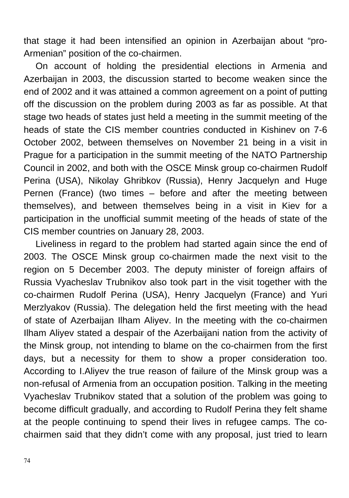that stage it had been intensified an opinion in Azerbaijan about "pro-Armenian" position of the co-chairmen.

On account of holding the presidential elections in Armenia and Azerbaijan in 2003, the discussion started to become weaken since the end of 2002 and it was attained a common agreement on a point of putting off the discussion on the problem during 2003 as far as possible. At that stage two heads of states just held a meeting in the summit meeting of the heads of state the CIS member countries conducted in Kishinev on 7-6 October 2002, between themselves on November 21 being in a visit in Prague for a participation in the summit meeting of the NATO Partnership Council in 2002, and both with the OSCE Minsk group co-chairmen Rudolf Perina (USA), Nikolay Ghribkov (Russia), Henry Jacquelyn and Huge Pernen (France) (two times – before and after the meeting between themselves), and between themselves being in a visit in Kiev for a participation in the unofficial summit meeting of the heads of state of the CIS member countries on January 28, 2003.

Liveliness in regard to the problem had started again since the end of 2003. The OSCE Minsk group co-chairmen made the next visit to the region on 5 December 2003. The deputy minister of foreign affairs of Russia Vyacheslav Trubnikov also took part in the visit together with the co-chairmen Rudolf Perina (USA), Henry Jacquelyn (France) and Yuri Merzlyakov (Russia). The delegation held the first meeting with the head of state of Azerbaijan Ilham Aliyev. In the meeting with the co-chairmen Ilham Aliyev stated a despair of the Azerbaijani nation from the activity of the Minsk group, not intending to blame on the co-chairmen from the first days, but a necessity for them to show a proper consideration too. According to I.Aliyev the true reason of failure of the Minsk group was a non-refusal of Armenia from an occupation position. Talking in the meeting Vyacheslav Trubnikov stated that a solution of the problem was going to become difficult gradually, and according to Rudolf Perina they felt shame at the people continuing to spend their lives in refugee camps. The cochairmen said that they didn't come with any proposal, just tried to learn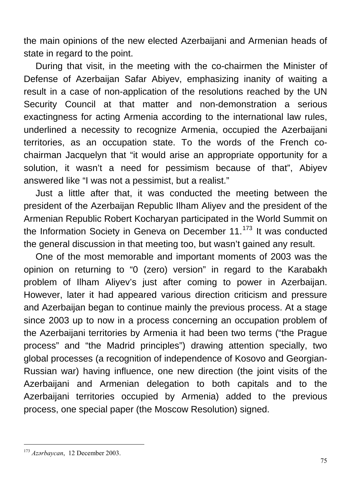the main opinions of the new elected Azerbaijani and Armenian heads of state in regard to the point.

During that visit, in the meeting with the co-chairmen the Minister of Defense of Azerbaijan Safar Abiyev, emphasizing inanity of waiting a result in a case of non-application of the resolutions reached by the UN Security Council at that matter and non-demonstration a serious exactingness for acting Armenia according to the international law rules, underlined a necessity to recognize Armenia, occupied the Azerbaijani territories, as an occupation state. To the words of the French cochairman Jacquelyn that "it would arise an appropriate opportunity for a solution, it wasn't a need for pessimism because of that", Abiyev answered like "I was not a pessimist, but a realist."

Just a little after that, it was conducted the meeting between the president of the Azerbaijan Republic Ilham Aliyev and the president of the Armenian Republic Robert Kocharyan participated in the World Summit on the Information Society in Geneva on December  $11$ .<sup>[173](#page-74-0)</sup> It was conducted the general discussion in that meeting too, but wasn't gained any result.

One of the most memorable and important moments of 2003 was the opinion on returning to "0 (zero) version" in regard to the Karabakh problem of Ilham Aliyev's just after coming to power in Azerbaijan. However, later it had appeared various direction criticism and pressure and Azerbaijan began to continue mainly the previous process. At a stage since 2003 up to now in a process concerning an occupation problem of the Azerbaijani territories by Armenia it had been two terms ("the Prague process" and "the Madrid principles") drawing attention specially, two global processes (a recognition of independence of Kosovo and Georgian-Russian war) having influence, one new direction (the joint visits of the Azerbaijani and Armenian delegation to both capitals and to the Azerbaijani territories occupied by Armenia) added to the previous process, one special paper (the Moscow Resolution) signed.

<span id="page-74-0"></span><sup>173</sup> *Azərbaycan*, 12 December 2003.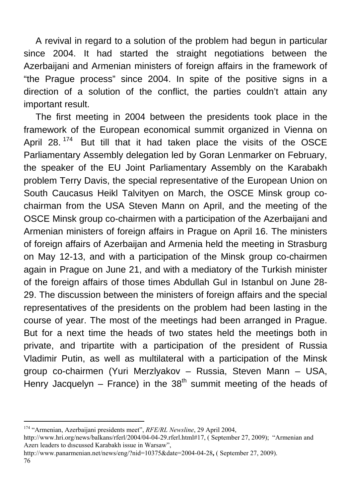A revival in regard to a solution of the problem had begun in particular since 2004. It had started the straight negotiations between the Azerbaijani and Armenian ministers of foreign affairs in the framework of "the Prague process" since 2004. In spite of the positive signs in a direction of a solution of the conflict, the parties couldn't attain any important result.

The first meeting in 2004 between the presidents took place in the framework of the European economical summit organized in Vienna on April 28.<sup>[174](#page-75-0)</sup> But till that it had taken place the visits of the OSCE Parliamentary Assembly delegation led by Goran Lenmarker on February, the speaker of the EU Joint Parliamentary Assembly on the Karabakh problem Terry Davis, the special representative of the European Union on South Caucasus Heikl Talvityen on March, the OSCE Minsk group cochairman from the USA Steven Mann on April, and the meeting of the OSCE Minsk group co-chairmen with a participation of the Azerbaijani and Armenian ministers of foreign affairs in Prague on April 16. The ministers of foreign affairs of Azerbaijan and Armenia held the meeting in Strasburg on May 12-13, and with a participation of the Minsk group co-chairmen again in Prague on June 21, and with a mediatory of the Turkish minister of the foreign affairs of those times Abdullah Gul in Istanbul on June 28- 29. The discussion between the ministers of foreign affairs and the special representatives of the presidents on the problem had been lasting in the course of year. The most of the meetings had been arranged in Prague. But for a next time the heads of two states held the meetings both in private, and tripartite with a participation of the president of Russia Vladimir Putin, as well as multilateral with a participation of the Minsk group co-chairmen (Yuri Merzlyakov – Russia, Steven Mann – USA, Henry Jacquelyn – France) in the  $38<sup>th</sup>$  summit meeting of the heads of

<span id="page-75-0"></span><sup>174 &</sup>quot;Armenian, Azerbaijani presidents meet", *RFE/RL Newsline*, 29 April 2004,

[http://www.hri.org/news/balkans/rferl/2004/04-04-29.rferl.html#17,](http://www.hri.org/news/balkans/rferl/2004/04-04-29.rferl.html#17) ( September 27, 2009); "Armenian and Azerı leaders to dıscussed Karabakh issue in Warsaw",

<http://www.panarmenian.net/news/eng/?nid=10375&date=2004-04-28>**,** ( September 27, 2009).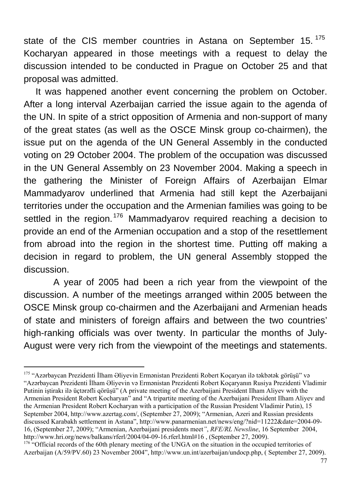state of the CIS member countries in Astana on September 15.<sup>[175](#page-76-0)</sup> Kocharyan appeared in those meetings with a request to delay the discussion intended to be conducted in Prague on October 25 and that proposal was admitted.

It was happened another event concerning the problem on October. After a long interval Azerbaijan carried the issue again to the agenda of the UN. In spite of a strict opposition of Armenia and non-support of many of the great states (as well as the OSCE Minsk group co-chairmen), the issue put on the agenda of the UN General Assembly in the conducted voting on 29 October 2004. The problem of the occupation was discussed in the UN General Assembly on 23 November 2004. Making a speech in the gathering the Minister of Foreign Affairs of Azerbaijan Elmar Mammadyarov underlined that Armenia had still kept the Azerbaijani territories under the occupation and the Armenian families was going to be settled in the region.<sup>[176](#page-76-1)</sup> Mammadyarov required reaching a decision to provide an end of the Armenian occupation and a stop of the resettlement from abroad into the region in the shortest time. Putting off making a decision in regard to problem, the UN general Assembly stopped the discussion.

 A year of 2005 had been a rich year from the viewpoint of the discussion. A number of the meetings arranged within 2005 between the OSCE Minsk group co-chairmen and the Azerbaijani and Armenian heads of state and ministers of foreign affairs and between the two countries' high-ranking officials was over twenty. In particular the months of July-August were very rich from the viewpoint of the meetings and statements.

<span id="page-76-0"></span> $\overline{a}$ <sup>175</sup> "Azərbaycan Prezidenti İlham Əliyevin Ermənistan Prezidenti Robert Koçaryan ilə təkbətək görüşü" və "Azərbaycan Prezidenti İlham Əliyevin və Ermənistan Prezidenti Robert Koçaryanın Rusiya Prezidenti Vladimir Putinin iştirakı ilə üçtərəfli qörüşü" (A private meeting of the Azerbaijani President Ilham Aliyev with the Armenian President Robert Kocharyan" and "A tripartite meeting of the Azerbaijani President Ilham Aliyev and the Armenian President Robert Kocharyan with a participation of the Russian President Vladimir Putin), 15 September 2004, <http://www.azertag.com/>, (September 27, 2009); "Armenian, Azeri and Russian presidents discussed Karabakh settlement in Astana", [http://www.panarmenian.net/news/eng/?nid=11222&date=2004-09-](http://www.panarmenian.net/news/eng/?nid=11222&date=2004-09-16) [16](http://www.panarmenian.net/news/eng/?nid=11222&date=2004-09-16), (September 27, 2009); "Armenian, Azerbaijani presidents meet*"*, *RFE/RL Newsline*, 16 September 2004, <http://www.hri.org/news/balkans/rferl/2004/04-09-16.rferl.html#16>, (September 27, 2009).<br><sup>[176](http://www.hri.org/news/balkans/rferl/2004/04-09-16.rferl.html#16)</sup> "Official records of the 60th plenary meeting of the UNGA on the situation in the occupied territories of

<span id="page-76-1"></span>Azerbaijan (A/59/PV.60) 23 November 2004", http://www.un.int/azerbaijan/undocp.php, ( September 27, 2009).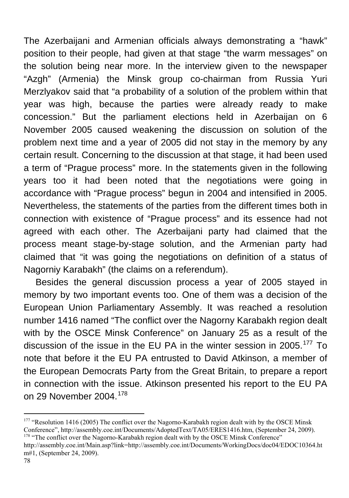The Azerbaijani and Armenian officials always demonstrating a "hawk" position to their people, had given at that stage "the warm messages" on the solution being near more. In the interview given to the newspaper "Azgh" (Armenia) the Minsk group co-chairman from Russia Yuri Merzlyakov said that "a probability of a solution of the problem within that year was high, because the parties were already ready to make concession." But the parliament elections held in Azerbaijan on 6 November 2005 caused weakening the discussion on solution of the problem next time and a year of 2005 did not stay in the memory by any certain result. Concerning to the discussion at that stage, it had been used a term of "Prague process" more. In the statements given in the following years too it had been noted that the negotiations were going in accordance with "Prague process" begun in 2004 and intensified in 2005. Nevertheless, the statements of the parties from the different times both in connection with existence of "Prague process" and its essence had not agreed with each other. The Azerbaijani party had claimed that the process meant stage-by-stage solution, and the Armenian party had claimed that "it was going the negotiations on definition of a status of Nagorniy Karabakh" (the claims on a referendum).

Besides the general discussion process a year of 2005 stayed in memory by two important events too. One of them was a decision of the European Union Parliamentary Assembly. It was reached a resolution number 1416 named "The conflict over the Nagorny Karabakh region dealt with by the OSCE Minsk Conference" on January 25 as a result of the discussion of the issue in the EU PA in the winter session in 2005.<sup>[177](#page-77-0)</sup> To note that before it the EU PA entrusted to David Atkinson, a member of the European Democrats Party from the Great Britain, to prepare a report in connection with the issue. Atkinson presented his report to the EU PA on 29 November 2004.[178](#page-77-1)

<span id="page-77-0"></span><sup>&</sup>lt;sup>177</sup> "Resolution 1416 (2005) The conflict over the Nagorno-Karabakh region dealt with by the OSCE Minsk Conference", [http://assembly.coe.int/Documents/AdoptedText/TA05/ERES1416.htm,](http://assembly.coe.int/Documents/AdoptedText/TA05/ERES1416.htm) (September 24, 2009).<br><sup>178</sup> "The conflict over the Nagorno-Karabakh region dealt with by the OSCE Minsk Conference"

<span id="page-77-1"></span>[http://assembly.coe.int/Main.asp?link=http://assembly.coe.int/Documents/WorkingDocs/doc04/EDOC10364.ht](http://assembly.coe.int/Main.asp?link=http://assembly.coe.int/Documents/WorkingDocs/doc04/EDOC10364.htm#1) [m#1](http://assembly.coe.int/Main.asp?link=http://assembly.coe.int/Documents/WorkingDocs/doc04/EDOC10364.htm#1), (September 24, 2009).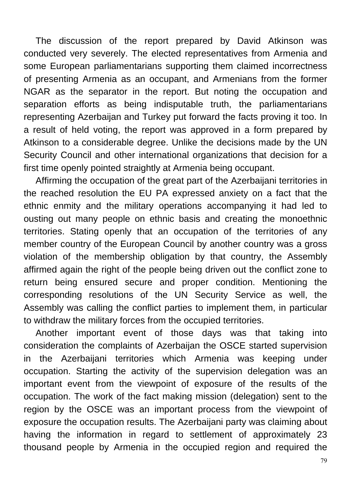The discussion of the report prepared by David Atkinson was conducted very severely. The elected representatives from Armenia and some European parliamentarians supporting them claimed incorrectness of presenting Armenia as an occupant, and Armenians from the former NGAR as the separator in the report. But noting the occupation and separation efforts as being indisputable truth, the parliamentarians representing Azerbaijan and Turkey put forward the facts proving it too. In a result of held voting, the report was approved in a form prepared by Atkinson to a considerable degree. Unlike the decisions made by the UN Security Council and other international organizations that decision for a first time openly pointed straightly at Armenia being occupant.

Affirming the occupation of the great part of the Azerbaijani territories in the reached resolution the EU PA expressed anxiety on a fact that the ethnic enmity and the military operations accompanying it had led to ousting out many people on ethnic basis and creating the monoethnic territories. Stating openly that an occupation of the territories of any member country of the European Council by another country was a gross violation of the membership obligation by that country, the Assembly affirmed again the right of the people being driven out the conflict zone to return being ensured secure and proper condition. Mentioning the corresponding resolutions of the UN Security Service as well, the Assembly was calling the conflict parties to implement them, in particular to withdraw the military forces from the occupied territories.

Another important event of those days was that taking into consideration the complaints of Azerbaijan the OSCE started supervision in the Azerbaijani territories which Armenia was keeping under occupation. Starting the activity of the supervision delegation was an important event from the viewpoint of exposure of the results of the occupation. The work of the fact making mission (delegation) sent to the region by the OSCE was an important process from the viewpoint of exposure the occupation results. The Azerbaijani party was claiming about having the information in regard to settlement of approximately 23 thousand people by Armenia in the occupied region and required the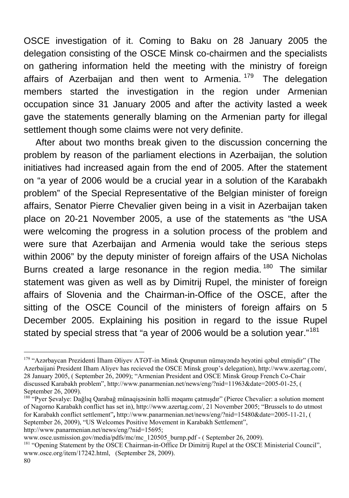OSCE investigation of it. Coming to Baku on 28 January 2005 the delegation consisting of the OSCE Minsk co-chairmen and the specialists on gathering information held the meeting with the ministry of foreign affairs of Azerbaijan and then went to Armenia.<sup>[179](#page-79-0)</sup> The delegation members started the investigation in the region under Armenian occupation since 31 January 2005 and after the activity lasted a week gave the statements generally blaming on the Armenian party for illegal settlement though some claims were not very definite.

After about two months break given to the discussion concerning the problem by reason of the parliament elections in Azerbaijan, the solution initiatives had increased again from the end of 2005. After the statement on "a year of 2006 would be a crucial year in a solution of the Karabakh problem" of the Special Representative of the Belgian minister of foreign affairs, Senator Pierre Chevalier given being in a visit in Azerbaijan taken place on 20-21 November 2005, a use of the statements as "the USA were welcoming the progress in a solution process of the problem and were sure that Azerbaijan and Armenia would take the serious steps within 2006" by the deputy minister of foreign affairs of the USA Nicholas Burns created a large resonance in the region media.<sup>[180](#page-79-1)</sup> The similar statement was given as well as by Dimitrij Rupel, the minister of foreign affairs of Slovenia and the Chairman-in-Office of the OSCE, after the sitting of the OSCE Council of the ministers of foreign affairs on 5 December 2005. Explaining his position in regard to the issue Rupel stated by special stress that "a year of 2006 would be a solution year."<sup>[181](#page-79-2)</sup>

<span id="page-79-0"></span><sup>179 &</sup>quot;Azərbaycan Prezidenti İlham Əliyev ATƏT-in Minsk Qrupunun nümayəndə heyətini qəbul etmişdir" (The Azerbaijani President Ilham Aliyev has recieved the OSCE Minsk group's delegation), <http://www.azertag.com/>, 28 January 2005, ( September 26, 2009); "Armenian President and OSCE Minsk Group French Co-Chair discussed Karabakh problem", <http://www.panarmenian.net/news/eng/?nid=11963&date=2005-01-25>, ( September 26, 2009).

<span id="page-79-1"></span><sup>180 &</sup>quot;Pyer Şevalye: Dağlıq Qarabağ münaqişəsinin həlli məqamı çatmışdır" (Pieree Chevalier: a solution moment of Nagorno Karabakh conflict has set in), [http://www.azertag.com/,](http://www.azertag.com/) 21 November 2005; "Brussels to do utmost for Karabakh conflict settlement"**,** [http://www.panarmenian.net/news/eng/?nid=15480&date=2005-11-21,](http://www.panarmenian.net/news/eng/?nid=15480&date=2005-11-21) ( September 26, 2009), "US Welcomes Positive Movement in Karabakh Settlement",

[http://www.panarmenian.net/news/eng/?nid=15695;](http://www.panarmenian.net/news/eng/?nid=15695)<br>www.osce.usmission.gov/media/pdfs/mc/mc 120505 burnp.pdf - (September 26, 2009).

<span id="page-79-2"></span><sup>&</sup>lt;sup>181</sup> "Opening Statement by the OSCE Chairman-in-Office Dr Dimitrij Rupel at the OSCE Ministerial Council", [www.osce.org/item/17242.html, \(September 28,](http://www.osce.org/item/17242.html,%20%20%20(September%2028) 2009).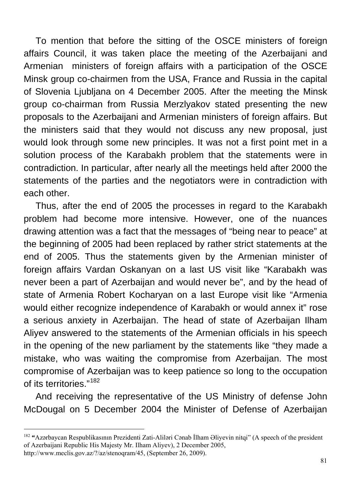To mention that before the sitting of the OSCE ministers of foreign affairs Council, it was taken place the meeting of the Azerbaijani and Armenian ministers of foreign affairs with a participation of the OSCE Minsk group co-chairmen from the USA, France and Russia in the capital of Slovenia Ljubljana on 4 December 2005. After the meeting the Minsk group co-chairman from Russia Merzlyakov stated presenting the new proposals to the Azerbaijani and Armenian ministers of foreign affairs. But the ministers said that they would not discuss any new proposal, just would look through some new principles. It was not a first point met in a solution process of the Karabakh problem that the statements were in contradiction. In particular, after nearly all the meetings held after 2000 the statements of the parties and the negotiators were in contradiction with each other.

Thus, after the end of 2005 the processes in regard to the Karabakh problem had become more intensive. However, one of the nuances drawing attention was a fact that the messages of "being near to peace" at the beginning of 2005 had been replaced by rather strict statements at the end of 2005. Thus the statements given by the Armenian minister of foreign affairs Vardan Oskanyan on a last US visit like "Karabakh was never been a part of Azerbaijan and would never be", and by the head of state of Armenia Robert Kocharyan on a last Europe visit like "Armenia would either recognize independence of Karabakh or would annex it" rose a serious anxiety in Azerbaijan. The head of state of Azerbaijan Ilham Aliyev answered to the statements of the Armenian officials in his speech in the opening of the new parliament by the statements like "they made a mistake, who was waiting the compromise from Azerbaijan. The most compromise of Azerbaijan was to keep patience so long to the occupation of its territories."[182](#page-80-0)

And receiving the representative of the US Ministry of defense John McDougal on 5 December 2004 the Minister of Defense of Azerbaijan

<span id="page-80-0"></span><sup>182</sup> **"**Azərbaycan Respublikasının Prezidenti Zati-Aliləri Cənab İlham Əliyevin nitqi" (A speech of the president of Azerbaijani Republic His Majesty Mr. Ilham Aliyev), 2 December 2005,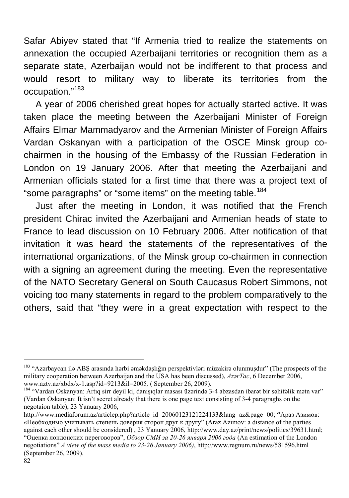Safar Abiyev stated that "If Armenia tried to realize the statements on annexation the occupied Azerbaijani territories or recognition them as a separate state, Azerbaijan would not be indifferent to that process and would resort to military way to liberate its territories from the occupation."[183](#page-81-0)

A year of 2006 cherished great hopes for actually started active. It was taken place the meeting between the Azerbaijani Minister of Foreign Affairs Elmar Mammadyarov and the Armenian Minister of Foreign Affairs Vardan Oskanyan with a participation of the OSCE Minsk group cochairmen in the housing of the Embassy of the Russian Federation in London on 19 January 2006. After that meeting the Azerbaijani and Armenian officials stated for a first time that there was a project text of "some paragraphs" or "some items" on the meeting table.<sup>[184](#page-81-1)</sup>

Just after the meeting in London, it was notified that the French president Chirac invited the Azerbaijani and Armenian heads of state to France to lead discussion on 10 February 2006. After notification of that invitation it was heard the statements of the representatives of the international organizations, of the Minsk group co-chairmen in connection with a signing an agreement during the meeting. Even the representative of the NATO Secretary General on South Caucasus Robert Simmons, not voicing too many statements in regard to the problem comparatively to the others, said that "they were in a great expectation with respect to the

<span id="page-81-0"></span><sup>&</sup>lt;sup>183</sup> "Azərbaycan ilə ABŞ arasında hərbi əməkdaşlığın perspektivləri müzakirə olunmuşdur" (The prospects of the military cooperation between Azerbaijan and the USA has been discussed), *AzərTac*, 6 December 2006,

<span id="page-81-1"></span><sup>&</sup>lt;sup>184</sup> "Vardan Oskanyan: Artıq sirr deyil ki, danışıqlar masası üzərində 3-4 abzasdan ibarət bir səhifəlik mətn var" (Vardan Oskanyan: It isn't secret already that there is one page text consisting of 3-4 paragraghs on the negotaion table), 23 Yanuary 2006,

[http://www.mediaforum.az/articlep.php?article\\_id=20060123121224133&lang=az&page=00;](http://www.mediaforum.az/articles.php?article_id=20060123121224133&lang=az&page=00) **"**Араз Азимов: «Необходимо учитывать степень доверия сторон друг к другу" (Araz Azimov: a distance of the parties against each other should be considered) , 23 Yanuary 2006, [http://www.day.az/print/news/politics/39631.html;](http://www.day.az/print/news/politics/39631.html) "Оценка лондонских переговоров", *Обзор СМИ за 20-26 января 2006 года* (An estimation of the London negotiations" *A view of the mass media to 23-26 January 2006)*, <http://www.regnum.ru/news/581596.html> (September 26, 2009).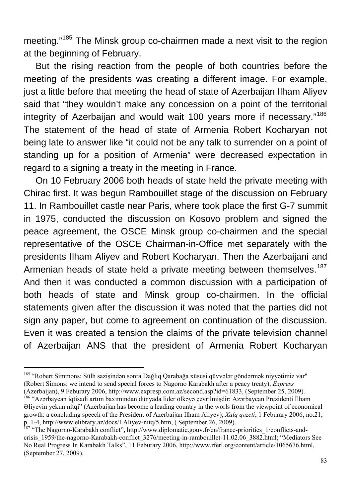meeting."[185](#page-82-0) The Minsk group co-chairmen made a next visit to the region at the beginning of February.

But the rising reaction from the people of both countries before the meeting of the presidents was creating a different image. For example, just a little before that meeting the head of state of Azerbaijan Ilham Aliyev said that "they wouldn't make any concession on a point of the territorial integrity of Azerbaijan and would wait 100 years more if necessary."[186](#page-82-1) The statement of the head of state of Armenia Robert Kocharyan not being late to answer like "it could not be any talk to surrender on a point of standing up for a position of Armenia" were decreased expectation in regard to a signing a treaty in the meeting in France.

On 10 February 2006 both heads of state held the private meeting with Chirac first. It was begun Rambouillet stage of the discussion on February 11. In Rambouillet castle near Paris, where took place the first G-7 summit in 1975, conducted the discussion on Kosovo problem and signed the peace agreement, the OSCE Minsk group co-chairmen and the special representative of the OSCE Chairman-in-Office met separately with the presidents Ilham Aliyev and Robert Kocharyan. Then the Azerbaijani and Armenian heads of state held a private meeting between themselves.<sup>[187](#page-82-2)</sup> And then it was conducted a common discussion with a participation of both heads of state and Minsk group co-chairmen. In the official statements given after the discussion it was noted that the parties did not sign any paper, but come to agreement on continuation of the discussion. Even it was created a tension the claims of the private television channel of Azerbaijan ANS that the president of Armenia Robert Kocharyan

<span id="page-82-0"></span><sup>185 &</sup>quot;Robert Simmons: Sülh sazişindən sonra Dağlıq Qarabağa xüsusi qüvvələr göndərmək niyyətimiz var" (Robert Simons: we intend to send special forces to Nagorno Karabakh after a peacy treaty), *Express*

<span id="page-82-1"></span><sup>(</sup>Azerbaijan), 9 Feburary 2006, [http://www.expresp.com.az/second.asp?id=61833](http://www.express.com.az/second.asp?id=61833), (September 25, 2009). 186 "Azərbaycan iqtisadi artım baxımından dünyada lider ölkəyə çevrilmişdir: Azərbaycan Prezidenti İlham Əliyevin yekun nitqi" (Azerbaijan has become a leading country in the worls from the viewpoint of economical growth: a concluding speech of the President of Azerbaijan Ilham Aliyev), *Xalq qəzeti*, 1 Feburary 2006, no.21, p. 1-4, http://www.elibrary.az/docs/I.Aliyev-nitq/5.htm, ( September 26, 2009). 1<br><sup>187</sup> "Th[e Nagorno-Karabakh conflict"](http://www.elibrary.az/docs/I.Aliyev-nitq/5.htm), [http://www.diplomatie.gouv.fr/en/france-priorities\\_1/conflicts-and-](http://www.diplomatie.gouv.fr/en/france-priorities_1/conflicts-and-crisis_1959/the-nagorno-karabagh-conflict_3276/meeting-in-rambouillet-11.02.06_3882.html)

<span id="page-82-2"></span>[crisis\\_1959/the-nagorno-Karabakh-conflict\\_3276/meeting-in-rambouillet-11.02.06\\_3882.html;](http://www.diplomatie.gouv.fr/en/france-priorities_1/conflicts-and-crisis_1959/the-nagorno-karabagh-conflict_3276/meeting-in-rambouillet-11.02.06_3882.html) "Mediators See No Real Progress In Karabakh Talks", 11 Feburary 2006,<http://www.rferl.org/content/article/1065676.html>, (September 27, 2009).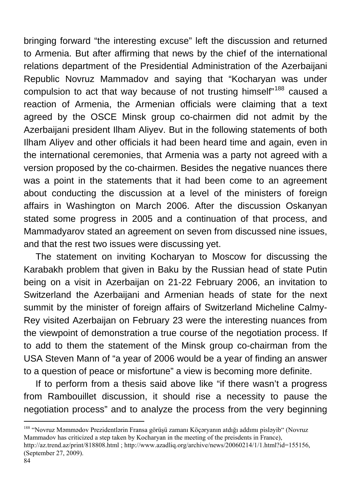bringing forward "the interesting excuse" left the discussion and returned to Armenia. But after affirming that news by the chief of the international relations department of the Presidential Administration of the Azerbaijani Republic Novruz Mammadov and saying that "Kocharyan was under compulsion to act that way because of not trusting himself"<sup>[188](#page-83-0)</sup> caused a reaction of Armenia, the Armenian officials were claiming that a text agreed by the OSCE Minsk group co-chairmen did not admit by the Azerbaijani president Ilham Aliyev. But in the following statements of both Ilham Aliyev and other officials it had been heard time and again, even in the international ceremonies, that Armenia was a party not agreed with a version proposed by the co-chairmen. Besides the negative nuances there was a point in the statements that it had been come to an agreement about conducting the discussion at a level of the ministers of foreign affairs in Washington on March 2006. After the discussion Oskanyan stated some progress in 2005 and a continuation of that process, and Mammadyarov stated an agreement on seven from discussed nine issues, and that the rest two issues were discussing yet.

The statement on inviting Kocharyan to Moscow for discussing the Karabakh problem that given in Baku by the Russian head of state Putin being on a visit in Azerbaijan on 21-22 February 2006, an invitation to Switzerland the Azerbaijani and Armenian heads of state for the next summit by the minister of foreign affairs of Switzerland Micheline Calmy-Rey visited Azerbaijan on February 23 were the interesting nuances from the viewpoint of demonstration a true course of the negotiation process. If to add to them the statement of the Minsk group co-chairman from the USA Steven Mann of "a year of 2006 would be a year of finding an answer to a question of peace or misfortune" a view is becoming more definite.

If to perform from a thesis said above like "if there wasn't a progress from Rambouillet discussion, it should rise a necessity to pause the negotiation process" and to analyze the process from the very beginning

<span id="page-83-0"></span><sup>188 &</sup>quot;Novruz Məmmədov Prezidentlərin Fransa görüşü zamanı Köçəryanın atdığı addımı pisləyib" (Novruz Mammadov has criticized a step taken by Kocharyan in the meeting of the preisdents in France),

<http://az.trend.az/print/818808.html> ; [http://www.azadliq.org/archive/news/20060214/1/1.html?id=155156,](http://www.azadliq.org/archive/news/20060214/1/1.html?id=155156) (September 27, 2009).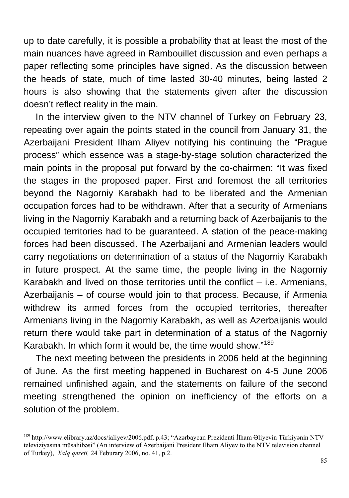up to date carefully, it is possible a probability that at least the most of the main nuances have agreed in Rambouillet discussion and even perhaps a paper reflecting some principles have signed. As the discussion between the heads of state, much of time lasted 30-40 minutes, being lasted 2 hours is also showing that the statements given after the discussion doesn't reflect reality in the main.

In the interview given to the NTV channel of Turkey on February 23, repeating over again the points stated in the council from January 31, the Azerbaijani President Ilham Aliyev notifying his continuing the "Prague process" which essence was a stage-by-stage solution characterized the main points in the proposal put forward by the co-chairmen: "It was fixed the stages in the proposed paper. First and foremost the all territories beyond the Nagorniy Karabakh had to be liberated and the Armenian occupation forces had to be withdrawn. After that a security of Armenians living in the Nagorniy Karabakh and a returning back of Azerbaijanis to the occupied territories had to be guaranteed. A station of the peace-making forces had been discussed. The Azerbaijani and Armenian leaders would carry negotiations on determination of a status of the Nagorniy Karabakh in future prospect. At the same time, the people living in the Nagorniy Karabakh and lived on those territories until the conflict  $-$  i.e. Armenians, Azerbaijanis – of course would join to that process. Because, if Armenia withdrew its armed forces from the occupied territories, thereafter Armenians living in the Nagorniy Karabakh, as well as Azerbaijanis would return there would take part in determination of a status of the Nagorniy Karabakh. In which form it would be, the time would show."[189](#page-84-0)

The next meeting between the presidents in 2006 held at the beginning of June. As the first meeting happened in Bucharest on 4-5 June 2006 remained unfinished again, and the statements on failure of the second meeting strengthened the opinion on inefficiency of the efforts on a solution of the problem.

<span id="page-84-0"></span><sup>189</sup> <http://www.elibrary.az/docs/ialiyev/2006.pdf>, p.43; "Azərbaycan Prezidenti İlham Əliyevin Türkiyənin NTV televiziyasına müsahibəsi" (An interview of Azerbaijani President Ilham Aliyev to the NTV television channel of Turkey), *Xalq qəzeti,* 24 Feburary 2006, no. 41, p.2.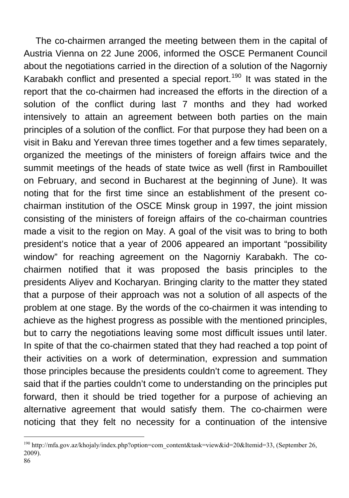The co-chairmen arranged the meeting between them in the capital of Austria Vienna on 22 June 2006, informed the OSCE Permanent Council about the negotiations carried in the direction of a solution of the Nagorniy Karabakh conflict and presented a special report.<sup>[190](#page-85-0)</sup> It was stated in the report that the co-chairmen had increased the efforts in the direction of a solution of the conflict during last 7 months and they had worked intensively to attain an agreement between both parties on the main principles of a solution of the conflict. For that purpose they had been on a visit in Baku and Yerevan three times together and a few times separately, organized the meetings of the ministers of foreign affairs twice and the summit meetings of the heads of state twice as well (first in Rambouillet on February, and second in Bucharest at the beginning of June). It was noting that for the first time since an establishment of the present cochairman institution of the OSCE Minsk group in 1997, the joint mission consisting of the ministers of foreign affairs of the co-chairman countries made a visit to the region on May. A goal of the visit was to bring to both president's notice that a year of 2006 appeared an important "possibility window" for reaching agreement on the Nagorniy Karabakh. The cochairmen notified that it was proposed the basis principles to the presidents Aliyev and Kocharyan. Bringing clarity to the matter they stated that a purpose of their approach was not a solution of all aspects of the problem at one stage. By the words of the co-chairmen it was intending to achieve as the highest progress as possible with the mentioned principles, but to carry the negotiations leaving some most difficult issues until later. In spite of that the co-chairmen stated that they had reached a top point of their activities on a work of determination, expression and summation those principles because the presidents couldn't come to agreement. They said that if the parties couldn't come to understanding on the principles put forward, then it should be tried together for a purpose of achieving an alternative agreement that would satisfy them. The co-chairmen were noticing that they felt no necessity for a continuation of the intensive

<span id="page-85-0"></span><sup>190</sup> [http://mfa.gov.az/khojaly/index.php?option=com\\_content&task=view&id=20&Itemid=33](http://mfa.gov.az/khojaly/index.php?option=com_content&task=view&id=20&Itemid=33), (September 26, 2009).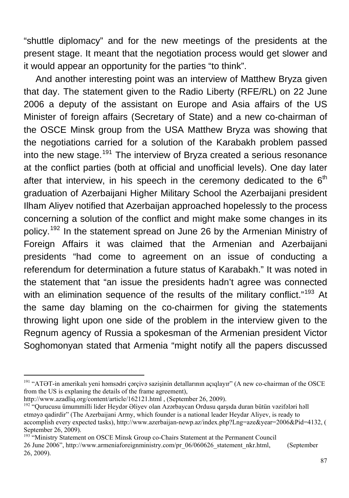"shuttle diplomacy" and for the new meetings of the presidents at the present stage. It meant that the negotiation process would get slower and it would appear an opportunity for the parties "to think".

And another interesting point was an interview of Matthew Bryza given that day. The statement given to the Radio Liberty (RFE/RL) on 22 June 2006 a deputy of the assistant on Europe and Asia affairs of the US Minister of foreign affairs (Secretary of State) and a new co-chairman of the OSCE Minsk group from the USA Matthew Bryza was showing that the negotiations carried for a solution of the Karabakh problem passed into the new stage.<sup>[191](#page-86-0)</sup> The interview of Bryza created a serious resonance at the conflict parties (both at official and unofficial levels). One day later after that interview, in his speech in the ceremony dedicated to the  $6<sup>th</sup>$ graduation of Azerbaijani Higher Military School the Azerbaijani president Ilham Aliyev notified that Azerbaijan approached hopelessly to the process concerning a solution of the conflict and might make some changes in its policy.<sup>[192](#page-86-1)</sup> In the statement spread on June 26 by the Armenian Ministry of Foreign Affairs it was claimed that the Armenian and Azerbaijani presidents "had come to agreement on an issue of conducting a referendum for determination a future status of Karabakh." It was noted in the statement that "an issue the presidents hadn't agree was connected with an elimination sequence of the results of the military conflict."<sup>[193](#page-86-2)</sup> At the same day blaming on the co-chairmen for giving the statements throwing light upon one side of the problem in the interview given to the Regnum agency of Russia a spokesman of the Armenian president Victor Soghomonyan stated that Armenia "might notify all the papers discussed

<span id="page-86-0"></span><sup>&</sup>lt;sup>191</sup> "ATƏT-in amerikalı yeni həmsədri çərçivə sazişinin detallarının açıqlayır" (A new co-chairman of the OSCE from the US is explaning the details of the frame agreement),

<span id="page-86-1"></span><http://www.azadliq.org/content/article/162121.html> , (September 26, 2009).<br><sup>[192](http://www.azadliq.org/content/article/162121.html)</sup> "Qurucusu ümummilli lider Heydər Əliyev olan Azərbaycan Ordusu qarşıda duran bütün vəzifələri həll etməyə qadirdir" (The Azerbaijani Army, which founder is a national leader Heydar Aliyev, is ready to accomplish every expected tasks), [http://www.azerbaijan-newp.az/index.php?Lng=aze&year=2006&Pid=4132,](http://www.azerbaijan-news.az/index.php?Lng=aze&year=2006&Pid=4132) ( September 26, 2009).

<span id="page-86-2"></span><sup>&</sup>lt;sup>193 "</sup>Ministry Statement on OSCE Minsk Group co-Chairs Statement at the Permanent Council 26 June 2006", [http://www.armeniaforeignministry.com/pr\\_06/060626\\_statement\\_nkr.html](http://www.armeniaforeignministry.com/pr_06/060626_statement_nkr.html), (September 26, 2009).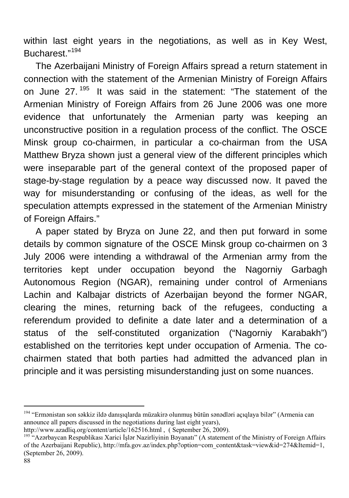within last eight years in the negotiations, as well as in Key West, Bucharest."[194](#page-87-0)

The Azerbaijani Ministry of Foreign Affairs spread a return statement in connection with the statement of the Armenian Ministry of Foreign Affairs on June 27. [195](#page-87-1) It was said in the statement: "The statement of the Armenian Ministry of Foreign Affairs from 26 June 2006 was one more evidence that unfortunately the Armenian party was keeping an unconstructive position in a regulation process of the conflict. The OSCE Minsk group co-chairmen, in particular a co-chairman from the USA Matthew Bryza shown just a general view of the different principles which were inseparable part of the general context of the proposed paper of stage-by-stage regulation by a peace way discussed now. It paved the way for misunderstanding or confusing of the ideas, as well for the speculation attempts expressed in the statement of the Armenian Ministry of Foreign Affairs."

A paper stated by Bryza on June 22, and then put forward in some details by common signature of the OSCE Minsk group co-chairmen on 3 July 2006 were intending a withdrawal of the Armenian army from the territories kept under occupation beyond the Nagorniy Garbagh Autonomous Region (NGAR), remaining under control of Armenians Lachin and Kalbajar districts of Azerbaijan beyond the former NGAR, clearing the mines, returning back of the refugees, conducting a referendum provided to definite a date later and a determination of a status of the self-constituted organization ("Nagorniy Karabakh") established on the territories kept under occupation of Armenia. The cochairmen stated that both parties had admitted the advanced plan in principle and it was persisting misunderstanding just on some nuances.

<span id="page-87-0"></span><sup>194 &</sup>quot;Ermənistan son səkkiz ildə danışıqlarda müzakirə olunmuş bütün sənədləri açıqlaya bilər" (Armenia can announce all papers discussed in the negotiations during last eight years),

<span id="page-87-1"></span>

<http://www.azadliq.org/content/article/162516.html> , ( September 26, 2009).<br><sup>[195](http://www.azadliq.org/content/article/162516.html)</sup> "Azərbaycan Respublikası Xarici İslər Nazirliyinin Bəyanatı" (A statement of the Ministry of Foreign Affairs of the Azerbaijani Republic), [http://mfa.gov.az/index.php?option=com\\_content&task=view&id=274&Itemid=1,](http://mfa.gov.az/index.php?option=com_content&task=view&id=274&Itemid=1) (September 26, 2009).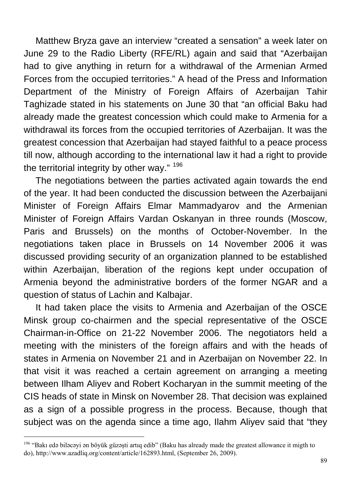Matthew Bryza gave an interview "created a sensation" a week later on June 29 to the Radio Liberty (RFE/RL) again and said that "Azerbaijan had to give anything in return for a withdrawal of the Armenian Armed Forces from the occupied territories." A head of the Press and Information Department of the Ministry of Foreign Affairs of Azerbaijan Tahir Taghizade stated in his statements on June 30 that "an official Baku had already made the greatest concession which could make to Armenia for a withdrawal its forces from the occupied territories of Azerbaijan. It was the greatest concession that Azerbaijan had stayed faithful to a peace process till now, although according to the international law it had a right to provide the territorial integrity by other way." [196](#page-88-0)

The negotiations between the parties activated again towards the end of the year. It had been conducted the discussion between the Azerbaijani Minister of Foreign Affairs Elmar Mammadyarov and the Armenian Minister of Foreign Affairs Vardan Oskanyan in three rounds (Moscow, Paris and Brussels) on the months of October-November. In the negotiations taken place in Brussels on 14 November 2006 it was discussed providing security of an organization planned to be established within Azerbaijan, liberation of the regions kept under occupation of Armenia beyond the administrative borders of the former NGAR and a question of status of Lachin and Kalbajar.

It had taken place the visits to Armenia and Azerbaijan of the OSCE Minsk group co-chairmen and the special representative of the OSCE Chairman-in-Office on 21-22 November 2006. The negotiators held a meeting with the ministers of the foreign affairs and with the heads of states in Armenia on November 21 and in Azerbaijan on November 22. In that visit it was reached a certain agreement on arranging a meeting between Ilham Aliyev and Robert Kocharyan in the summit meeting of the CIS heads of state in Minsk on November 28. That decision was explained as a sign of a possible progress in the process. Because, though that subject was on the agenda since a time ago, Ilahm Aliyev said that "they

<span id="page-88-0"></span><sup>196 &</sup>quot;Bakı edə biləcəyi ən böyük güzəşti artıq edib" (Baku has already made the greatest allowance it migth to do),<http://www.azadliq.org/content/article/162893.html>, (September 26, 2009).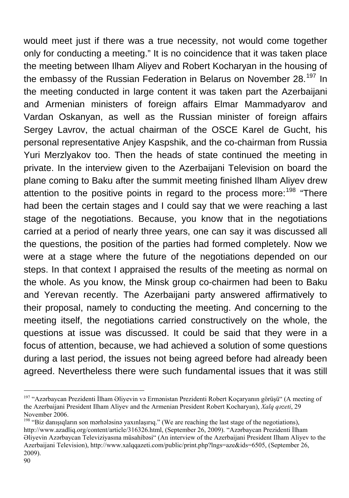would meet just if there was a true necessity, not would come together only for conducting a meeting." It is no coincidence that it was taken place the meeting between Ilham Aliyev and Robert Kocharyan in the housing of the embassy of the Russian Federation in Belarus on November 28.<sup>[197](#page-89-0)</sup> In the meeting conducted in large content it was taken part the Azerbaijani and Armenian ministers of foreign affairs Elmar Mammadyarov and Vardan Oskanyan, as well as the Russian minister of foreign affairs Sergey Lavrov, the actual chairman of the OSCE Karel de Gucht, his personal representative Anjey Kaspshik, and the co-chairman from Russia Yuri Merzlyakov too. Then the heads of state continued the meeting in private. In the interview given to the Azerbaijani Television on board the plane coming to Baku after the summit meeting finished Ilham Aliyev drew attention to the positive points in regard to the process more:  $198$  "There had been the certain stages and I could say that we were reaching a last stage of the negotiations. Because, you know that in the negotiations carried at a period of nearly three years, one can say it was discussed all the questions, the position of the parties had formed completely. Now we were at a stage where the future of the negotiations depended on our steps. In that context I appraised the results of the meeting as normal on the whole. As you know, the Minsk group co-chairmen had been to Baku and Yerevan recently. The Azerbaijani party answered affirmatively to their proposal, namely to conducting the meeting. And concerning to the meeting itself, the negotiations carried constructively on the whole, the questions at issue was discussed. It could be said that they were in a focus of attention, because, we had achieved a solution of some questions during a last period, the issues not being agreed before had already been agreed. Nevertheless there were such fundamental issues that it was still

<span id="page-89-0"></span><sup>&</sup>lt;sup>197</sup> "Azərbaycan Prezidenti İlham Əliyevin və Ermə[nistan Prezidenti Robert Koçaryanın görü](http://www.xalqqazeti.com/index.php?lngs=aze&cats=5&ids=6475)şü" (A meeting of the Azerbaijani President Ilham Aliyev and the Armenian President Robert Kocharyan), *Xalq qəzeti*, 29 November 2006.

<span id="page-89-1"></span><sup>&</sup>lt;sup>198</sup> "Biz danışıqların son mərhələsinə yaxınlaşırıq." (We are reaching the last stage of the negotiations), <http://www.azadliq.org/content/article/316326.html>, (September 26, 2009). "Azərbaycan Prezidenti İlham Əliyevin Azərbaycan Televiziyasına müsahibəsi" (An interview of the Azerbaijani President Ilham Aliyev to the Azerbaijani Television), [http://www.xalqqazeti.com/public/print.php?lngs=aze&ids=6505,](http://www.xalqqazeti.com/public/print.php?lngs=aze&ids=6505) (September 26, 2009).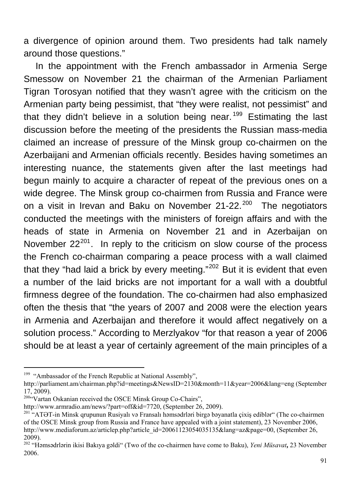a divergence of opinion around them. Two presidents had talk namely around those questions."

In the appointment with the French ambassador in Armenia Serge Smessow on November 21 the chairman of the Armenian Parliament Tigran Torosyan notified that they wasn't agree with the criticism on the Armenian party being pessimist, that "they were realist, not pessimist" and that they didn't believe in a solution being near.<sup>[199](#page-90-0)</sup> Estimating the last discussion before the meeting of the presidents the Russian mass-media claimed an increase of pressure of the Minsk group co-chairmen on the Azerbaijani and Armenian officials recently. Besides having sometimes an interesting nuance, the statements given after the last meetings had begun mainly to acquire a character of repeat of the previous ones on a wide degree. The Minsk group co-chairmen from Russia and France were on a visit in Irevan and Baku on November  $21-22$ <sup>[200](#page-90-1)</sup> The negotiators conducted the meetings with the ministers of foreign affairs and with the heads of state in Armenia on November 21 and in Azerbaijan on November  $22^{201}$  $22^{201}$  $22^{201}$ . In reply to the criticism on slow course of the process the French co-chairman comparing a peace process with a wall claimed that they "had laid a brick by every meeting." $202$  But it is evident that even a number of the laid bricks are not important for a wall with a doubtful firmness degree of the foundation. The co-chairmen had also emphasized often the thesis that "the years of 2007 and 2008 were the election years in Armenia and Azerbaijan and therefore it would affect negatively on a solution process." According to Merzlyakov "for that reason a year of 2006 should be at least a year of certainly agreement of the main principles of a

<span id="page-90-0"></span><sup>&</sup>lt;sup>199</sup> "Ambassador of the French Republic at National Assembly",

<http://parliament.am/chairman.php?id=meetings&NewsID=2130&month=11&year=2006&lang=eng>(September 17, 2009).

<span id="page-90-1"></span><sup>&</sup>lt;sup>2004</sup>Vartan Oskanian received the OSCE Minsk Group Co-Chairs",

<span id="page-90-2"></span><http://www.armradio.am/news/?part=off&id=7720>, (September 26, 2009).<br><sup>[201](http://www.armradio.am/news/?part=off&id=7720)</sup> "ATƏT-in Minsk qrupunun Rusiyalı və Fransalı həmsədrləri birgə bəyanatla çixis ediblər" (The co-chairmen of the OSCE Minsk group from Russia and France have appealed with a joint statement), 23 November 2006, [http://www.mediaforum.az/articlep.php?article\\_id=20061123054035135&lang=az&page=00,](http://www.mediaforum.az/articles.php?article_id=20061123054035135&lang=az&page=00) (September 26, 2009).

<span id="page-90-3"></span><sup>202 &</sup>quot;Həmsədrlərin ikisi Bakıya gəldi" (Two of the co-chairmen have come to Baku), *[Yeni](http://www.musavat.com/site/shownews.php?news_id=7613&arxiv=yes) Müsavat***,** 23 November 2006.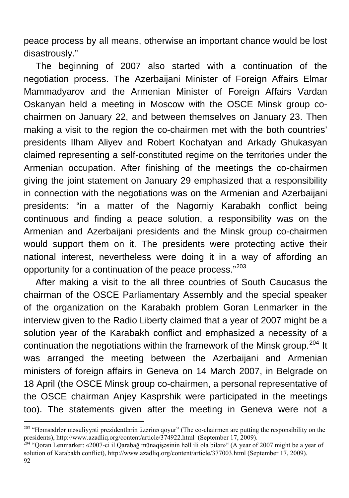peace process by all means, otherwise an important chance would be lost disastrously."

The beginning of 2007 also started with a continuation of the negotiation process. The Azerbaijani Minister of Foreign Affairs Elmar Mammadyarov and the Armenian Minister of Foreign Affairs Vardan Oskanyan held a meeting in Moscow with the OSCE Minsk group cochairmen on January 22, and between themselves on January 23. Then making a visit to the region the co-chairmen met with the both countries' presidents Ilham Aliyev and Robert Kochatyan and Arkady Ghukasyan claimed representing a self-constituted regime on the territories under the Armenian occupation. After finishing of the meetings the co-chairmen giving the joint statement on January 29 emphasized that a responsibility in connection with the negotiations was on the Armenian and Azerbaijani presidents: "in a matter of the Nagorniy Karabakh conflict being continuous and finding a peace solution, a responsibility was on the Armenian and Azerbaijani presidents and the Minsk group co-chairmen would support them on it. The presidents were protecting active their national interest, nevertheless were doing it in a way of affording an opportunity for a continuation of the peace process."<sup>[203](#page-91-0)</sup>

After making a visit to the all three countries of South Caucasus the chairman of the OSCE Parliamentary Assembly and the special speaker of the organization on the Karabakh problem Goran Lenmarker in the interview given to the Radio Liberty claimed that a year of 2007 might be a solution year of the Karabakh conflict and emphasized a necessity of a continuation the negotiations within the framework of the Minsk group.<sup>[204](#page-91-1)</sup> It was arranged the meeting between the Azerbaijani and Armenian ministers of foreign affairs in Geneva on 14 March 2007, in Belgrade on 18 April (the OSCE Minsk group co-chairmen, a personal representative of the OSCE chairman Anjey Kasprshik were participated in the meetings too). The statements given after the meeting in Geneva were not a

<span id="page-91-0"></span><sup>&</sup>lt;sup>203</sup> "Həmsədrlər məsuliyyəti prezidentlərin üzərinə qoyur" (The co-chairmen are putting the responsibility on the presidents),<http://www.azadliq.org/content/article/374922.html>(September 17, 2009). 204 "Qoran Lenmarker: «2007-ci il Qarabağ münaqişəsinin həll ili ola bilər»" (A year of 2007 might be a year of

<span id="page-91-1"></span>solution of Karabakh conflict),<http://www.azadliq.org/content/article/377003.html>(September 17, 2009).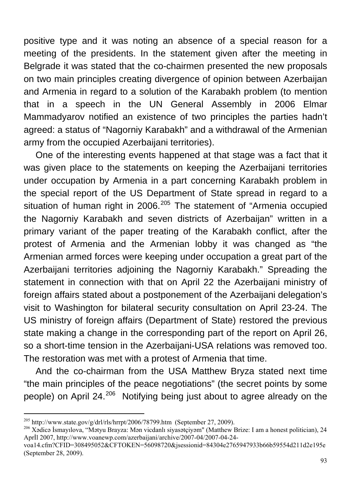positive type and it was noting an absence of a special reason for a meeting of the presidents. In the statement given after the meeting in Belgrade it was stated that the co-chairmen presented the new proposals on two main principles creating divergence of opinion between Azerbaijan and Armenia in regard to a solution of the Karabakh problem (to mention that in a speech in the UN General Assembly in 2006 Elmar Mammadyarov notified an existence of two principles the parties hadn't agreed: a status of "Nagorniy Karabakh" and a withdrawal of the Armenian army from the occupied Azerbaijani territories).

One of the interesting events happened at that stage was a fact that it was given place to the statements on keeping the Azerbaijani territories under occupation by Armenia in a part concerning Karabakh problem in the special report of the US Department of State spread in regard to a situation of human right in 2006.<sup>[205](#page-92-0)</sup> The statement of "Armenia occupied the Nagorniy Karabakh and seven districts of Azerbaijan" written in a primary variant of the paper treating of the Karabakh conflict, after the protest of Armenia and the Armenian lobby it was changed as "the Armenian armed forces were keeping under occupation a great part of the Azerbaijani territories adjoining the Nagorniy Karabakh." Spreading the statement in connection with that on April 22 the Azerbaijani ministry of foreign affairs stated about a postponement of the Azerbaijani delegation's visit to Washington for bilateral security consultation on April 23-24. The US ministry of foreign affairs (Department of State) restored the previous state making a change in the corresponding part of the report on April 26, so a short-time tension in the Azerbaijani-USA relations was removed too. The restoration was met with a protest of Armenia that time.

And the co-chairman from the USA Matthew Bryza stated next time "the main principles of the peace negotiations" (the secret points by some people) on April 24. $206$  Notifying being just about to agree already on the

<span id="page-92-1"></span><span id="page-92-0"></span><sup>&</sup>lt;sup>205</sup> <http://www.state.gov/g/drl/rls/hrrpt/2006/78799.htm>(September 27, 2009).<br><sup>206</sup> [X](http://www.state.gov/g/drl/rls/hrrpt/2006/78799.htm)ədicə İsmayılova, "Mətyu Brayza: Mən vicdanlı siyasətçiyəm" (Matthew Brize: I am a honest politician), 24 Aprİl 2007, [http://www.voanewp.com/azerbaijani/archive/2007-04/2007-04-24-](http://www.voanews.com/azerbaijani/archive/2007-04/2007-04-24-voa14.cfm?CFID=308495052&CFTOKEN=56098720&jsessionid=84304e2765947933b66b59554d211d2e195e)

[voa14.cfm?CFID=308495052&CFTOKEN=56098720&jsessionid=84304e2765947933b66b59554d211d2e195e](http://www.voanews.com/azerbaijani/archive/2007-04/2007-04-24-voa14.cfm?CFID=308495052&CFTOKEN=56098720&jsessionid=84304e2765947933b66b59554d211d2e195e) (September 28, 2009).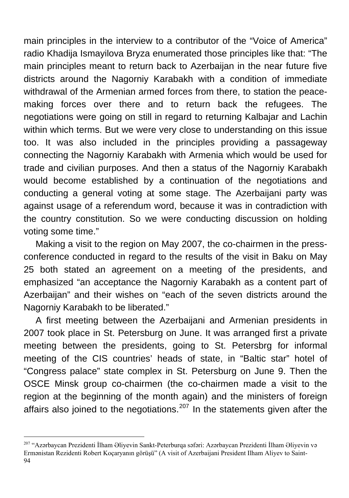main principles in the interview to a contributor of the "Voice of America" radio Khadija Ismayilova Bryza enumerated those principles like that: "The main principles meant to return back to Azerbaijan in the near future five districts around the Nagorniy Karabakh with a condition of immediate withdrawal of the Armenian armed forces from there, to station the peacemaking forces over there and to return back the refugees. The negotiations were going on still in regard to returning Kalbajar and Lachin within which terms. But we were very close to understanding on this issue too. It was also included in the principles providing a passageway connecting the Nagorniy Karabakh with Armenia which would be used for trade and civilian purposes. And then a status of the Nagorniy Karabakh would become established by a continuation of the negotiations and conducting a general voting at some stage. The Azerbaijani party was against usage of a referendum word, because it was in contradiction with the country constitution. So we were conducting discussion on holding voting some time."

Making a visit to the region on May 2007, the co-chairmen in the pressconference conducted in regard to the results of the visit in Baku on May 25 both stated an agreement on a meeting of the presidents, and emphasized "an acceptance the Nagorniy Karabakh as a content part of Azerbaijan" and their wishes on "each of the seven districts around the Nagorniy Karabakh to be liberated."

A first meeting between the Azerbaijani and Armenian presidents in 2007 took place in St. Petersburg on June. It was arranged first a private meeting between the presidents, going to St. Petersbrg for informal meeting of the CIS countries' heads of state, in "Baltic star" hotel of "Congress palace" state complex in St. Petersburg on June 9. Then the OSCE Minsk group co-chairmen (the co-chairmen made a visit to the region at the beginning of the month again) and the ministers of foreign affairs also joined to the negotiations.<sup>[207](#page-93-0)</sup> In the statements given after the

<span id="page-93-0"></span><sup>94</sup> <sup>207</sup> "Azərbaycan Prezidenti İlham Əliyevin Sankt-Peterburqa səfəri: Azərbaycan Prezidenti İlham Əliyevin və Ermənistan Rezidenti Robert Koçaryanın görüşü" (A visit of Azerbaijani President Ilham Aliyev to Saint-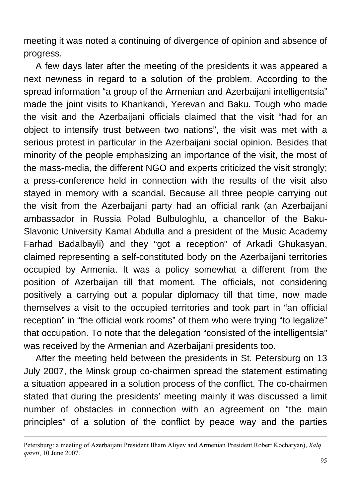meeting it was noted a continuing of divergence of opinion and absence of progress.

A few days later after the meeting of the presidents it was appeared a next newness in regard to a solution of the problem. According to the spread information "a group of the Armenian and Azerbaijani intelligentsia" made the joint visits to Khankandi, Yerevan and Baku. Tough who made the visit and the Azerbaijani officials claimed that the visit "had for an object to intensify trust between two nations", the visit was met with a serious protest in particular in the Azerbaijani social opinion. Besides that minority of the people emphasizing an importance of the visit, the most of the mass-media, the different NGO and experts criticized the visit strongly; a press-conference held in connection with the results of the visit also stayed in memory with a scandal. Because all three people carrying out the visit from the Azerbaijani party had an official rank (an Azerbaijani ambassador in Russia Polad Bulbuloghlu, a chancellor of the Baku-Slavonic University Kamal Abdulla and a president of the Music Academy Farhad Badalbayli) and they "got a reception" of Arkadi Ghukasyan, claimed representing a self-constituted body on the Azerbaijani territories occupied by Armenia. It was a policy somewhat a different from the position of Azerbaijan till that moment. The officials, not considering positively a carrying out a popular diplomacy till that time, now made themselves a visit to the occupied territories and took part in "an official reception" in "the official work rooms" of them who were trying "to legalize" that occupation. To note that the delegation "consisted of the intelligentsia" was received by the Armenian and Azerbaijani presidents too.

After the meeting held between the presidents in St. Petersburg on 13 July 2007, the Minsk group co-chairmen spread the statement estimating a situation appeared in a solution process of the conflict. The co-chairmen stated that during the presidents' meeting mainly it was discussed a limit number of obstacles in connection with an agreement on "the main principles" of a solution of the conflict by peace way and the parties

1

Petersburg: a meeting of Azerbaijani President Ilham Aliyev and Armenian President Robert Kocharyan), *Xalq qəzeti*, 10 June 2007.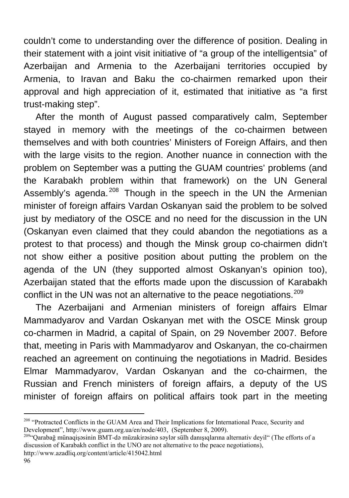couldn't come to understanding over the difference of position. Dealing in their statement with a joint visit initiative of "a group of the intelligentsia" of Azerbaijan and Armenia to the Azerbaijani territories occupied by Armenia, to Iravan and Baku the co-chairmen remarked upon their approval and high appreciation of it, estimated that initiative as "a first trust-making step".

After the month of August passed comparatively calm, September stayed in memory with the meetings of the co-chairmen between themselves and with both countries' Ministers of Foreign Affairs, and then with the large visits to the region. Another nuance in connection with the problem on September was a putting the GUAM countries' problems (and the Karabakh problem within that framework) on the UN General Assembly's agenda.<sup>[208](#page-95-0)</sup> Though in the speech in the UN the Armenian minister of foreign affairs Vardan Oskanyan said the problem to be solved just by mediatory of the OSCE and no need for the discussion in the UN (Oskanyan even claimed that they could abandon the negotiations as a protest to that process) and though the Minsk group co-chairmen didn't not show either a positive position about putting the problem on the agenda of the UN (they supported almost Oskanyan's opinion too), Azerbaijan stated that the efforts made upon the discussion of Karabakh conflict in the UN was not an alternative to the peace negotiations.<sup>[209](#page-95-1)</sup>

The Azerbaijani and Armenian ministers of foreign affairs Elmar Mammadyarov and Vardan Oskanyan met with the OSCE Minsk group co-charmen in Madrid, a capital of Spain, on 29 November 2007. Before that, meeting in Paris with Mammadyarov and Oskanyan, the co-chairmen reached an agreement on continuing the negotiations in Madrid. Besides Elmar Mammadyarov, Vardan Oskanyan and the co-chairmen, the Russian and French ministers of foreign affairs, a deputy of the US minister of foreign affairs on political affairs took part in the meeting

<span id="page-95-0"></span><sup>&</sup>lt;sup>208</sup> "Protracted Conflicts in the GUAM Area and Their Implications for International Peace, Security and Development", <http://www.guam.org.ua/en/node/403,>(September 8, 2009).<br><sup>209</sup>"Qarabağ münaqisəsinin BMT-də müzakirəsinə səylər sülh danışıqlarına alternativ devil" (The efforts of a

<span id="page-95-1"></span>discussion of Karabakh conflict in the UNO are not alternative to the peace negotiations), <http://www.azadliq.org/content/article/415042.html>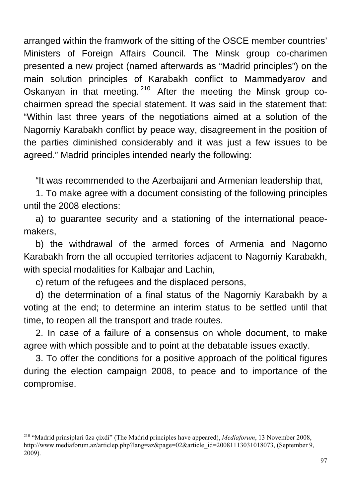arranged within the framwork of the sitting of the OSCE member countries' Ministers of Foreign Affairs Council. The Minsk group co-charimen presented a new project (named afterwards as "Madrid principles") on the main solution principles of Karabakh conflict to Mammadyarov and Oskanyan in that meeting. [210](#page-96-0) After the meeting the Minsk group cochairmen spread the special statement. It was said in the statement that: "Within last three years of the negotiations aimed at a solution of the Nagorniy Karabakh conflict by peace way, disagreement in the position of the parties diminished considerably and it was just a few issues to be agreed." Madrid principles intended nearly the following:

"It was recommended to the Azerbaijani and Armenian leadership that,

1. To make agree with a document consisting of the following principles until the 2008 elections:

a) to guarantee security and a stationing of the international peacemakers,

b) the withdrawal of the armed forces of Armenia and Nagorno Karabakh from the all occupied territories adjacent to Nagorniy Karabakh, with special modalities for Kalbajar and Lachin,

c) return of the refugees and the displaced persons,

 $\overline{a}$ 

d) the determination of a final status of the Nagorniy Karabakh by a voting at the end; to determine an interim status to be settled until that time, to reopen all the transport and trade routes.

2. In case of a failure of a consensus on whole document, to make agree with which possible and to point at the debatable issues exactly.

3. To offer the conditions for a positive approach of the political figures during the election campaign 2008, to peace and to importance of the compromise.

<span id="page-96-0"></span><sup>210 &</sup>quot;Madrid prinsipləri üzə çixdi" (The Madrid principles have appeared), *Mediaforum*, 13 November 2008, http://www.mediaforum.az/articlep.php?lang=az&page=02&article\_id=20081113031018073, (September 9, 2009).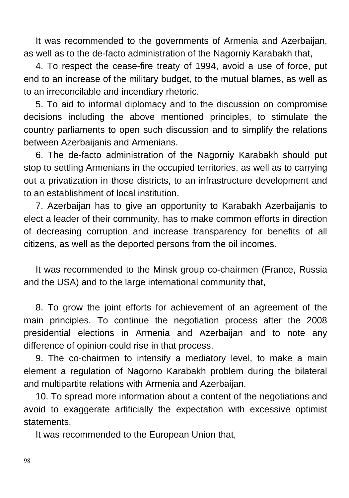It was recommended to the governments of Armenia and Azerbaijan, as well as to the de-facto administration of the Nagorniy Karabakh that,

4. To respect the cease-fire treaty of 1994, avoid a use of force, put end to an increase of the military budget, to the mutual blames, as well as to an irreconcilable and incendiary rhetoric.

5. To aid to informal diplomacy and to the discussion on compromise decisions including the above mentioned principles, to stimulate the country parliaments to open such discussion and to simplify the relations between Azerbaijanis and Armenians.

6. The de-facto administration of the Nagorniy Karabakh should put stop to settling Armenians in the occupied territories, as well as to carrying out a privatization in those districts, to an infrastructure development and to an establishment of local institution.

7. Azerbaijan has to give an opportunity to Karabakh Azerbaijanis to elect a leader of their community, has to make common efforts in direction of decreasing corruption and increase transparency for benefits of all citizens, as well as the deported persons from the oil incomes.

It was recommended to the Minsk group co-chairmen (France, Russia and the USA) and to the large international community that,

8. To grow the joint efforts for achievement of an agreement of the main principles. To continue the negotiation process after the 2008 presidential elections in Armenia and Azerbaijan and to note any difference of opinion could rise in that process.

9. The co-chairmen to intensify a mediatory level, to make a main element a regulation of Nagorno Karabakh problem during the bilateral and multipartite relations with Armenia and Azerbaijan.

10. To spread more information about a content of the negotiations and avoid to exaggerate artificially the expectation with excessive optimist statements.

It was recommended to the European Union that,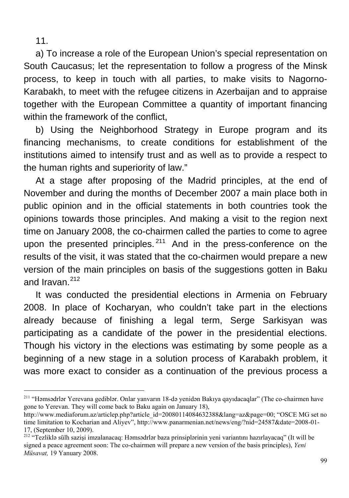11.

 $\overline{a}$ 

a) To increase a role of the European Union's special representation on South Caucasus; let the representation to follow a progress of the Minsk process, to keep in touch with all parties, to make visits to Nagorno-Karabakh, to meet with the refugee citizens in Azerbaijan and to appraise together with the European Committee a quantity of important financing within the framework of the conflict.

b) Using the Neighborhood Strategy in Europe program and its financing mechanisms, to create conditions for establishment of the institutions aimed to intensify trust and as well as to provide a respect to the human rights and superiority of law."

At a stage after proposing of the Madrid principles, at the end of November and during the months of December 2007 a main place both in public opinion and in the official statements in both countries took the opinions towards those principles. And making a visit to the region next time on January 2008, the co-chairmen called the parties to come to agree upon the presented principles. $211$  And in the press-conference on the results of the visit, it was stated that the co-chairmen would prepare a new version of the main principles on basis of the suggestions gotten in Baku and Iravan $212$ 

It was conducted the presidential elections in Armenia on February 2008. In place of Kocharyan, who couldn't take part in the elections already because of finishing a legal term, Serge Sarkisyan was participating as a candidate of the power in the presidential elections. Though his victory in the elections was estimating by some people as a beginning of a new stage in a solution process of Karabakh problem, it was more exact to consider as a continuation of the previous process a

<span id="page-98-0"></span><sup>&</sup>lt;sup>211</sup> "Həmsədrlər Yerevana gediblər. Onlar yanvarın 18-də yenidən Bakıya qayıdacaqlar" (The co-chairmen have gone to Yerevan. They will come back to Baku again on January 18),

[http://www.mediaforum.az/articlep.php?article\\_id=20080114084632388&lang=az&page=00;](http://www.mediaforum.az/articles.php?article_id=20080114084632388&lang=az&page=00) "OSCE MG set no time limitation to Kocharian and Aliyev", [http://www.panarmenian.net/news/eng/?nid=24587&date=2008-01-](http://www.panarmenian.net/news/eng/?nid=24587&date=2008-01-17) [17](http://www.panarmenian.net/news/eng/?nid=24587&date=2008-01-17), (September 10, 2009).<br><sup>[212](http://www.panarmenian.net/news/eng/?nid=24587&date=2008-01-17)</sup> "Tezliklə sülh sazişi imzalanacaq: Həmsədrlər baza prinsiplərinin yeni variantını hazırlayacaq" (It will be

<span id="page-98-1"></span>signed a peace agreement soon: The co-chairmen will prepare a new version of the basis principles), *Yeni Müsavat,* 19 Yanuary 2008.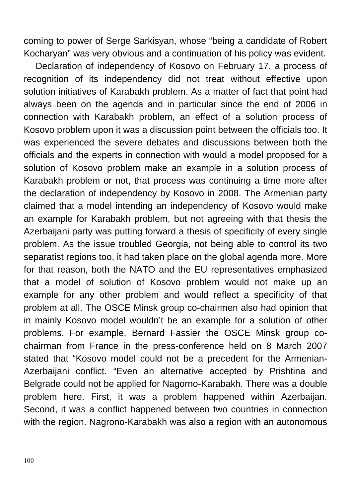coming to power of Serge Sarkisyan, whose "being a candidate of Robert Kocharyan" was very obvious and a continuation of his policy was evident.

Declaration of independency of Kosovo on February 17, a process of recognition of its independency did not treat without effective upon solution initiatives of Karabakh problem. As a matter of fact that point had always been on the agenda and in particular since the end of 2006 in connection with Karabakh problem, an effect of a solution process of Kosovo problem upon it was a discussion point between the officials too. It was experienced the severe debates and discussions between both the officials and the experts in connection with would a model proposed for a solution of Kosovo problem make an example in a solution process of Karabakh problem or not, that process was continuing a time more after the declaration of independency by Kosovo in 2008. The Armenian party claimed that a model intending an independency of Kosovo would make an example for Karabakh problem, but not agreeing with that thesis the Azerbaijani party was putting forward a thesis of specificity of every single problem. As the issue troubled Georgia, not being able to control its two separatist regions too, it had taken place on the global agenda more. More for that reason, both the NATO and the EU representatives emphasized that a model of solution of Kosovo problem would not make up an example for any other problem and would reflect a specificity of that problem at all. The OSCE Minsk group co-chairmen also had opinion that in mainly Kosovo model wouldn't be an example for a solution of other problems. For example, Bernard Fassier the OSCE Minsk group cochairman from France in the press-conference held on 8 March 2007 stated that "Kosovo model could not be a precedent for the Armenian-Azerbaijani conflict. "Even an alternative accepted by Prishtina and Belgrade could not be applied for Nagorno-Karabakh. There was a double problem here. First, it was a problem happened within Azerbaijan. Second, it was a conflict happened between two countries in connection with the region. Nagrono-Karabakh was also a region with an autonomous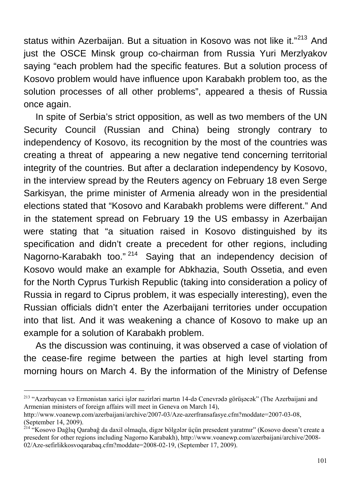status within Azerbaijan. But a situation in Kosovo was not like it."<sup>[213](#page-100-0)</sup> And just the OSCE Minsk group co-chairman from Russia Yuri Merzlyakov saying "each problem had the specific features. But a solution process of Kosovo problem would have influence upon Karabakh problem too, as the solution processes of all other problems", appeared a thesis of Russia once again.

In spite of Serbia's strict opposition, as well as two members of the UN Security Council (Russian and China) being strongly contrary to independency of Kosovo, its recognition by the most of the countries was creating a threat of appearing a new negative tend concerning territorial integrity of the countries. But after a declaration independency by Kosovo, in the interview spread by the Reuters agency on February 18 even Serge Sarkisyan, the prime minister of Armenia already won in the presidential elections stated that "Kosovo and Karabakh problems were different." And in the statement spread on February 19 the US embassy in Azerbaijan were stating that "a situation raised in Kosovo distinguished by its specification and didn't create a precedent for other regions, including Nagorno-Karabakh too."<sup>[214](#page-100-1)</sup> Saying that an independency decision of Kosovo would make an example for Abkhazia, South Ossetia, and even for the North Cyprus Turkish Republic (taking into consideration a policy of Russia in regard to Ciprus problem, it was especially interesting), even the Russian officials didn't enter the Azerbaijani territories under occupation into that list. And it was weakening a chance of Kosovo to make up an example for a solution of Karabakh problem.

As the discussion was continuing, it was observed a case of violation of the cease-fire regime between the parties at high level starting from morning hours on March 4. By the information of the Ministry of Defense

<span id="page-100-0"></span><sup>&</sup>lt;sup>213</sup> "Azərbaycan və Ermənistan xarici işlər nazirləri martın 14-də Cenevrədə görüşəcək" (The Azerbaijani and Armenian ministers of foreign affairs will meet in Geneva on March 14),

[http://www.voanewp.com/azerbaijani/archive/2007-03/Aze-azerfransafasye.cfm?moddate=2007-03-08](http://www.voanews.com/azerbaijani/archive/2007-03/Aze-azerfransafasye.cfm?moddate=2007-03-08), (September 14, 2009).

<span id="page-100-1"></span><sup>&</sup>lt;sup>214 "</sup>Kosovo Dağlıq Qarabağ da daxil olmaqla, digər bölgələr üçün presedent yaratmır" (Kosovo doesn't create a presedent for other regions including Nagorno Karabakh), [http://www.voanewp.com/azerbaijani/archive/2008-](http://www.voanews.com/azerbaijani/archive/2008-02/Aze-sefirlikkosvoqarabaq.cfm?moddate=2008-02-19) [02/Aze-sefirlikkosvoqarabaq.cfm?moddate=2008-02-19,](http://www.voanews.com/azerbaijani/archive/2008-02/Aze-sefirlikkosvoqarabaq.cfm?moddate=2008-02-19) (September 17, 2009).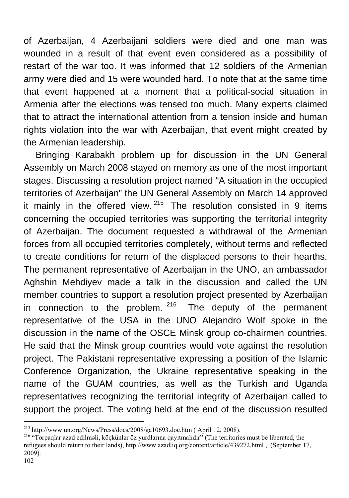of Azerbaijan, 4 Azerbaijani soldiers were died and one man was wounded in a result of that event even considered as a possibility of restart of the war too. It was informed that 12 soldiers of the Armenian army were died and 15 were wounded hard. To note that at the same time that event happened at a moment that a political-social situation in Armenia after the elections was tensed too much. Many experts claimed that to attract the international attention from a tension inside and human rights violation into the war with Azerbaijan, that event might created by the Armenian leadership.

Bringing Karabakh problem up for discussion in the UN General Assembly on March 2008 stayed on memory as one of the most important stages. Discussing a resolution project named "A situation in the occupied territories of Azerbaijan" the UN General Assembly on March 14 approved it mainly in the offered view.  $215$  The resolution consisted in 9 items concerning the occupied territories was supporting the territorial integrity of Azerbaijan. The document requested a withdrawal of the Armenian forces from all occupied territories completely, without terms and reflected to create conditions for return of the displaced persons to their hearths. The permanent representative of Azerbaijan in the UNO, an ambassador Aghshin Mehdiyev made a talk in the discussion and called the UN member countries to support a resolution project presented by Azerbaijan in connection to the problem.  $216$  The deputy of the permanent representative of the USA in the UNO Alejandro Wolf spoke in the discussion in the name of the OSCE Minsk group co-chairmen countries. He said that the Minsk group countries would vote against the resolution project. The Pakistani representative expressing a position of the Islamic Conference Organization, the Ukraine representative speaking in the name of the GUAM countries, as well as the Turkish and Uganda representatives recognizing the territorial integrity of Azerbaijan called to support the project. The voting held at the end of the discussion resulted

<span id="page-101-0"></span> $^{215}$  http://www.un.org/News/Press/docs/2008/ga10693.doc.htm (April 12, 2008).

<span id="page-101-1"></span><sup>&</sup>lt;sup>216</sup> "Torpaqlar azad edilməli, köçkünlər öz yurdlarına qayıtmalıdır" (The territories must be liberated, the refugees should return to their lands), [http://www.azadliq.org/content/article/439272.html ,](http://www.azadliq.org/content/article/439272.html%20,%20() (September 17, 2009).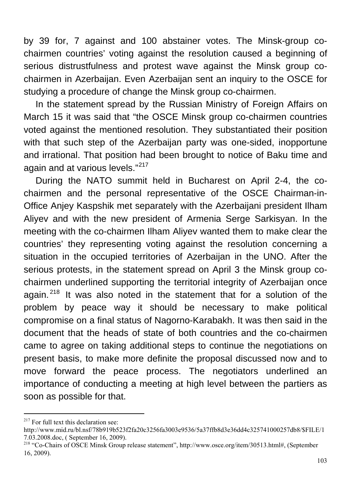by 39 for, 7 against and 100 abstainer votes. The Minsk-group cochairmen countries' voting against the resolution caused a beginning of serious distrustfulness and protest wave against the Minsk group cochairmen in Azerbaijan. Even Azerbaijan sent an inquiry to the OSCE for studying a procedure of change the Minsk group co-chairmen.

In the statement spread by the Russian Ministry of Foreign Affairs on March 15 it was said that "the OSCE Minsk group co-chairmen countries voted against the mentioned resolution. They substantiated their position with that such step of the Azerbaijan party was one-sided, inopportune and irrational. That position had been brought to notice of Baku time and again and at various levels."<sup>[217](#page-102-0)</sup>

During the NATO summit held in Bucharest on April 2-4, the cochairmen and the personal representative of the OSCE Chairman-in-Office Anjey Kaspshik met separately with the Azerbaijani president Ilham Aliyev and with the new president of Armenia Serge Sarkisyan. In the meeting with the co-chairmen Ilham Aliyev wanted them to make clear the countries' they representing voting against the resolution concerning a situation in the occupied territories of Azerbaijan in the UNO. After the serious protests, in the statement spread on April 3 the Minsk group cochairmen underlined supporting the territorial integrity of Azerbaijan once again.<sup>[218](#page-102-1)</sup> It was also noted in the statement that for a solution of the problem by peace way it should be necessary to make political compromise on a final status of Nagorno-Karabakh. It was then said in the document that the heads of state of both countries and the co-chairmen came to agree on taking additional steps to continue the negotiations on present basis, to make more definite the proposal discussed now and to move forward the peace process. The negotiators underlined an importance of conducting a meeting at high level between the partiers as soon as possible for that.

<span id="page-102-0"></span><sup>&</sup>lt;sup>217</sup> For full text this declaration see:

[http://www.mid.ru/bl.nsf/78b919b523f2fa20c3256fa3003e9536/5a37ffb8d3e36dd4c325741000257db8/\\$FILE/1](http://www.mid.ru/bl.nsf/78b919b523f2fa20c3256fa3003e9536/5a37ffb8d3e36dd4c325741000257db8/$FILE/17.03.2008.doc,%20%20(28)<br>7.03.2008.doc. (September 16, 2009).

<span id="page-102-1"></span><sup>&</sup>lt;sup>[218](http://www.mid.ru/bl.nsf/78b919b523f2fa20c3256fa3003e9536/5a37ffb8d3e36dd4c325741000257db8/$FILE/17.03.2008.doc,%20%20(28)</sup> "Co-Chairs of OSCE Minsk Group release statement", [http://www.osce.org/item/30513.html#](http://www.osce.org/item/30513.html), (September 16, 2009).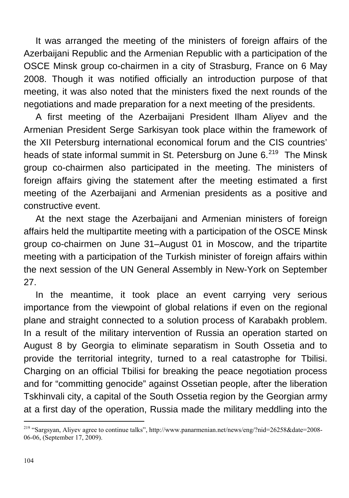It was arranged the meeting of the ministers of foreign affairs of the Azerbaijani Republic and the Armenian Republic with a participation of the OSCE Minsk group co-chairmen in a city of Strasburg, France on 6 May 2008. Though it was notified officially an introduction purpose of that meeting, it was also noted that the ministers fixed the next rounds of the negotiations and made preparation for a next meeting of the presidents.

A first meeting of the Azerbaijani President Ilham Aliyev and the Armenian President Serge Sarkisyan took place within the framework of the XII Petersburg international economical forum and the CIS countries' heads of state informal summit in St. Petersburg on June 6.<sup>[219](#page-103-0)</sup> The Minsk group co-chairmen also participated in the meeting. The ministers of foreign affairs giving the statement after the meeting estimated a first meeting of the Azerbaijani and Armenian presidents as a positive and constructive event.

At the next stage the Azerbaijani and Armenian ministers of foreign affairs held the multipartite meeting with a participation of the OSCE Minsk group co-chairmen on June 31–August 01 in Moscow, and the tripartite meeting with a participation of the Turkish minister of foreign affairs within the next session of the UN General Assembly in New-York on September 27.

In the meantime, it took place an event carrying very serious importance from the viewpoint of global relations if even on the regional plane and straight connected to a solution process of Karabakh problem. In a result of the military intervention of Russia an operation started on August 8 by Georgia to eliminate separatism in South Ossetia and to provide the territorial integrity, turned to a real catastrophe for Tbilisi. Charging on an official Tbilisi for breaking the peace negotiation process and for "committing genocide" against Ossetian people, after the liberation Tskhinvali city, a capital of the South Ossetia region by the Georgian army at a first day of the operation, Russia made the military meddling into the

<span id="page-103-0"></span><sup>&</sup>lt;sup>219</sup> "Sargsyan, Aliyev agree to continue talks", [http://www.panarmenian.net/news/eng/?nid=26258&date=2008-](http://www.panarmenian.net/news/eng/?nid=26258&date=2008-06-06) [06-06](http://www.panarmenian.net/news/eng/?nid=26258&date=2008-06-06), (September 17, 2009).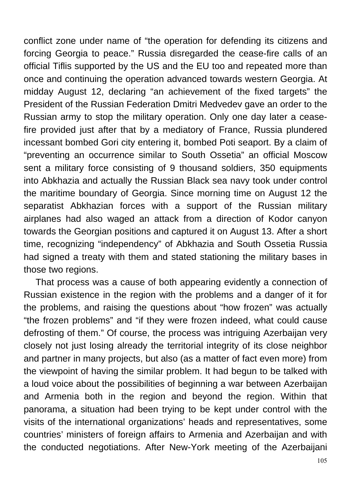conflict zone under name of "the operation for defending its citizens and forcing Georgia to peace." Russia disregarded the cease-fire calls of an official Tiflis supported by the US and the EU too and repeated more than once and continuing the operation advanced towards western Georgia. At midday August 12, declaring "an achievement of the fixed targets" the President of the Russian Federation Dmitri Medvedev gave an order to the Russian army to stop the military operation. Only one day later a ceasefire provided just after that by a mediatory of France, Russia plundered incessant bombed Gori city entering it, bombed Poti seaport. By a claim of "preventing an occurrence similar to South Ossetia" an official Moscow sent a military force consisting of 9 thousand soldiers, 350 equipments into Abkhazia and actually the Russian Black sea navy took under control the maritime boundary of Georgia. Since morning time on August 12 the separatist Abkhazian forces with a support of the Russian military airplanes had also waged an attack from a direction of Kodor canyon towards the Georgian positions and captured it on August 13. After a short time, recognizing "independency" of Abkhazia and South Ossetia Russia had signed a treaty with them and stated stationing the military bases in those two regions.

That process was a cause of both appearing evidently a connection of Russian existence in the region with the problems and a danger of it for the problems, and raising the questions about "how frozen" was actually "the frozen problems" and "if they were frozen indeed, what could cause defrosting of them." Of course, the process was intriguing Azerbaijan very closely not just losing already the territorial integrity of its close neighbor and partner in many projects, but also (as a matter of fact even more) from the viewpoint of having the similar problem. It had begun to be talked with a loud voice about the possibilities of beginning a war between Azerbaijan and Armenia both in the region and beyond the region. Within that panorama, a situation had been trying to be kept under control with the visits of the international organizations' heads and representatives, some countries' ministers of foreign affairs to Armenia and Azerbaijan and with the conducted negotiations. After New-York meeting of the Azerbaijani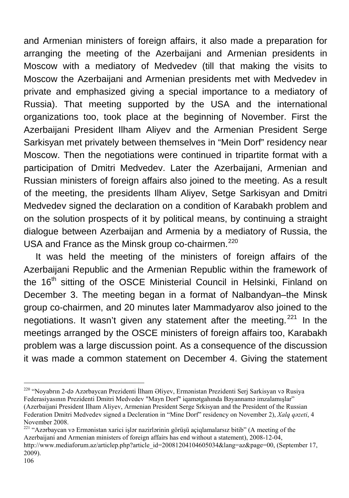and Armenian ministers of foreign affairs, it also made a preparation for arranging the meeting of the Azerbaijani and Armenian presidents in Moscow with a mediatory of Medvedev (till that making the visits to Moscow the Azerbaijani and Armenian presidents met with Medvedev in private and emphasized giving a special importance to a mediatory of Russia). That meeting supported by the USA and the international organizations too, took place at the beginning of November. First the Azerbaijani President Ilham Aliyev and the Armenian President Serge Sarkisyan met privately between themselves in "Mein Dorf" residency near Moscow. Then the negotiations were continued in tripartite format with a participation of Dmitri Medvedev. Later the Azerbaijani, Armenian and Russian ministers of foreign affairs also joined to the meeting. As a result of the meeting, the presidents Ilham Aliyev, Setge Sarkisyan and Dmitri Medvedev signed the declaration on a condition of Karabakh problem and on the solution prospects of it by political means, by continuing a straight dialogue between Azerbaijan and Armenia by a mediatory of Russia, the USA and France as the Minsk group co-chairmen.<sup>[220](#page-105-0)</sup>

It was held the meeting of the ministers of foreign affairs of the Azerbaijani Republic and the Armenian Republic within the framework of the 16<sup>th</sup> sitting of the OSCE Ministerial Council in Helsinki, Finland on December 3. The meeting began in a format of Nalbandyan–the Minsk group co-chairmen, and 20 minutes later Mammadyarov also joined to the negotiations. It wasn't given any statement after the meeting. $221$  In the meetings arranged by the OSCE ministers of foreign affairs too, Karabakh problem was a large discussion point. As a consequence of the discussion it was made a common statement on December 4. Giving the statement

<span id="page-105-1"></span>221 "Azərbaycan və Ermənistan xarici işlər nazirlərinin görüşü açiqlamalarsız bitib" (A meeting of the Azerbaijani and Armenian ministers of foreign affairs has end without a statement), 2008-12-04,

<span id="page-105-0"></span><sup>220 &</sup>quot;Noyabrın 2-də Azərbaycan Prezidenti İlham Əliyev, Ermənistan Prezidenti Serj Sarkisyan və Rusiya Federasiyasının Prezidenti Dmitri Medvedev "Mayn Dorf" iqamətgahında Bəyannamə imzalamışlar" (Azerbaijani President Ilham Aliyev, Armenian President Serge Srkisyan and the President of the Russian Federation Dmitri Medvedev signed a Decleration in "Mine Dorf" residency on November 2), *Xalq qəzeti*, 4 November 2008.

[http://www.mediaforum.az/articlep.php?article\\_id=20081204104605034&lang=az&page=00,](http://www.mediaforum.az/articles.php?article_id=20081204104605034&lang=az&page=00) (September 17, 2009).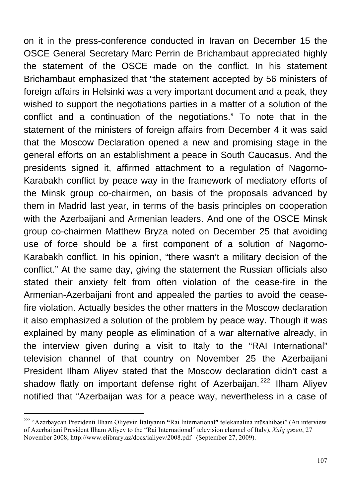on it in the press-conference conducted in Iravan on December 15 the OSCE General Secretary Marc Perrin de Brichambaut appreciated highly the statement of the OSCE made on the conflict. In his statement Brichambaut emphasized that "the statement accepted by 56 ministers of foreign affairs in Helsinki was a very important document and a peak, they wished to support the negotiations parties in a matter of a solution of the conflict and a continuation of the negotiations." To note that in the statement of the ministers of foreign affairs from December 4 it was said that the Moscow Declaration opened a new and promising stage in the general efforts on an establishment a peace in South Caucasus. And the presidents signed it, affirmed attachment to a regulation of Nagorno-Karabakh conflict by peace way in the framework of mediatory efforts of the Minsk group co-chairmen, on basis of the proposals advanced by them in Madrid last year, in terms of the basis principles on cooperation with the Azerbaijani and Armenian leaders. And one of the OSCE Minsk group co-chairmen Matthew Bryza noted on December 25 that avoiding use of force should be a first component of a solution of Nagorno-Karabakh conflict. In his opinion, "there wasn't a military decision of the conflict." At the same day, giving the statement the Russian officials also stated their anxiety felt from often violation of the cease-fire in the Armenian-Azerbaijani front and appealed the parties to avoid the ceasefire violation. Actually besides the other matters in the Moscow declaration it also emphasized a solution of the problem by peace way. Though it was explained by many people as elimination of a war alternative already, in the interview given during a visit to Italy to the "RAI International" television channel of that country on November 25 the Azerbaijani President Ilham Aliyev stated that the Moscow declaration didn't cast a shadow flatly on important defense right of Azerbaijan.<sup>[222](#page-106-0)</sup> Ilham Alivev notified that "Azerbaijan was for a peace way, nevertheless in a case of

<span id="page-106-0"></span><sup>222 &</sup>quot;Azərbaycan Prezidenti İlham Əliyevin İtaliyanın **"**Rai İnternational**"** telekanalina müsahibəsi" (An interview of Azerbaijani President Ilham Aliyev to the "Rai International" television channel of Italy), *Xalq qəzeti*, 27 November 2008;<http://www.elibrary.az/docs/ialiyev/2008.pdf>(September 27, 2009).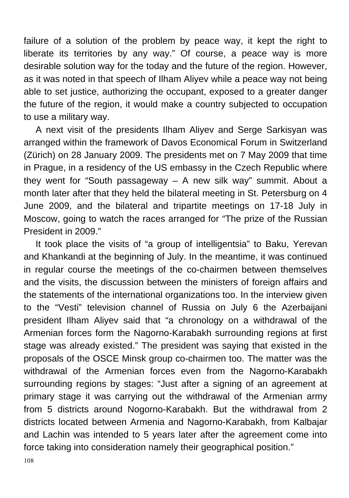failure of a solution of the problem by peace way, it kept the right to liberate its territories by any way." Of course, a peace way is more desirable solution way for the today and the future of the region. However, as it was noted in that speech of Ilham Aliyev while a peace way not being able to set justice, authorizing the occupant, exposed to a greater danger the future of the region, it would make a country subjected to occupation to use a military way.

A next visit of the presidents Ilham Aliyev and Serge Sarkisyan was arranged within the framework of Davos Economical Forum in Switzerland (Zürich) on 28 January 2009. The presidents met on 7 May 2009 that time in Prague, in a residency of the US embassy in the Czech Republic where they went for "South passageway – A new silk way" summit. About a month later after that they held the bilateral meeting in St. Petersburg on 4 June 2009, and the bilateral and tripartite meetings on 17-18 July in Moscow, going to watch the races arranged for "The prize of the Russian President in 2009."

It took place the visits of "a group of intelligentsia" to Baku, Yerevan and Khankandi at the beginning of July. In the meantime, it was continued in regular course the meetings of the co-chairmen between themselves and the visits, the discussion between the ministers of foreign affairs and the statements of the international organizations too. In the interview given to the "Vesti" television channel of Russia on July 6 the Azerbaijani president Ilham Aliyev said that "a chronology on a withdrawal of the Armenian forces form the Nagorno-Karabakh surrounding regions at first stage was already existed." The president was saying that existed in the proposals of the OSCE Minsk group co-chairmen too. The matter was the withdrawal of the Armenian forces even from the Nagorno-Karabakh surrounding regions by stages: "Just after a signing of an agreement at primary stage it was carrying out the withdrawal of the Armenian army from 5 districts around Nogorno-Karabakh. But the withdrawal from 2 districts located between Armenia and Nagorno-Karabakh, from Kalbajar and Lachin was intended to 5 years later after the agreement come into force taking into consideration namely their geographical position."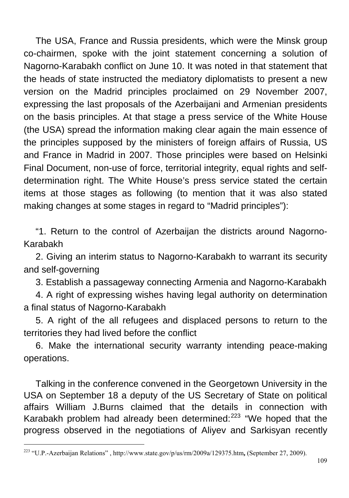The USA, France and Russia presidents, which were the Minsk group co-chairmen, spoke with the joint statement concerning a solution of Nagorno-Karabakh conflict on June 10. It was noted in that statement that the heads of state instructed the mediatory diplomatists to present a new version on the Madrid principles proclaimed on 29 November 2007, expressing the last proposals of the Azerbaijani and Armenian presidents on the basis principles. At that stage a press service of the White House (the USA) spread the information making clear again the main essence of the principles supposed by the ministers of foreign affairs of Russia, US and France in Madrid in 2007. Those principles were based on Helsinki Final Document, non-use of force, territorial integrity, equal rights and selfdetermination right. The White House's press service stated the certain items at those stages as following (to mention that it was also stated making changes at some stages in regard to "Madrid principles"):

"1. Return to the control of Azerbaijan the districts around Nagorno-Karabakh

2. Giving an interim status to Nagorno-Karabakh to warrant its security and self-governing

3. Establish a passageway connecting Armenia and Nagorno-Karabakh

4. A right of expressing wishes having legal authority on determination a final status of Nagorno-Karabakh

5. A right of the all refugees and displaced persons to return to the territories they had lived before the conflict

6. Make the international security warranty intending peace-making operations.

Talking in the conference convened in the Georgetown University in the USA on September 18 a deputy of the US Secretary of State on political affairs William J.Burns claimed that the details in connection with Karabakh problem had already been determined:<sup>[223](#page-108-0)</sup> "We hoped that the progress observed in the negotiations of Aliyev and Sarkisyan recently

 $\overline{a}$ 

<span id="page-108-0"></span><sup>223 &</sup>quot;U.P.-Azerbaijan Relations" , <http://www.state.gov/p/us/rm/2009a/129375.htm>**,** (September 27, 2009).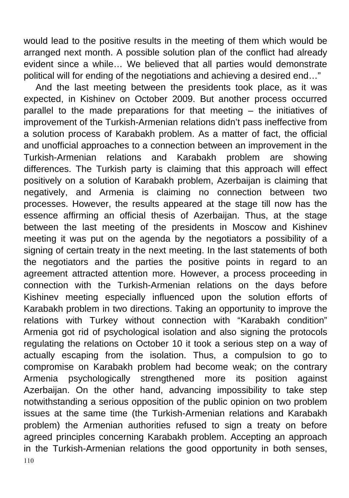would lead to the positive results in the meeting of them which would be arranged next month. A possible solution plan of the conflict had already evident since a while… We believed that all parties would demonstrate political will for ending of the negotiations and achieving a desired end…"

110 And the last meeting between the presidents took place, as it was expected, in Kishinev on October 2009. But another process occurred parallel to the made preparations for that meeting – the initiatives of improvement of the Turkish-Armenian relations didn't pass ineffective from a solution process of Karabakh problem. As a matter of fact, the official and unofficial approaches to a connection between an improvement in the Turkish-Armenian relations and Karabakh problem are showing differences. The Turkish party is claiming that this approach will effect positively on a solution of Karabakh problem, Azerbaijan is claiming that negatively, and Armenia is claiming no connection between two processes. However, the results appeared at the stage till now has the essence affirming an official thesis of Azerbaijan. Thus, at the stage between the last meeting of the presidents in Moscow and Kishinev meeting it was put on the agenda by the negotiators a possibility of a signing of certain treaty in the next meeting. In the last statements of both the negotiators and the parties the positive points in regard to an agreement attracted attention more. However, a process proceeding in connection with the Turkish-Armenian relations on the days before Kishinev meeting especially influenced upon the solution efforts of Karabakh problem in two directions. Taking an opportunity to improve the relations with Turkey without connection with "Karabakh condition" Armenia got rid of psychological isolation and also signing the protocols regulating the relations on October 10 it took a serious step on a way of actually escaping from the isolation. Thus, a compulsion to go to compromise on Karabakh problem had become weak; on the contrary Armenia psychologically strengthened more its position against Azerbaijan. On the other hand, advancing impossibility to take step notwithstanding a serious opposition of the public opinion on two problem issues at the same time (the Turkish-Armenian relations and Karabakh problem) the Armenian authorities refused to sign a treaty on before agreed principles concerning Karabakh problem. Accepting an approach in the Turkish-Armenian relations the good opportunity in both senses,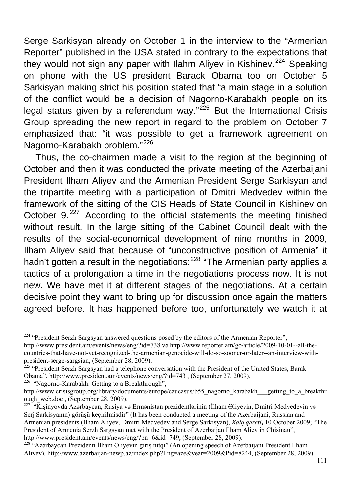Serge Sarkisyan already on October 1 in the interview to the "Armenian Reporter" published in the USA stated in contrary to the expectations that they would not sign any paper with Ilahm Aliyev in Kishinev.<sup>[224](#page-110-0)</sup> Speaking on phone with the US president Barack Obama too on October 5 Sarkisyan making strict his position stated that "a main stage in a solution of the conflict would be a decision of Nagorno-Karabakh people on its legal status given by a referendum way." $225$  But the International Crisis Group spreading the new report in regard to the problem on October 7 emphasized that: "it was possible to get a framework agreement on Nagorno-Karabakh problem."[226](#page-110-2)

Thus, the co-chairmen made a visit to the region at the beginning of October and then it was conducted the private meeting of the Azerbaijani President Ilham Aliyev and the Armenian President Serge Sarkisyan and the tripartite meeting with a participation of Dmitri Medvedev within the framework of the sitting of the CIS Heads of State Council in Kishinev on October 9.<sup>[227](#page-110-3)</sup> According to the official statements the meeting finished without result. In the large sitting of the Cabinet Council dealt with the results of the social-economical development of nine months in 2009, Ilham Aliyev said that because of "unconstructive position of Armenia" it hadn't gotten a result in the negotiations:<sup>[228](#page-110-4)</sup> "The Armenian party applies a tactics of a prolongation a time in the negotiations process now. It is not new. We have met it at different stages of the negotiations. At a certain decisive point they want to bring up for discussion once again the matters agreed before. It has happened before too, unfortunately we watch it at

<span id="page-110-2"></span>

 $\overline{a}$ 

<span id="page-110-0"></span><sup>&</sup>lt;sup>224</sup> "President Serzh Sargsyan answered questions posed by the editors of the Armenian Reporter", <http://www.president.am/events/news/eng/?id=738>və [http://www.reporter.am/go/article/2009-10-01--all-the](http://www.reporter.am/go/article/2009-10-01--all-the-countries-that-have-not-yet-recognized-the-armenian-genocide-will-do-so-sooner-or-later--an-interview-with-president-serge-sargsian)[countries-that-have-not-yet-recognized-the-armenian-genocide-will-do-so-sooner-or-later--an-interview-with-](http://www.reporter.am/go/article/2009-10-01--all-the-countries-that-have-not-yet-recognized-the-armenian-genocide-will-do-so-sooner-or-later--an-interview-with-president-serge-sargsian)

<span id="page-110-1"></span><sup>&</sup>lt;sup>[225](http://www.reporter.am/go/article/2009-10-01--all-the-countries-that-have-not-yet-recognized-the-armenian-genocide-will-do-so-sooner-or-later--an-interview-with-president-serge-sargsian)</sup> "President Serzh Sargsyan had a telephone conversation with the President of the United States, Barak Obama", <http://www.president.am/events/news/eng/?id=743> , (September 27, 2009). 226 "Nagorno-Karabakh: Getting to a Breakthrough",

[http://www.crisisgroup.org/library/documents/europe/caucasus/b55\\_nagorno\\_karabakh\\_\\_\\_getting\\_to\\_a\\_breakthr](http://www.crisisgroup.org/library/documents/europe/caucasus/b55_nagorno_karabakh___getting_to_a_breakthrough_web.doc) [ough\\_web.doc](http://www.crisisgroup.org/library/documents/europe/caucasus/b55_nagorno_karabakh___getting_to_a_breakthrough_web.doc) , (September 28, 2009).<br><sup>[227](http://www.crisisgroup.org/library/documents/europe/caucasus/b55_nagorno_karabakh___getting_to_a_breakthrough_web.doc)</sup> "Kişinyovda Azərbaycan, Rusiya və Ermənistan prezidentlərinin (İlham Əliyevin, Dmitri Medvedevin və

<span id="page-110-3"></span>Serj Sarkisyanın) görüşü keçirilmişdir" (It has been conducted a meeting of the Azerbaijani, Russian and Armenian presidents (Ilham Aliyev, Dmitri Medvedev and Serge Sarkisyan), *Xalq qəzeti***,** 10 October 2009; "The President of Armenia Serzh Sargsyan met with the President of Azerbaijan Ilham Aliev in Chisinau", http://www.president.am/events/news/eng/?pn=6&id=749, (September 28, 2009).

<span id="page-110-4"></span><sup>&</sup>lt;sup>[228](http://www.president.am/events/news/eng/?pn=6&id=749)</sup> "Azərbaycan Prezidenti İlham Əliyevin giriş nitqi" (An opening speech of Azerbaijani President Ilham Aliyev), [http://www.azerbaijan-newp.az/index.php?Lng=aze&year=2009&Pid=8244,](http://www.azerbaijan-news.az/index.php?Lng=aze&year=2009&Pid=8244) (September 28, 2009).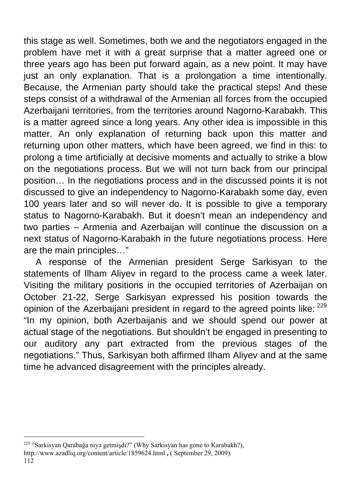this stage as well. Sometimes, both we and the negotiators engaged in the problem have met it with a great surprise that a matter agreed one or three years ago has been put forward again, as a new point. It may have just an only explanation. That is a prolongation a time intentionally. Because, the Armenian party should take the practical steps! And these steps consist of a withdrawal of the Armenian all forces from the occupied Azerbaijani territories, from the territories around Nagorno-Karabakh. This is a matter agreed since a long years. Any other idea is impossible in this matter. An only explanation of returning back upon this matter and returning upon other matters, which have been agreed, we find in this: to prolong a time artificially at decisive moments and actually to strike a blow on the negotiations process. But we will not turn back from our principal position… In the negotiations process and in the discussed points it is not discussed to give an independency to Nagorno-Karabakh some day, even 100 years later and so will never do. It is possible to give a temporary status to Nagorno-Karabakh. But it doesn't mean an independency and two parties – Armenia and Azerbaijan will continue the discussion on a next status of Nagorno-Karabakh in the future negotiations process. Here are the main principles…"

A response of the Armenian president Serge Sarkisyan to the statements of Ilham Aliyev in regard to the process came a week later. Visiting the military positions in the occupied territories of Azerbaijan on October 21-22, Serge Sarkisyan expressed his position towards the opinion of the Azerbaijani president in regard to the agreed points like: <sup>[229](#page-111-0)</sup> "In my opinion, both Azerbaijanis and we should spend our power at actual stage of the negotiations. But shouldn't be engaged in presenting to our auditory any part extracted from the previous stages of the negotiations." Thus, Sarkisyan both affirmed Ilham Aliyev and at the same time he advanced disagreement with the principles already.

 $\overline{a}$ 

<span id="page-111-0"></span><sup>&</sup>lt;sup>229</sup> "Sarkisyan Qarabağa niyə getmişdi?" (Why Sarkisyan has gone to Karabakh?), <http://www.azadliq.org/content/article/1859624.html> **,** ( September 29, 2009).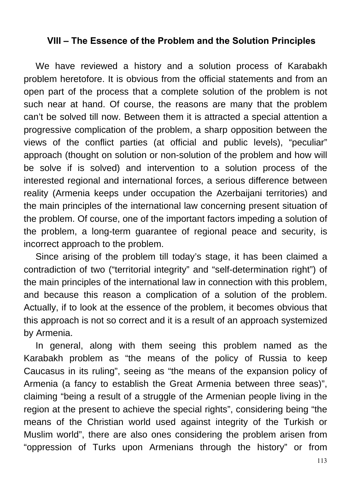## **VIII – The Essence of the Problem and the Solution Principles**

We have reviewed a history and a solution process of Karabakh problem heretofore. It is obvious from the official statements and from an open part of the process that a complete solution of the problem is not such near at hand. Of course, the reasons are many that the problem can't be solved till now. Between them it is attracted a special attention a progressive complication of the problem, a sharp opposition between the views of the conflict parties (at official and public levels), "peculiar" approach (thought on solution or non-solution of the problem and how will be solve if is solved) and intervention to a solution process of the interested regional and international forces, a serious difference between reality (Armenia keeps under occupation the Azerbaijani territories) and the main principles of the international law concerning present situation of the problem. Of course, one of the important factors impeding a solution of the problem, a long-term guarantee of regional peace and security, is incorrect approach to the problem.

Since arising of the problem till today's stage, it has been claimed a contradiction of two ("territorial integrity" and "self-determination right") of the main principles of the international law in connection with this problem, and because this reason a complication of a solution of the problem. Actually, if to look at the essence of the problem, it becomes obvious that this approach is not so correct and it is a result of an approach systemized by Armenia.

In general, along with them seeing this problem named as the Karabakh problem as "the means of the policy of Russia to keep Caucasus in its ruling", seeing as "the means of the expansion policy of Armenia (a fancy to establish the Great Armenia between three seas)", claiming "being a result of a struggle of the Armenian people living in the region at the present to achieve the special rights", considering being "the means of the Christian world used against integrity of the Turkish or Muslim world", there are also ones considering the problem arisen from "oppression of Turks upon Armenians through the history" or from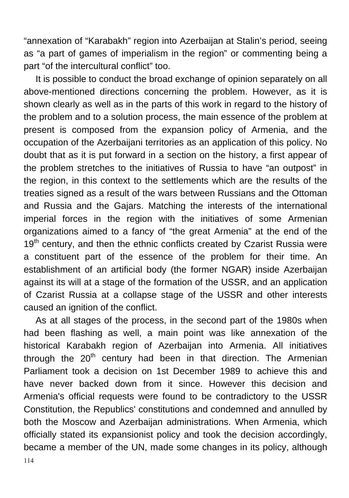"annexation of "Karabakh" region into Azerbaijan at Stalin's period, seeing as "a part of games of imperialism in the region" or commenting being a part "of the intercultural conflict" too.

It is possible to conduct the broad exchange of opinion separately on all above-mentioned directions concerning the problem. However, as it is shown clearly as well as in the parts of this work in regard to the history of the problem and to a solution process, the main essence of the problem at present is composed from the expansion policy of Armenia, and the occupation of the Azerbaijani territories as an application of this policy. No doubt that as it is put forward in a section on the history, a first appear of the problem stretches to the initiatives of Russia to have "an outpost" in the region, in this context to the settlements which are the results of the treaties signed as a result of the wars between Russians and the Ottoman and Russia and the Gajars. Matching the interests of the international imperial forces in the region with the initiatives of some Armenian organizations aimed to a fancy of "the great Armenia" at the end of the  $19<sup>th</sup>$  century, and then the ethnic conflicts created by Czarist Russia were a constituent part of the essence of the problem for their time. An establishment of an artificial body (the former NGAR) inside Azerbaijan against its will at a stage of the formation of the USSR, and an application of Czarist Russia at a collapse stage of the USSR and other interests caused an ignition of the conflict.

114 As at all stages of the process, in the second part of the 1980s when had been flashing as well, a main point was like annexation of the historical Karabakh region of Azerbaijan into Armenia. All initiatives through the  $20<sup>th</sup>$  century had been in that direction. The Armenian Parliament took a decision on 1st December 1989 to achieve this and have never backed down from it since. However this decision and Armenia's official requests were found to be contradictory to the USSR Constitution, the Republics' constitutions and condemned and annulled by both the Moscow and Azerbaijan administrations. When Armenia, which officially stated its expansionist policy and took the decision accordingly, became a member of the UN, made some changes in its policy, although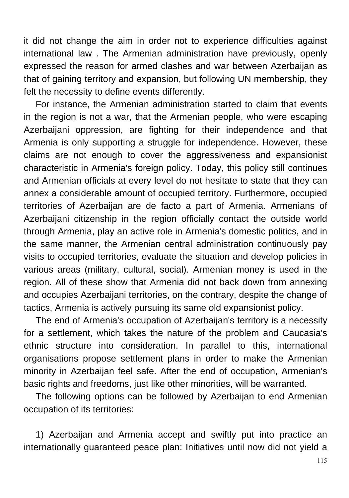it did not change the aim in order not to experience difficulties against international law . The Armenian administration have previously, openly expressed the reason for armed clashes and war between Azerbaijan as that of gaining territory and expansion, but following UN membership, they felt the necessity to define events differently.

For instance, the Armenian administration started to claim that events in the region is not a war, that the Armenian people, who were escaping Azerbaijani oppression, are fighting for their independence and that Armenia is only supporting a struggle for independence. However, these claims are not enough to cover the aggressiveness and expansionist characteristic in Armenia's foreign policy. Today, this policy still continues and Armenian officials at every level do not hesitate to state that they can annex a considerable amount of occupied territory. Furthermore, occupied territories of Azerbaijan are de facto a part of Armenia. Armenians of Azerbaijani citizenship in the region officially contact the outside world through Armenia, play an active role in Armenia's domestic politics, and in the same manner, the Armenian central administration continuously pay visits to occupied territories, evaluate the situation and develop policies in various areas (military, cultural, social). Armenian money is used in the region. All of these show that Armenia did not back down from annexing and occupies Azerbaijani territories, on the contrary, despite the change of tactics, Armenia is actively pursuing its same old expansionist policy.

The end of Armenia's occupation of Azerbaijan's territory is a necessity for a settlement, which takes the nature of the problem and Caucasia's ethnic structure into consideration. In parallel to this, international organisations propose settlement plans in order to make the Armenian minority in Azerbaijan feel safe. After the end of occupation, Armenian's basic rights and freedoms, just like other minorities, will be warranted.

The following options can be followed by Azerbaijan to end Armenian occupation of its territories:

1) Azerbaijan and Armenia accept and swiftly put into practice an internationally guaranteed peace plan: Initiatives until now did not yield a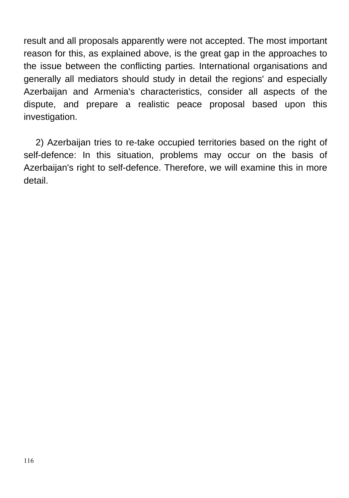result and all proposals apparently were not accepted. The most important reason for this, as explained above, is the great gap in the approaches to the issue between the conflicting parties. International organisations and generally all mediators should study in detail the regions' and especially Azerbaijan and Armenia's characteristics, consider all aspects of the dispute, and prepare a realistic peace proposal based upon this investigation.

2) Azerbaijan tries to re-take occupied territories based on the right of self-defence: In this situation, problems may occur on the basis of Azerbaijan's right to self-defence. Therefore, we will examine this in more detail.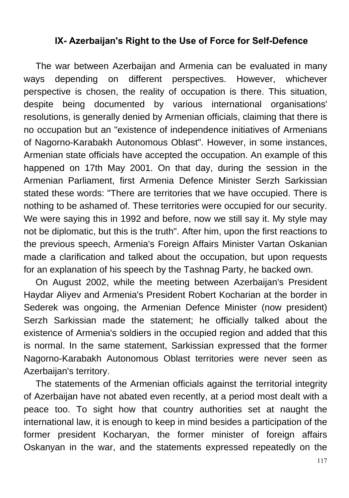## **IX- Azerbaijan's Right to the Use of Force for Self-Defence**

The war between Azerbaijan and Armenia can be evaluated in many ways depending on different perspectives. However, whichever perspective is chosen, the reality of occupation is there. This situation, despite being documented by various international organisations' resolutions, is generally denied by Armenian officials, claiming that there is no occupation but an "existence of independence initiatives of Armenians of Nagorno-Karabakh Autonomous Oblast". However, in some instances, Armenian state officials have accepted the occupation. An example of this happened on 17th May 2001. On that day, during the session in the Armenian Parliament, first Armenia Defence Minister Serzh Sarkissian stated these words: "There are territories that we have occupied. There is nothing to be ashamed of. These territories were occupied for our security. We were saying this in 1992 and before, now we still say it. My style may not be diplomatic, but this is the truth". After him, upon the first reactions to the previous speech, Armenia's Foreign Affairs Minister Vartan Oskanian made a clarification and talked about the occupation, but upon requests for an explanation of his speech by the Tashnag Party, he backed own.

On August 2002, while the meeting between Azerbaijan's President Haydar Aliyev and Armenia's President Robert Kocharian at the border in Sederek was ongoing, the Armenian Defence Minister (now president) Serzh Sarkissian made the statement; he officially talked about the existence of Armenia's soldiers in the occupied region and added that this is normal. In the same statement, Sarkissian expressed that the former Nagorno-Karabakh Autonomous Oblast territories were never seen as Azerbaijan's territory.

The statements of the Armenian officials against the territorial integrity of Azerbaijan have not abated even recently, at a period most dealt with a peace too. To sight how that country authorities set at naught the international law, it is enough to keep in mind besides a participation of the former president Kocharyan, the former minister of foreign affairs Oskanyan in the war, and the statements expressed repeatedly on the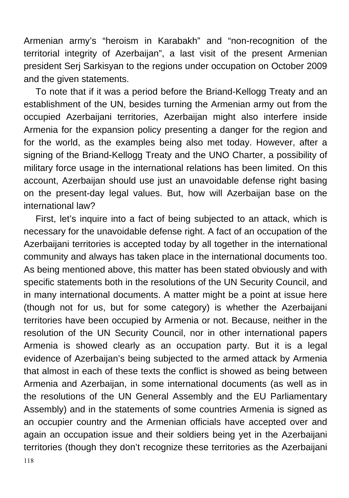Armenian army's "heroism in Karabakh" and "non-recognition of the territorial integrity of Azerbaijan", a last visit of the present Armenian president Serj Sarkisyan to the regions under occupation on October 2009 and the given statements.

To note that if it was a period before the Briand-Kellogg Treaty and an establishment of the UN, besides turning the Armenian army out from the occupied Azerbaijani territories, Azerbaijan might also interfere inside Armenia for the expansion policy presenting a danger for the region and for the world, as the examples being also met today. However, after a signing of the Briand-Kellogg Treaty and the UNO Charter, a possibility of military force usage in the international relations has been limited. On this account, Azerbaijan should use just an unavoidable defense right basing on the present-day legal values. But, how will Azerbaijan base on the international law?

First, let's inquire into a fact of being subjected to an attack, which is necessary for the unavoidable defense right. A fact of an occupation of the Azerbaijani territories is accepted today by all together in the international community and always has taken place in the international documents too. As being mentioned above, this matter has been stated obviously and with specific statements both in the resolutions of the UN Security Council, and in many international documents. A matter might be a point at issue here (though not for us, but for some category) is whether the Azerbaijani territories have been occupied by Armenia or not. Because, neither in the resolution of the UN Security Council, nor in other international papers Armenia is showed clearly as an occupation party. But it is a legal evidence of Azerbaijan's being subjected to the armed attack by Armenia that almost in each of these texts the conflict is showed as being between Armenia and Azerbaijan, in some international documents (as well as in the resolutions of the UN General Assembly and the EU Parliamentary Assembly) and in the statements of some countries Armenia is signed as an occupier country and the Armenian officials have accepted over and again an occupation issue and their soldiers being yet in the Azerbaijani territories (though they don't recognize these territories as the Azerbaijani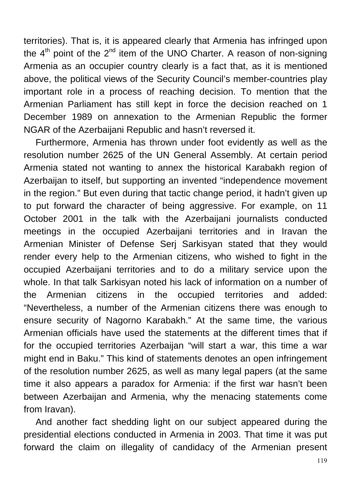territories). That is, it is appeared clearly that Armenia has infringed upon the  $4<sup>th</sup>$  point of the  $2<sup>nd</sup>$  item of the UNO Charter. A reason of non-signing Armenia as an occupier country clearly is a fact that, as it is mentioned above, the political views of the Security Council's member-countries play important role in a process of reaching decision. To mention that the Armenian Parliament has still kept in force the decision reached on 1 December 1989 on annexation to the Armenian Republic the former NGAR of the Azerbaijani Republic and hasn't reversed it.

Furthermore, Armenia has thrown under foot evidently as well as the resolution number 2625 of the UN General Assembly. At certain period Armenia stated not wanting to annex the historical Karabakh region of Azerbaijan to itself, but supporting an invented "independence movement in the region." But even during that tactic change period, it hadn't given up to put forward the character of being aggressive. For example, on 11 October 2001 in the talk with the Azerbaijani journalists conducted meetings in the occupied Azerbaijani territories and in Iravan the Armenian Minister of Defense Serj Sarkisyan stated that they would render every help to the Armenian citizens, who wished to fight in the occupied Azerbaijani territories and to do a military service upon the whole. In that talk Sarkisyan noted his lack of information on a number of the Armenian citizens in the occupied territories and added: "Nevertheless, a number of the Armenian citizens there was enough to ensure security of Nagorno Karabakh." At the same time, the various Armenian officials have used the statements at the different times that if for the occupied territories Azerbaijan "will start a war, this time a war might end in Baku." This kind of statements denotes an open infringement of the resolution number 2625, as well as many legal papers (at the same time it also appears a paradox for Armenia: if the first war hasn't been between Azerbaijan and Armenia, why the menacing statements come from Iravan).

And another fact shedding light on our subject appeared during the presidential elections conducted in Armenia in 2003. That time it was put forward the claim on illegality of candidacy of the Armenian present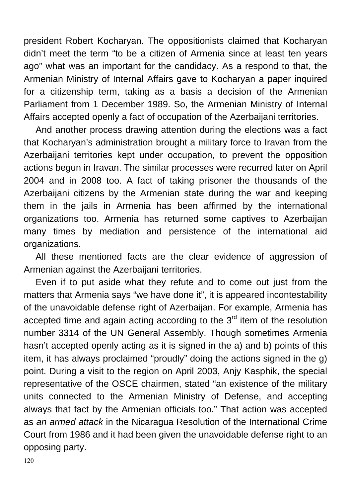president Robert Kocharyan. The oppositionists claimed that Kocharyan didn't meet the term "to be a citizen of Armenia since at least ten years ago" what was an important for the candidacy. As a respond to that, the Armenian Ministry of Internal Affairs gave to Kocharyan a paper inquired for a citizenship term, taking as a basis a decision of the Armenian Parliament from 1 December 1989. So, the Armenian Ministry of Internal Affairs accepted openly a fact of occupation of the Azerbaijani territories.

And another process drawing attention during the elections was a fact that Kocharyan's administration brought a military force to Iravan from the Azerbaijani territories kept under occupation, to prevent the opposition actions begun in Iravan. The similar processes were recurred later on April 2004 and in 2008 too. A fact of taking prisoner the thousands of the Azerbaijani citizens by the Armenian state during the war and keeping them in the jails in Armenia has been affirmed by the international organizations too. Armenia has returned some captives to Azerbaijan many times by mediation and persistence of the international aid organizations.

All these mentioned facts are the clear evidence of aggression of Armenian against the Azerbaijani territories.

Even if to put aside what they refute and to come out just from the matters that Armenia says "we have done it", it is appeared incontestability of the unavoidable defense right of Azerbaijan. For example, Armenia has accepted time and again acting according to the  $3<sup>rd</sup>$  item of the resolution number 3314 of the UN General Assembly. Though sometimes Armenia hasn't accepted openly acting as it is signed in the a) and b) points of this item, it has always proclaimed "proudly" doing the actions signed in the g) point. During a visit to the region on April 2003, Anjy Kasphik, the special representative of the OSCE chairmen, stated "an existence of the military units connected to the Armenian Ministry of Defense, and accepting always that fact by the Armenian officials too." That action was accepted as *an armed attack* in the Nicaragua Resolution of the International Crime Court from 1986 and it had been given the unavoidable defense right to an opposing party.

120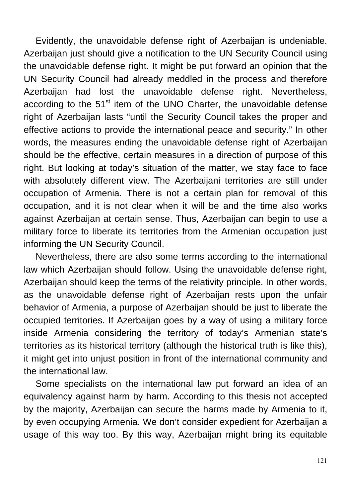Evidently, the unavoidable defense right of Azerbaijan is undeniable. Azerbaijan just should give a notification to the UN Security Council using the unavoidable defense right. It might be put forward an opinion that the UN Security Council had already meddled in the process and therefore Azerbaijan had lost the unavoidable defense right. Nevertheless, according to the  $51<sup>st</sup>$  item of the UNO Charter, the unavoidable defense right of Azerbaijan lasts "until the Security Council takes the proper and effective actions to provide the international peace and security." In other words, the measures ending the unavoidable defense right of Azerbaijan should be the effective, certain measures in a direction of purpose of this right. But looking at today's situation of the matter, we stay face to face with absolutely different view. The Azerbaijani territories are still under occupation of Armenia. There is not a certain plan for removal of this occupation, and it is not clear when it will be and the time also works against Azerbaijan at certain sense. Thus, Azerbaijan can begin to use a military force to liberate its territories from the Armenian occupation just informing the UN Security Council.

Nevertheless, there are also some terms according to the international law which Azerbaijan should follow. Using the unavoidable defense right, Azerbaijan should keep the terms of the relativity principle. In other words, as the unavoidable defense right of Azerbaijan rests upon the unfair behavior of Armenia, a purpose of Azerbaijan should be just to liberate the occupied territories. If Azerbaijan goes by a way of using a military force inside Armenia considering the territory of today's Armenian state's territories as its historical territory (although the historical truth is like this), it might get into unjust position in front of the international community and the international law.

Some specialists on the international law put forward an idea of an equivalency against harm by harm. According to this thesis not accepted by the majority, Azerbaijan can secure the harms made by Armenia to it, by even occupying Armenia. We don't consider expedient for Azerbaijan a usage of this way too. By this way, Azerbaijan might bring its equitable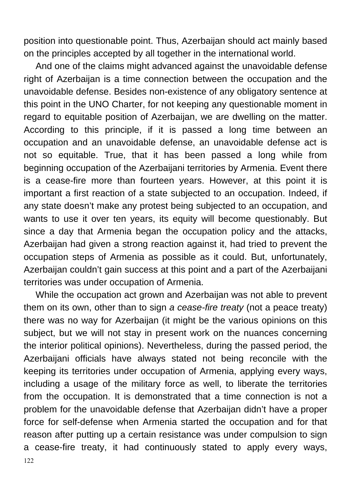position into questionable point. Thus, Azerbaijan should act mainly based on the principles accepted by all together in the international world.

And one of the claims might advanced against the unavoidable defense right of Azerbaijan is a time connection between the occupation and the unavoidable defense. Besides non-existence of any obligatory sentence at this point in the UNO Charter, for not keeping any questionable moment in regard to equitable position of Azerbaijan, we are dwelling on the matter. According to this principle, if it is passed a long time between an occupation and an unavoidable defense, an unavoidable defense act is not so equitable. True, that it has been passed a long while from beginning occupation of the Azerbaijani territories by Armenia. Event there is a cease-fire more than fourteen years. However, at this point it is important a first reaction of a state subjected to an occupation. Indeed, if any state doesn't make any protest being subjected to an occupation, and wants to use it over ten years, its equity will become questionably. But since a day that Armenia began the occupation policy and the attacks, Azerbaijan had given a strong reaction against it, had tried to prevent the occupation steps of Armenia as possible as it could. But, unfortunately, Azerbaijan couldn't gain success at this point and a part of the Azerbaijani territories was under occupation of Armenia.

122 While the occupation act grown and Azerbaijan was not able to prevent them on its own, other than to sign *a cease-fire treaty* (not a peace treaty) there was no way for Azerbaijan (it might be the various opinions on this subject, but we will not stay in present work on the nuances concerning the interior political opinions). Nevertheless, during the passed period, the Azerbaijani officials have always stated not being reconcile with the keeping its territories under occupation of Armenia, applying every ways, including a usage of the military force as well, to liberate the territories from the occupation. It is demonstrated that a time connection is not a problem for the unavoidable defense that Azerbaijan didn't have a proper force for self-defense when Armenia started the occupation and for that reason after putting up a certain resistance was under compulsion to sign a cease-fire treaty, it had continuously stated to apply every ways,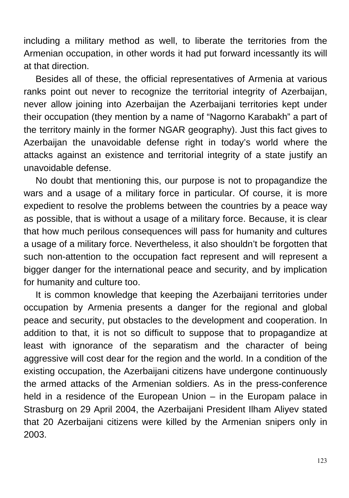including a military method as well, to liberate the territories from the Armenian occupation, in other words it had put forward incessantly its will at that direction.

Besides all of these, the official representatives of Armenia at various ranks point out never to recognize the territorial integrity of Azerbaijan, never allow joining into Azerbaijan the Azerbaijani territories kept under their occupation (they mention by a name of "Nagorno Karabakh" a part of the territory mainly in the former NGAR geography). Just this fact gives to Azerbaijan the unavoidable defense right in today's world where the attacks against an existence and territorial integrity of a state justify an unavoidable defense.

No doubt that mentioning this, our purpose is not to propagandize the wars and a usage of a military force in particular. Of course, it is more expedient to resolve the problems between the countries by a peace way as possible, that is without a usage of a military force. Because, it is clear that how much perilous consequences will pass for humanity and cultures a usage of a military force. Nevertheless, it also shouldn't be forgotten that such non-attention to the occupation fact represent and will represent a bigger danger for the international peace and security, and by implication for humanity and culture too.

It is common knowledge that keeping the Azerbaijani territories under occupation by Armenia presents a danger for the regional and global peace and security, put obstacles to the development and cooperation. In addition to that, it is not so difficult to suppose that to propagandize at least with ignorance of the separatism and the character of being aggressive will cost dear for the region and the world. In a condition of the existing occupation, the Azerbaijani citizens have undergone continuously the armed attacks of the Armenian soldiers. As in the press-conference held in a residence of the European Union – in the Europam palace in Strasburg on 29 April 2004, the Azerbaijani President Ilham Aliyev stated that 20 Azerbaijani citizens were killed by the Armenian snipers only in 2003.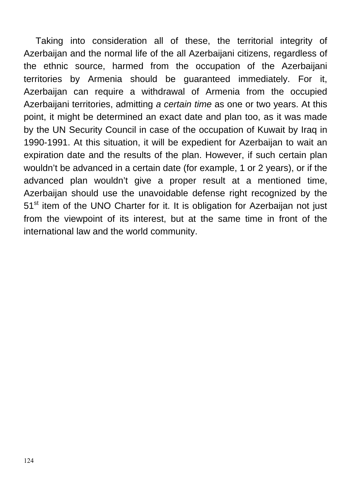Taking into consideration all of these, the territorial integrity of Azerbaijan and the normal life of the all Azerbaijani citizens, regardless of the ethnic source, harmed from the occupation of the Azerbaijani territories by Armenia should be guaranteed immediately. For it, Azerbaijan can require a withdrawal of Armenia from the occupied Azerbaijani territories, admitting *a certain time* as one or two years. At this point, it might be determined an exact date and plan too, as it was made by the UN Security Council in case of the occupation of Kuwait by Iraq in 1990-1991. At this situation, it will be expedient for Azerbaijan to wait an expiration date and the results of the plan. However, if such certain plan wouldn't be advanced in a certain date (for example, 1 or 2 years), or if the advanced plan wouldn't give a proper result at a mentioned time, Azerbaiian should use the unavoidable defense right recognized by the 51<sup>st</sup> item of the UNO Charter for it. It is obligation for Azerbaijan not just from the viewpoint of its interest, but at the same time in front of the international law and the world community.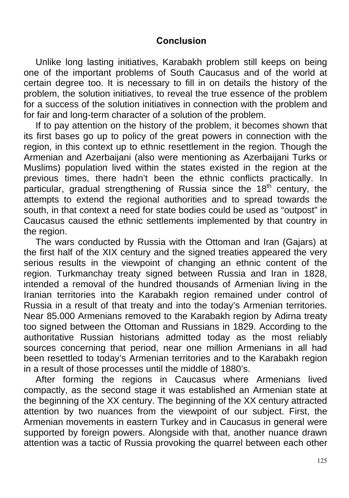## **Conclusion**

Unlike long lasting initiatives, Karabakh problem still keeps on being one of the important problems of South Caucasus and of the world at certain degree too. It is necessary to fill in on details the history of the problem, the solution initiatives, to reveal the true essence of the problem for a success of the solution initiatives in connection with the problem and for fair and long-term character of a solution of the problem.

If to pay attention on the history of the problem, it becomes shown that its first bases go up to policy of the great powers in connection with the region, in this context up to ethnic resettlement in the region. Though the Armenian and Azerbaijani (also were mentioning as Azerbaijani Turks or Muslims) population lived within the states existed in the region at the previous times, there hadn't been the ethnic conflicts practically. In particular, gradual strengthening of Russia since the 18<sup>th</sup> century, the attempts to extend the regional authorities and to spread towards the south, in that context a need for state bodies could be used as "outpost" in Caucasus caused the ethnic settlements implemented by that country in the region.

The wars conducted by Russia with the Ottoman and Iran (Gajars) at the first half of the XIX century and the signed treaties appeared the very serious results in the viewpoint of changing an ethnic content of the region. Turkmanchay treaty signed between Russia and Iran in 1828, intended a removal of the hundred thousands of Armenian living in the Iranian territories into the Karabakh region remained under control of Russia in a result of that treaty and into the today's Armenian territories. Near 85.000 Armenians removed to the Karabakh region by Adirna treaty too signed between the Ottoman and Russians in 1829. According to the authoritative Russian historians admitted today as the most reliably sources concerning that period, near one million Armenians in all had been resettled to today's Armenian territories and to the Karabakh region in a result of those processes until the middle of 1880's.

After forming the regions in Caucasus where Armenians lived compactly, as the second stage it was established an Armenian state at the beginning of the XX century. The beginning of the XX century attracted attention by two nuances from the viewpoint of our subject. First, the Armenian movements in eastern Turkey and in Caucasus in general were supported by foreign powers. Alongside with that, another nuance drawn attention was a tactic of Russia provoking the quarrel between each other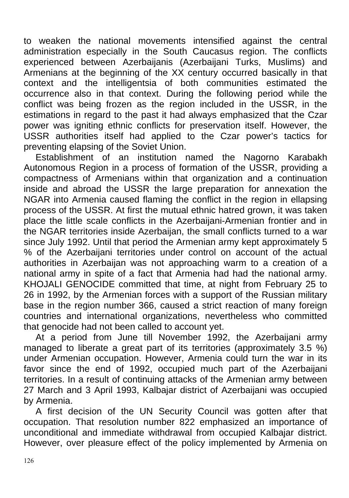to weaken the national movements intensified against the central administration especially in the South Caucasus region. The conflicts experienced between Azerbaijanis (Azerbaijani Turks, Muslims) and Armenians at the beginning of the XX century occurred basically in that context and the intelligentsia of both communities estimated the occurrence also in that context. During the following period while the conflict was being frozen as the region included in the USSR, in the estimations in regard to the past it had always emphasized that the Czar power was igniting ethnic conflicts for preservation itself. However, the USSR authorities itself had applied to the Czar power's tactics for preventing elapsing of the Soviet Union.

Establishment of an institution named the Nagorno Karabakh Autonomous Region in a process of formation of the USSR, providing a compactness of Armenians within that organization and a continuation inside and abroad the USSR the large preparation for annexation the NGAR into Armenia caused flaming the conflict in the region in ellapsing process of the USSR. At first the mutual ethnic hatred grown, it was taken place the little scale conflicts in the Azerbaijani-Armenian frontier and in the NGAR territories inside Azerbaijan, the small conflicts turned to a war since July 1992. Until that period the Armenian army kept approximately 5 % of the Azerbaijani territories under control on account of the actual authorities in Azerbaijan was not approaching warm to a creation of a national army in spite of a fact that Armenia had had the national army. KHOJALI GENOCIDE committed that time, at night from February 25 to 26 in 1992, by the Armenian forces with a support of the Russian military base in the region number 366, caused a strict reaction of many foreign countries and international organizations, nevertheless who committed that genocide had not been called to account yet.

At a period from June till November 1992, the Azerbaijani army managed to liberate a great part of its territories (approximately 3.5 %) under Armenian occupation. However, Armenia could turn the war in its favor since the end of 1992, occupied much part of the Azerbaijani territories. In a result of continuing attacks of the Armenian army between 27 March and 3 April 1993, Kalbajar district of Azerbaijani was occupied by Armenia.

A first decision of the UN Security Council was gotten after that occupation. That resolution number 822 emphasized an importance of unconditional and immediate withdrawal from occupied Kalbajar district. However, over pleasure effect of the policy implemented by Armenia on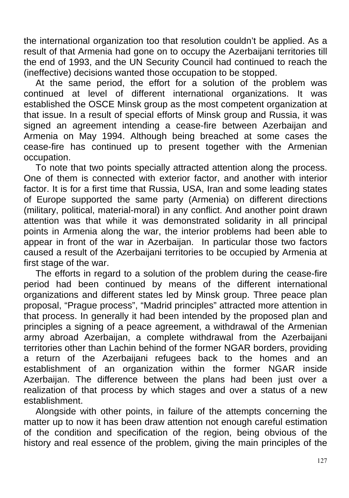the international organization too that resolution couldn't be applied. As a result of that Armenia had gone on to occupy the Azerbaijani territories till the end of 1993, and the UN Security Council had continued to reach the (ineffective) decisions wanted those occupation to be stopped.

At the same period, the effort for a solution of the problem was continued at level of different international organizations. It was established the OSCE Minsk group as the most competent organization at that issue. In a result of special efforts of Minsk group and Russia, it was signed an agreement intending a cease-fire between Azerbaijan and Armenia on May 1994. Although being breached at some cases the cease-fire has continued up to present together with the Armenian occupation.

To note that two points specially attracted attention along the process. One of them is connected with exterior factor, and another with interior factor. It is for a first time that Russia, USA, Iran and some leading states of Europe supported the same party (Armenia) on different directions (military, political, material-moral) in any conflict. And another point drawn attention was that while it was demonstrated solidarity in all principal points in Armenia along the war, the interior problems had been able to appear in front of the war in Azerbaijan. In particular those two factors caused a result of the Azerbaijani territories to be occupied by Armenia at first stage of the war.

The efforts in regard to a solution of the problem during the cease-fire period had been continued by means of the different international organizations and different states led by Minsk group. Three peace plan proposal, "Prague process", "Madrid principles" attracted more attention in that process. In generally it had been intended by the proposed plan and principles a signing of a peace agreement, a withdrawal of the Armenian army abroad Azerbaijan, a complete withdrawal from the Azerbaijani territories other than Lachin behind of the former NGAR borders, providing a return of the Azerbaijani refugees back to the homes and an establishment of an organization within the former NGAR inside Azerbaijan. The difference between the plans had been just over a realization of that process by which stages and over a status of a new establishment.

Alongside with other points, in failure of the attempts concerning the matter up to now it has been draw attention not enough careful estimation of the condition and specification of the region, being obvious of the history and real essence of the problem, giving the main principles of the